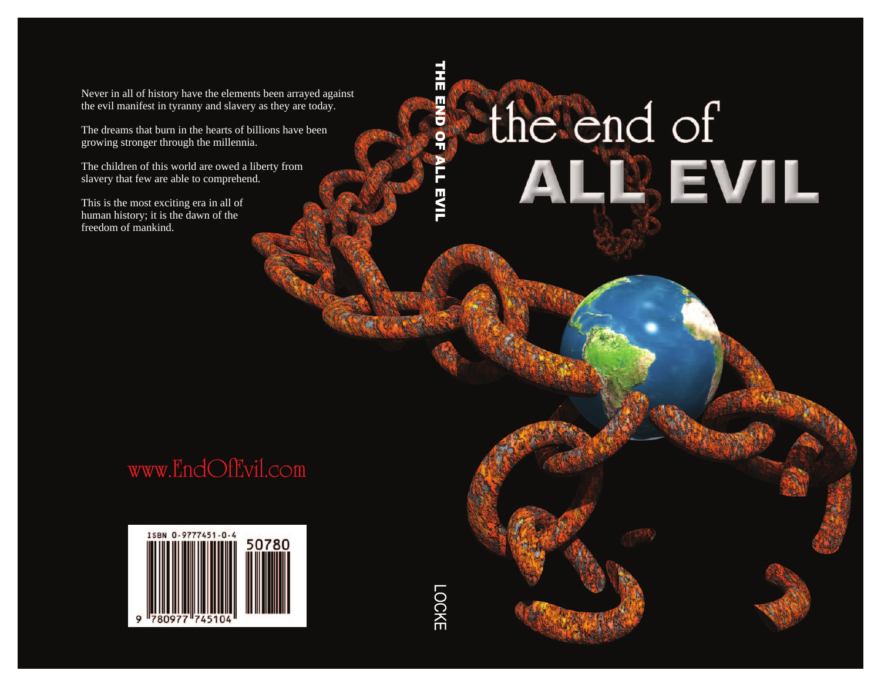Never in all of history have the elements been arrayed against the evil manifest in tyranny and slavery as they are today.

The dreams that burn in the hearts of billions have been growing stronger through the millennia.

The children of this world are owed a liberty from slavery that few are able to comprehend.

This is the most exciting era in all of human history; it is the dawn of the freedom of mankind.

# **HADOH** Ethe end of **SEVIL**

## www.EndOfEvil.com



**LOCKE** 

렱

EVIL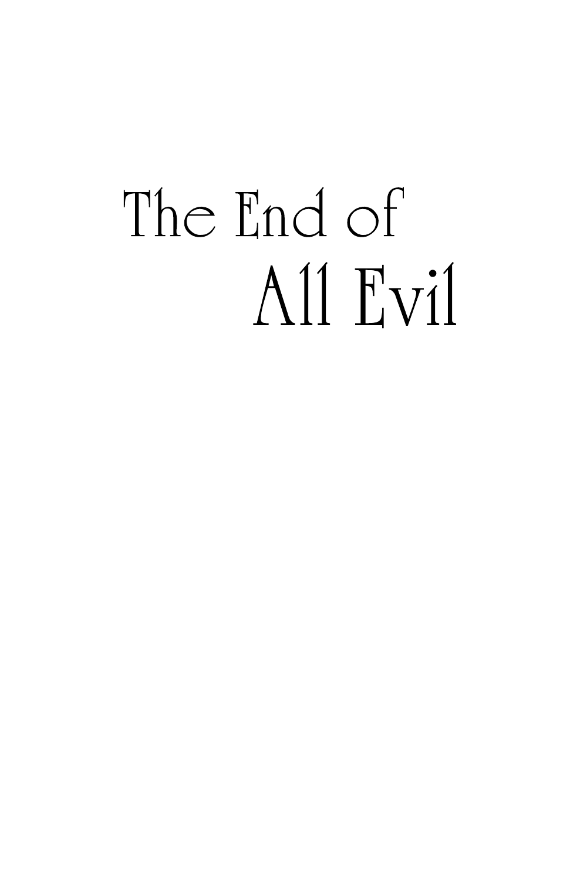# The End of All Evil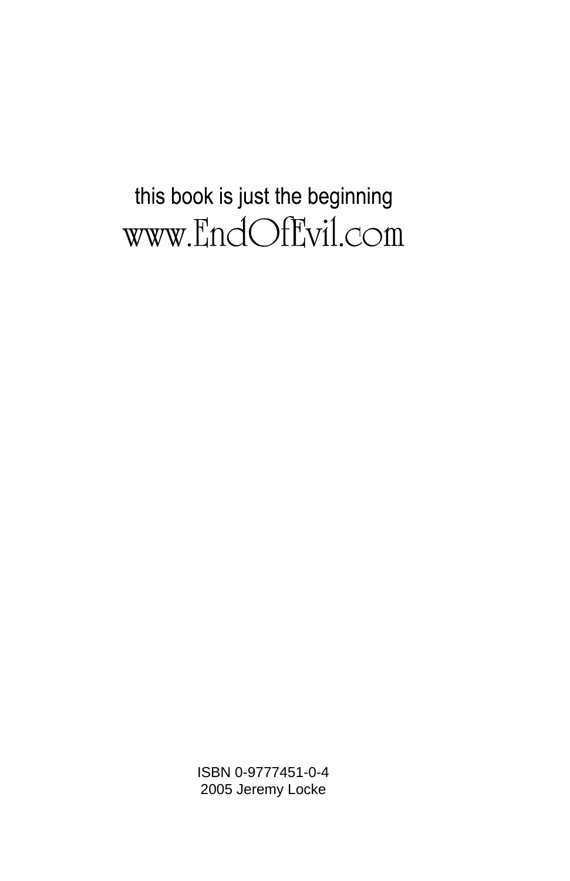## this book is just the beginning www.EndOfEvil.com

ISBN 0-9777451-0-4 2005 Jeremy Locke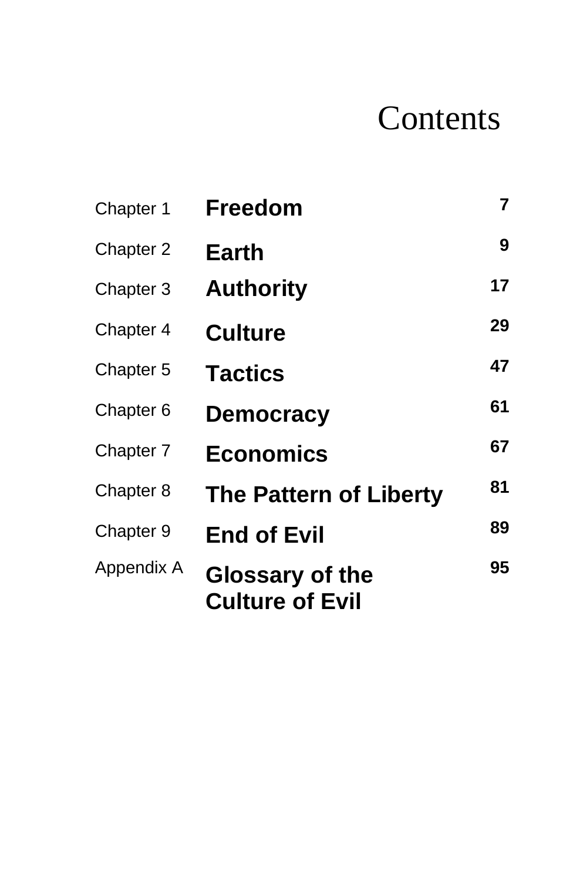## **Contents**

| Chapter 1  | <b>Freedom</b>                                   | $\overline{7}$ |
|------------|--------------------------------------------------|----------------|
| Chapter 2  | Earth                                            | 9              |
| Chapter 3  | <b>Authority</b>                                 | 17             |
| Chapter 4  | <b>Culture</b>                                   | 29             |
| Chapter 5  | <b>Tactics</b>                                   | 47             |
| Chapter 6  | <b>Democracy</b>                                 | 61             |
| Chapter 7  | <b>Economics</b>                                 | 67             |
| Chapter 8  | <b>The Pattern of Liberty</b>                    | 81             |
| Chapter 9  | <b>End of Evil</b>                               | 89             |
| Appendix A | <b>Glossary of the</b><br><b>Culture of Evil</b> | 95             |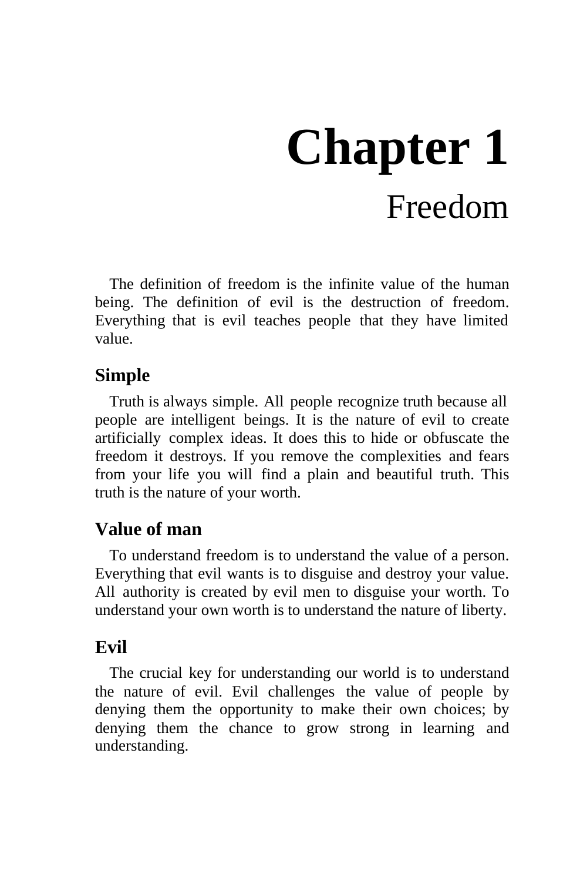## **Chapter 1** Freedom

The definition of freedom is the infinite value of the human being. The definition of evil is the destruction of freedom. Everything that is evil teaches people that they have limited value.

#### **Simple**

Truth is always simple. All people recognize truth because all people are intelligent beings. It is the nature of evil to create artificially complex ideas. It does this to hide or obfuscate the freedom it destroys. If you remove the complexities and fears from your life you will find a plain and beautiful truth. This truth is the nature of your worth.

#### **Value of man**

To understand freedom is to understand the value of a person. Everything that evil wants is to disguise and destroy your value. All authority is created by evil men to disguise your worth. To understand your own worth is to understand the nature of liberty.

#### **Evil**

The crucial key for understanding our world is to understand the nature of evil. Evil challenges the value of people by denying them the opportunity to make their own choices; by denying them the chance to grow strong in learning and understanding.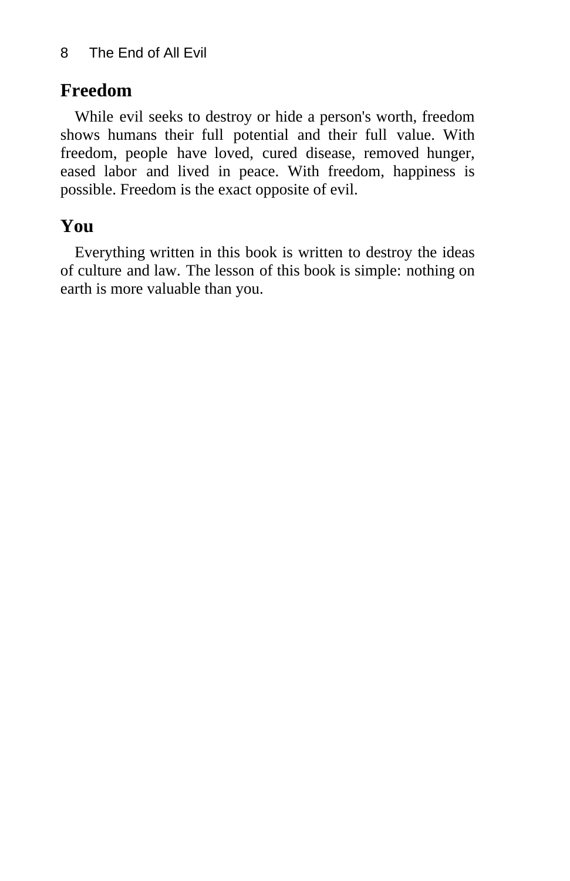#### **Freedom**

While evil seeks to destroy or hide a person's worth, freedom shows humans their full potential and their full value. With freedom, people have loved, cured disease, removed hunger, eased labor and lived in peace. With freedom, happiness is possible. Freedom is the exact opposite of evil.

#### **You**

Everything written in this book is written to destroy the ideas of culture and law. The lesson of this book is simple: nothing on earth is more valuable than you.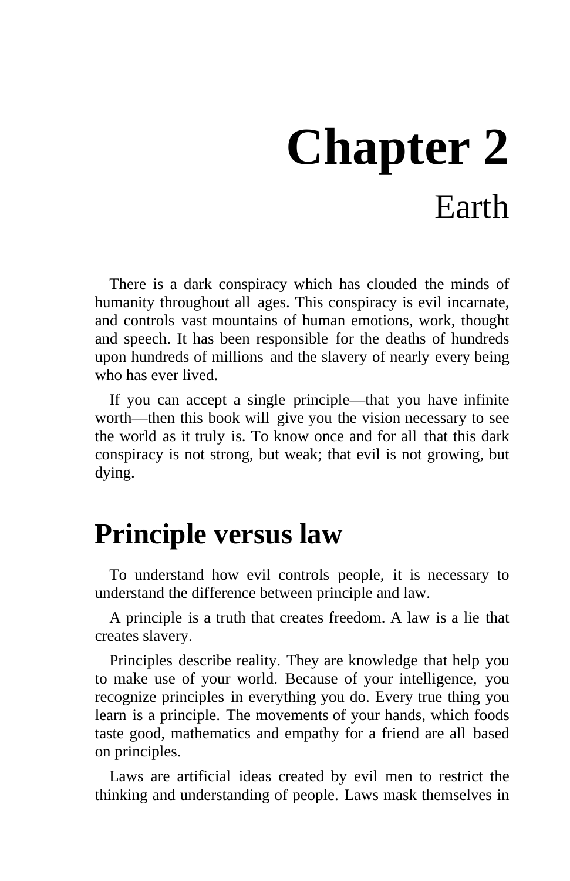## **Chapter 2** Earth

There is a dark conspiracy which has clouded the minds of humanity throughout all ages. This conspiracy is evil incarnate, and controls vast mountains of human emotions, work, thought and speech. It has been responsible for the deaths of hundreds upon hundreds of millions and the slavery of nearly every being who has ever lived.

If you can accept a single principle—that you have infinite worth—then this book will give you the vision necessary to see the world as it truly is. To know once and for all that this dark conspiracy is not strong, but weak; that evil is not growing, but dying.

#### **Principle versus law**

To understand how evil controls people, it is necessary to understand the difference between principle and law.

A principle is a truth that creates freedom. A law is a lie that creates slavery.

Principles describe reality. They are knowledge that help you to make use of your world. Because of your intelligence, you recognize principles in everything you do. Every true thing you learn is a principle. The movements of your hands, which foods taste good, mathematics and empathy for a friend are all based on principles.

Laws are artificial ideas created by evil men to restrict the thinking and understanding of people. Laws mask themselves in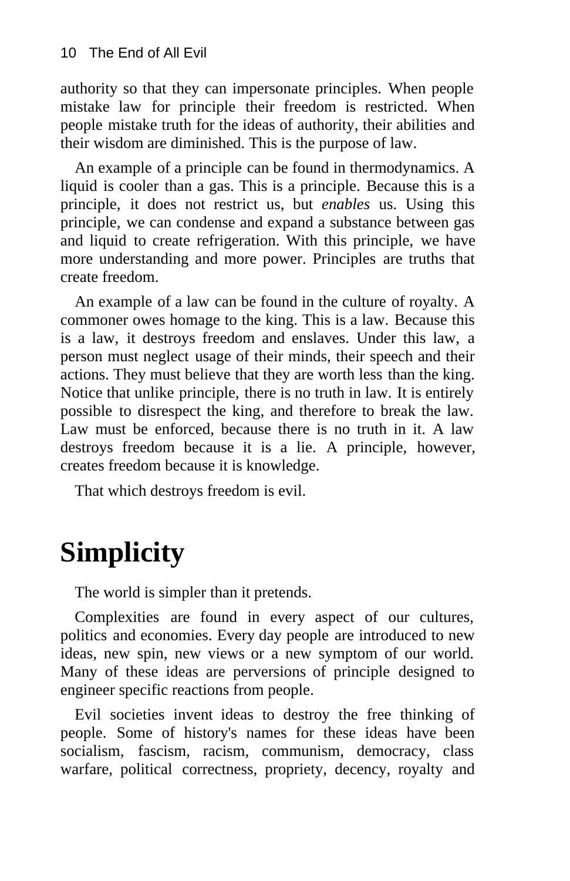authority so that they can impersonate principles. When people mistake law for principle their freedom is restricted. When people mistake truth for the ideas of authority, their abilities and their wisdom are diminished. This is the purpose of law.

An example of a principle can be found in thermodynamics. A liquid is cooler than a gas. This is a principle. Because this is a principle, it does not restrict us, but *enables* us. Using this principle, we can condense and expand a substance between gas and liquid to create refrigeration. With this principle, we have more understanding and more power. Principles are truths that create freedom.

An example of a law can be found in the culture of royalty. A commoner owes homage to the king. This is a law. Because this is a law, it destroys freedom and enslaves. Under this law, a person must neglect usage of their minds, their speech and their actions. They must believe that they are worth less than the king. Notice that unlike principle, there is no truth in law. It is entirely possible to disrespect the king, and therefore to break the law. Law must be enforced, because there is no truth in it. A law destroys freedom because it is a lie. A principle, however, creates freedom because it is knowledge.

That which destroys freedom is evil.

## **Simplicity**

The world is simpler than it pretends.

Complexities are found in every aspect of our cultures, politics and economies. Every day people are introduced to new ideas, new spin, new views or a new symptom of our world. Many of these ideas are perversions of principle designed to engineer specific reactions from people.

Evil societies invent ideas to destroy the free thinking of people. Some of history's names for these ideas have been socialism, fascism, racism, communism, democracy, class warfare, political correctness, propriety, decency, royalty and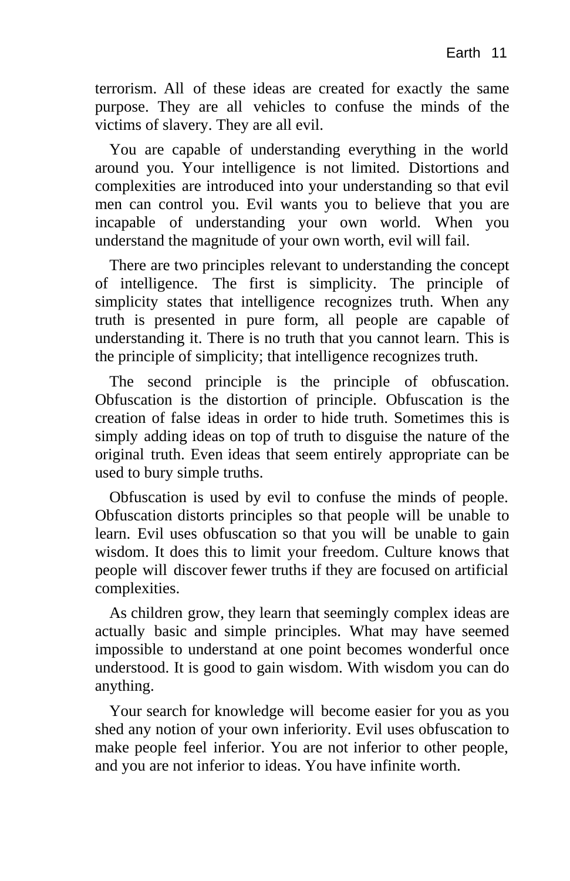terrorism. All of these ideas are created for exactly the same purpose. They are all vehicles to confuse the minds of the victims of slavery. They are all evil.

You are capable of understanding everything in the world around you. Your intelligence is not limited. Distortions and complexities are introduced into your understanding so that evil men can control you. Evil wants you to believe that you are incapable of understanding your own world. When you understand the magnitude of your own worth, evil will fail.

There are two principles relevant to understanding the concept of intelligence. The first is simplicity. The principle of simplicity states that intelligence recognizes truth. When any truth is presented in pure form, all people are capable of understanding it. There is no truth that you cannot learn. This is the principle of simplicity; that intelligence recognizes truth.

The second principle is the principle of obfuscation. Obfuscation is the distortion of principle. Obfuscation is the creation of false ideas in order to hide truth. Sometimes this is simply adding ideas on top of truth to disguise the nature of the original truth. Even ideas that seem entirely appropriate can be used to bury simple truths.

Obfuscation is used by evil to confuse the minds of people. Obfuscation distorts principles so that people will be unable to learn. Evil uses obfuscation so that you will be unable to gain wisdom. It does this to limit your freedom. Culture knows that people will discover fewer truths if they are focused on artificial complexities.

As children grow, they learn that seemingly complex ideas are actually basic and simple principles. What may have seemed impossible to understand at one point becomes wonderful once understood. It is good to gain wisdom. With wisdom you can do anything.

Your search for knowledge will become easier for you as you shed any notion of your own inferiority. Evil uses obfuscation to make people feel inferior. You are not inferior to other people, and you are not inferior to ideas. You have infinite worth.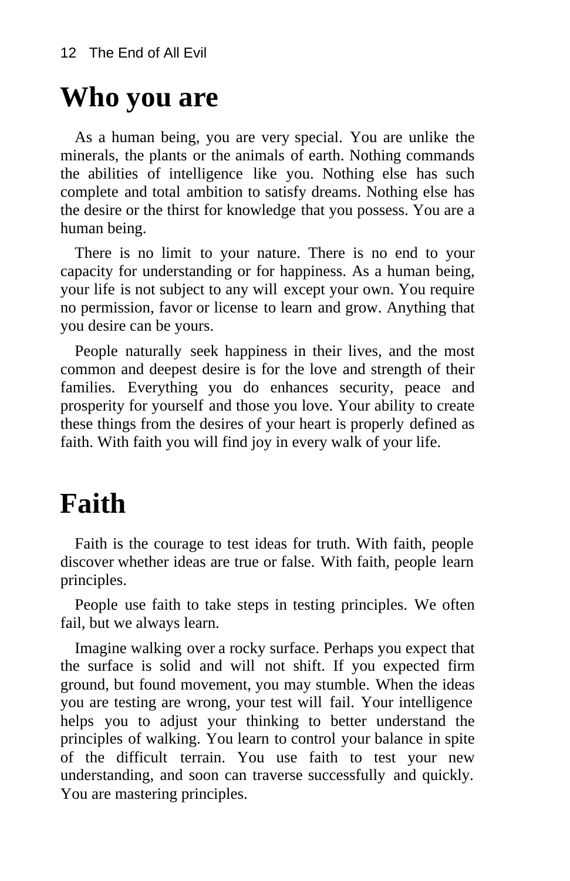### **Who you are**

As a human being, you are very special. You are unlike the minerals, the plants or the animals of earth. Nothing commands the abilities of intelligence like you. Nothing else has such complete and total ambition to satisfy dreams. Nothing else has the desire or the thirst for knowledge that you possess. You are a human being.

There is no limit to your nature. There is no end to your capacity for understanding or for happiness. As a human being, your life is not subject to any will except your own. You require no permission, favor or license to learn and grow. Anything that you desire can be yours.

People naturally seek happiness in their lives, and the most common and deepest desire is for the love and strength of their families. Everything you do enhances security, peace and prosperity for yourself and those you love. Your ability to create these things from the desires of your heart is properly defined as faith. With faith you will find joy in every walk of your life.

### **Faith**

Faith is the courage to test ideas for truth. With faith, people discover whether ideas are true or false. With faith, people learn principles.

People use faith to take steps in testing principles. We often fail, but we always learn.

Imagine walking over a rocky surface. Perhaps you expect that the surface is solid and will not shift. If you expected firm ground, but found movement, you may stumble. When the ideas you are testing are wrong, your test will fail. Your intelligence helps you to adjust your thinking to better understand the principles of walking. You learn to control your balance in spite of the difficult terrain. You use faith to test your new understanding, and soon can traverse successfully and quickly. You are mastering principles.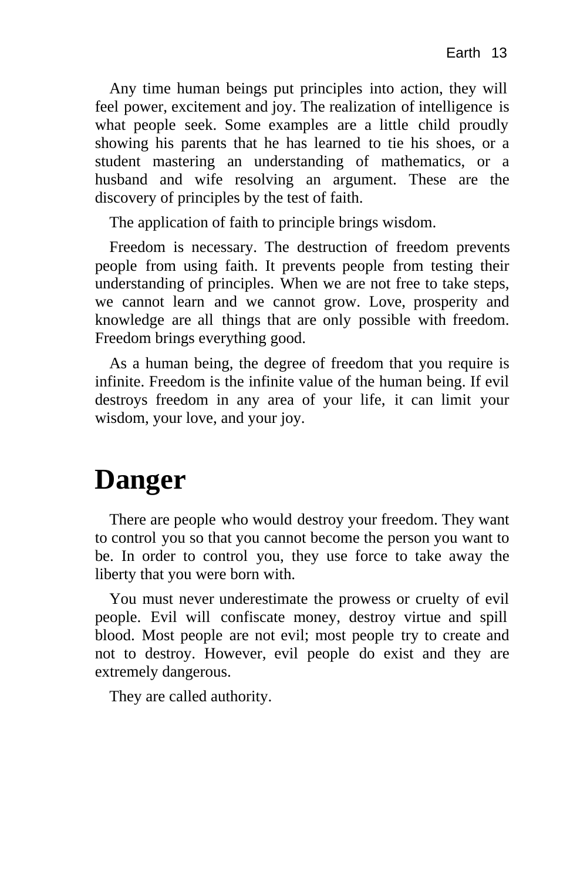Any time human beings put principles into action, they will feel power, excitement and joy. The realization of intelligence is what people seek. Some examples are a little child proudly showing his parents that he has learned to tie his shoes, or a student mastering an understanding of mathematics, or a husband and wife resolving an argument. These are the discovery of principles by the test of faith.

The application of faith to principle brings wisdom.

Freedom is necessary. The destruction of freedom prevents people from using faith. It prevents people from testing their understanding of principles. When we are not free to take steps, we cannot learn and we cannot grow. Love, prosperity and knowledge are all things that are only possible with freedom. Freedom brings everything good.

As a human being, the degree of freedom that you require is infinite. Freedom is the infinite value of the human being. If evil destroys freedom in any area of your life, it can limit your wisdom, your love, and your joy.

#### **Danger**

There are people who would destroy your freedom. They want to control you so that you cannot become the person you want to be. In order to control you, they use force to take away the liberty that you were born with.

You must never underestimate the prowess or cruelty of evil people. Evil will confiscate money, destroy virtue and spill blood. Most people are not evil; most people try to create and not to destroy. However, evil people do exist and they are extremely dangerous.

They are called authority.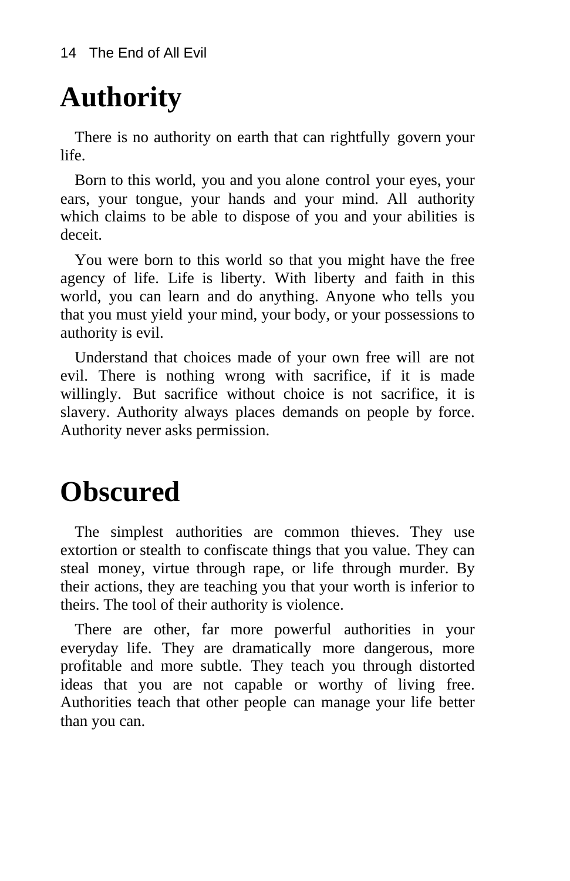## **Authority**

There is no authority on earth that can rightfully govern your life.

Born to this world, you and you alone control your eyes, your ears, your tongue, your hands and your mind. All authority which claims to be able to dispose of you and your abilities is deceit.

You were born to this world so that you might have the free agency of life. Life is liberty. With liberty and faith in this world, you can learn and do anything. Anyone who tells you that you must yield your mind, your body, or your possessions to authority is evil.

Understand that choices made of your own free will are not evil. There is nothing wrong with sacrifice, if it is made willingly. But sacrifice without choice is not sacrifice, it is slavery. Authority always places demands on people by force. Authority never asks permission.

## **Obscured**

The simplest authorities are common thieves. They use extortion or stealth to confiscate things that you value. They can steal money, virtue through rape, or life through murder. By their actions, they are teaching you that your worth is inferior to theirs. The tool of their authority is violence.

There are other, far more powerful authorities in your everyday life. They are dramatically more dangerous, more profitable and more subtle. They teach you through distorted ideas that you are not capable or worthy of living free. Authorities teach that other people can manage your life better than you can.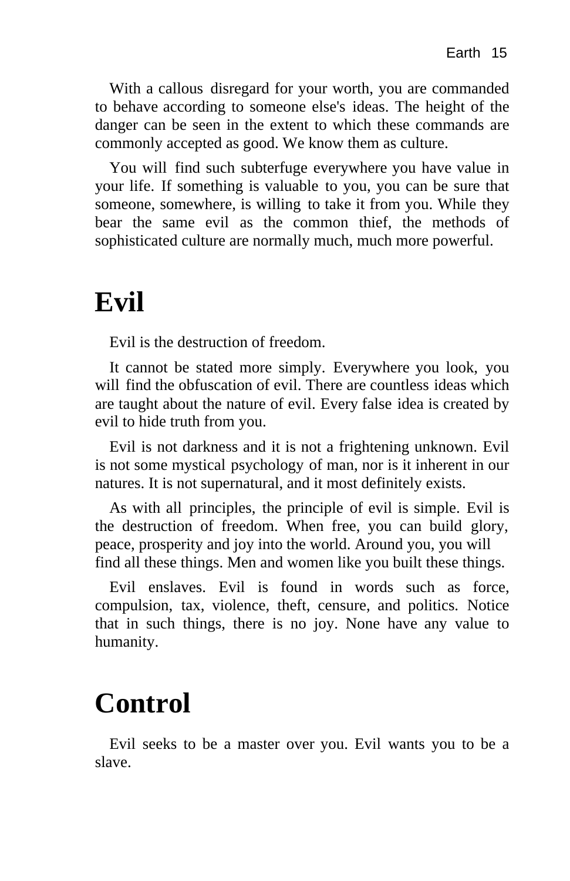With a callous disregard for your worth, you are commanded to behave according to someone else's ideas. The height of the danger can be seen in the extent to which these commands are commonly accepted as good. We know them as culture.

You will find such subterfuge everywhere you have value in your life. If something is valuable to you, you can be sure that someone, somewhere, is willing to take it from you. While they bear the same evil as the common thief, the methods of sophisticated culture are normally much, much more powerful.

#### **Evil**

Evil is the destruction of freedom.

It cannot be stated more simply. Everywhere you look, you will find the obfuscation of evil. There are countless ideas which are taught about the nature of evil. Every false idea is created by evil to hide truth from you.

Evil is not darkness and it is not a frightening unknown. Evil is not some mystical psychology of man, nor is it inherent in our natures. It is not supernatural, and it most definitely exists.

As with all principles, the principle of evil is simple. Evil is the destruction of freedom. When free, you can build glory, peace, prosperity and joy into the world. Around you, you will find all these things. Men and women like you built these things.

Evil enslaves. Evil is found in words such as force, compulsion, tax, violence, theft, censure, and politics. Notice that in such things, there is no joy. None have any value to humanity.

## **Control**

Evil seeks to be a master over you. Evil wants you to be a slave.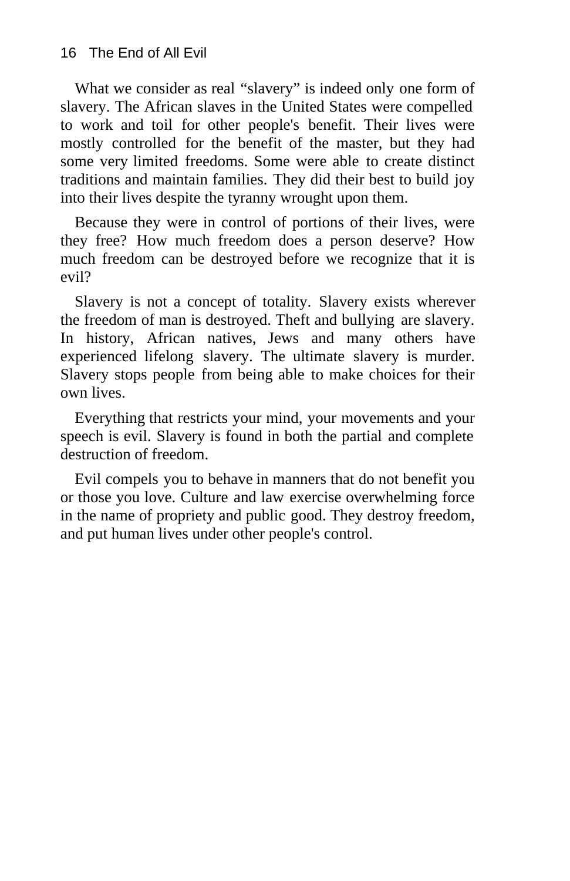What we consider as real "slavery" is indeed only one form of slavery. The African slaves in the United States were compelled to work and toil for other people's benefit. Their lives were mostly controlled for the benefit of the master, but they had some very limited freedoms. Some were able to create distinct traditions and maintain families. They did their best to build joy into their lives despite the tyranny wrought upon them.

Because they were in control of portions of their lives, were they free? How much freedom does a person deserve? How much freedom can be destroyed before we recognize that it is evil?

Slavery is not a concept of totality. Slavery exists wherever the freedom of man is destroyed. Theft and bullying are slavery. In history, African natives, Jews and many others have experienced lifelong slavery. The ultimate slavery is murder. Slavery stops people from being able to make choices for their own lives.

Everything that restricts your mind, your movements and your speech is evil. Slavery is found in both the partial and complete destruction of freedom.

Evil compels you to behave in manners that do not benefit you or those you love. Culture and law exercise overwhelming force in the name of propriety and public good. They destroy freedom, and put human lives under other people's control.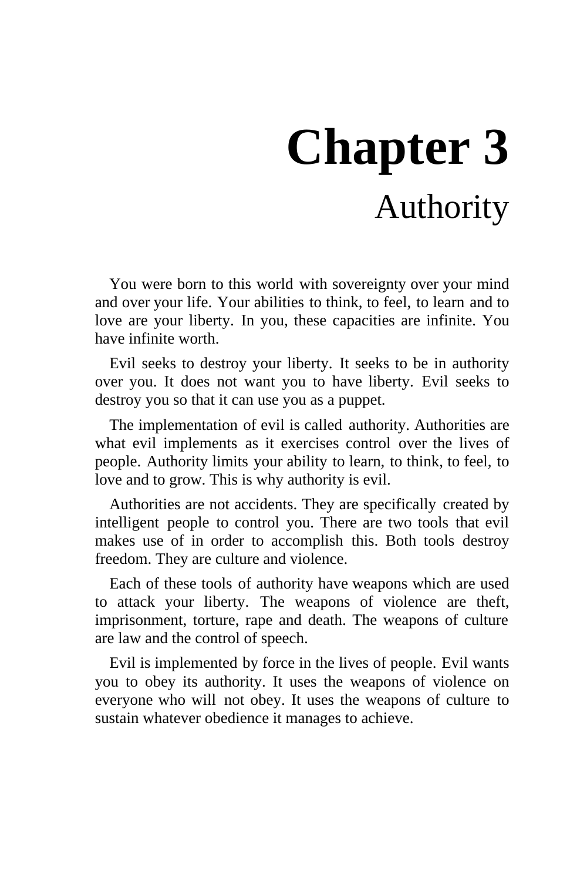## **Chapter 3** Authority

You were born to this world with sovereignty over your mind and over your life. Your abilities to think, to feel, to learn and to love are your liberty. In you, these capacities are infinite. You have infinite worth.

Evil seeks to destroy your liberty. It seeks to be in authority over you. It does not want you to have liberty. Evil seeks to destroy you so that it can use you as a puppet.

The implementation of evil is called authority. Authorities are what evil implements as it exercises control over the lives of people. Authority limits your ability to learn, to think, to feel, to love and to grow. This is why authority is evil.

Authorities are not accidents. They are specifically created by intelligent people to control you. There are two tools that evil makes use of in order to accomplish this. Both tools destroy freedom. They are culture and violence.

Each of these tools of authority have weapons which are used to attack your liberty. The weapons of violence are theft, imprisonment, torture, rape and death. The weapons of culture are law and the control of speech.

Evil is implemented by force in the lives of people. Evil wants you to obey its authority. It uses the weapons of violence on everyone who will not obey. It uses the weapons of culture to sustain whatever obedience it manages to achieve.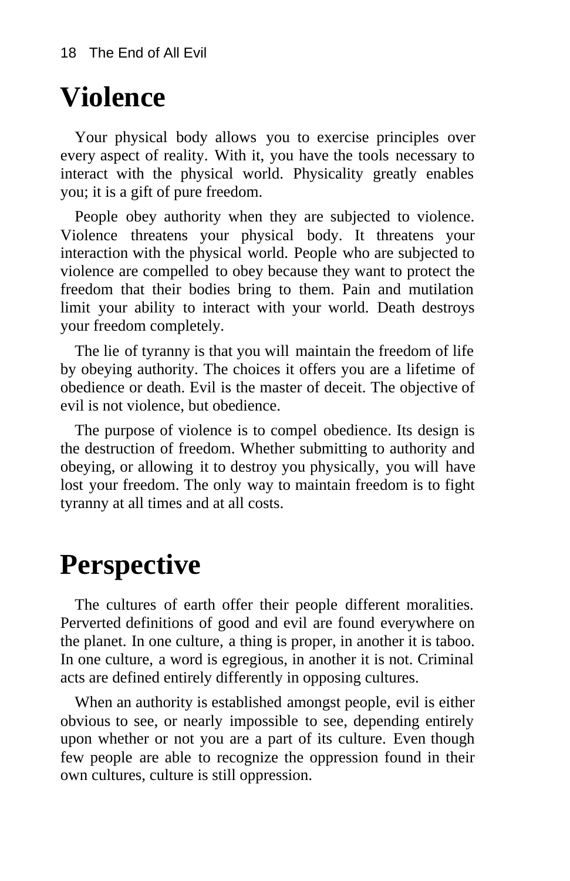## **Violence**

Your physical body allows you to exercise principles over every aspect of reality. With it, you have the tools necessary to interact with the physical world. Physicality greatly enables you; it is a gift of pure freedom.

People obey authority when they are subjected to violence. Violence threatens your physical body. It threatens your interaction with the physical world. People who are subjected to violence are compelled to obey because they want to protect the freedom that their bodies bring to them. Pain and mutilation limit your ability to interact with your world. Death destroys your freedom completely.

The lie of tyranny is that you will maintain the freedom of life by obeying authority. The choices it offers you are a lifetime of obedience or death. Evil is the master of deceit. The objective of evil is not violence, but obedience.

The purpose of violence is to compel obedience. Its design is the destruction of freedom. Whether submitting to authority and obeying, or allowing it to destroy you physically, you will have lost your freedom. The only way to maintain freedom is to fight tyranny at all times and at all costs.

### **Perspective**

The cultures of earth offer their people different moralities. Perverted definitions of good and evil are found everywhere on the planet. In one culture, a thing is proper, in another it is taboo. In one culture, a word is egregious, in another it is not. Criminal acts are defined entirely differently in opposing cultures.

When an authority is established amongst people, evil is either obvious to see, or nearly impossible to see, depending entirely upon whether or not you are a part of its culture. Even though few people are able to recognize the oppression found in their own cultures, culture is still oppression.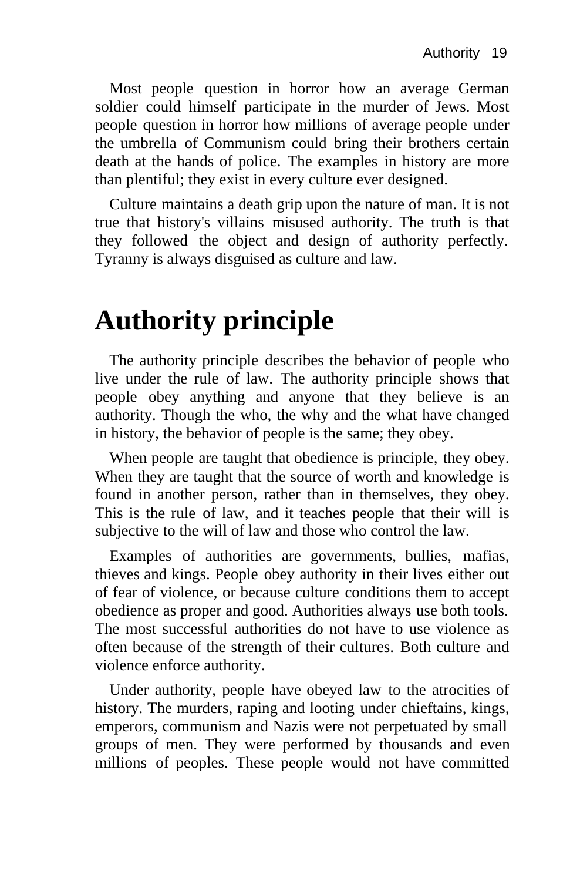Most people question in horror how an average German soldier could himself participate in the murder of Jews. Most people question in horror how millions of average people under the umbrella of Communism could bring their brothers certain death at the hands of police. The examples in history are more than plentiful; they exist in every culture ever designed.

Culture maintains a death grip upon the nature of man. It is not true that history's villains misused authority. The truth is that they followed the object and design of authority perfectly. Tyranny is always disguised as culture and law.

#### **Authority principle**

The authority principle describes the behavior of people who live under the rule of law. The authority principle shows that people obey anything and anyone that they believe is an authority. Though the who, the why and the what have changed in history, the behavior of people is the same; they obey.

When people are taught that obedience is principle, they obey. When they are taught that the source of worth and knowledge is found in another person, rather than in themselves, they obey. This is the rule of law, and it teaches people that their will is subjective to the will of law and those who control the law.

Examples of authorities are governments, bullies, mafias, thieves and kings. People obey authority in their lives either out of fear of violence, or because culture conditions them to accept obedience as proper and good. Authorities always use both tools. The most successful authorities do not have to use violence as often because of the strength of their cultures. Both culture and violence enforce authority.

Under authority, people have obeyed law to the atrocities of history. The murders, raping and looting under chieftains, kings, emperors, communism and Nazis were not perpetuated by small groups of men. They were performed by thousands and even millions of peoples. These people would not have committed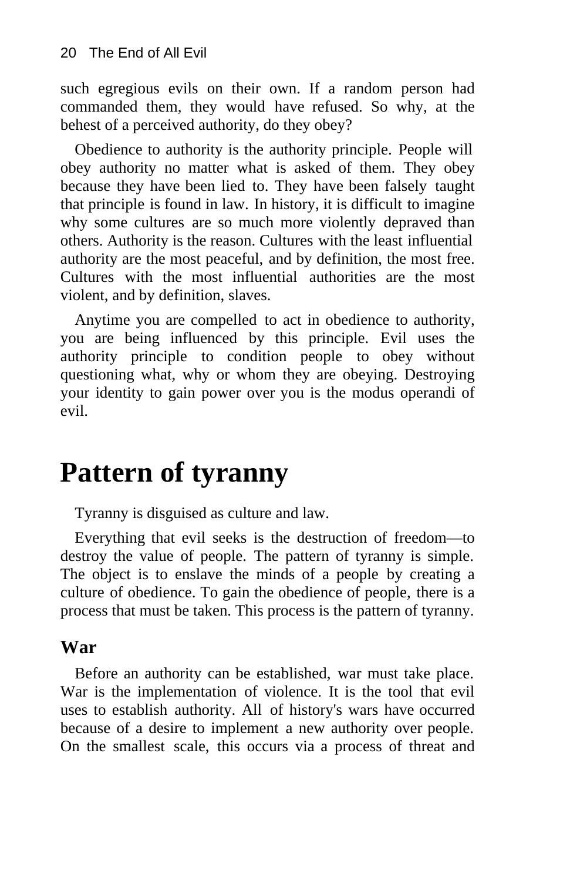such egregious evils on their own. If a random person had commanded them, they would have refused. So why, at the behest of a perceived authority, do they obey?

Obedience to authority is the authority principle. People will obey authority no matter what is asked of them. They obey because they have been lied to. They have been falsely taught that principle is found in law. In history, it is difficult to imagine why some cultures are so much more violently depraved than others. Authority is the reason. Cultures with the least influential authority are the most peaceful, and by definition, the most free. Cultures with the most influential authorities are the most violent, and by definition, slaves.

Anytime you are compelled to act in obedience to authority, you are being influenced by this principle. Evil uses the authority principle to condition people to obey without questioning what, why or whom they are obeying. Destroying your identity to gain power over you is the modus operandi of evil.

#### **Pattern of tyranny**

Tyranny is disguised as culture and law.

Everything that evil seeks is the destruction of freedom—to destroy the value of people. The pattern of tyranny is simple. The object is to enslave the minds of a people by creating a culture of obedience. To gain the obedience of people, there is a process that must be taken. This process is the pattern of tyranny.

#### **War**

Before an authority can be established, war must take place. War is the implementation of violence. It is the tool that evil uses to establish authority. All of history's wars have occurred because of a desire to implement a new authority over people. On the smallest scale, this occurs via a process of threat and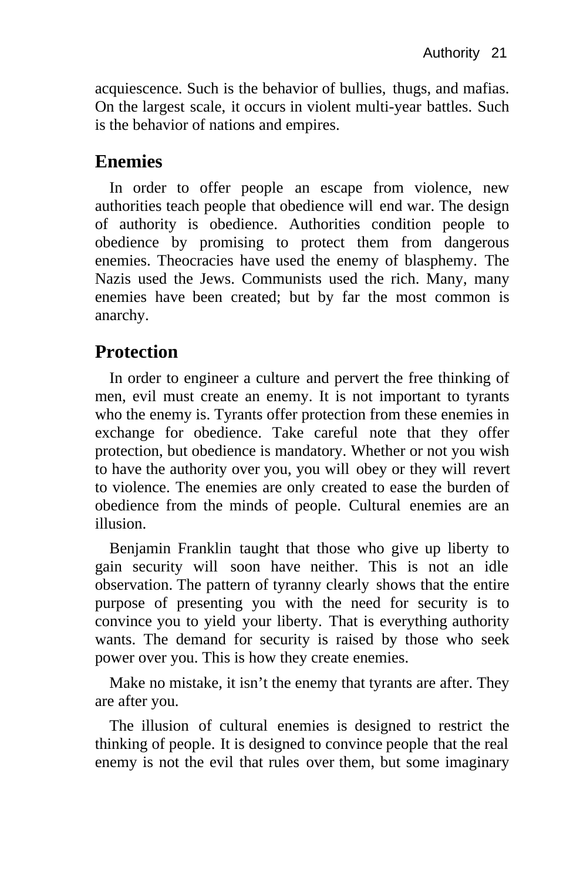acquiescence. Such is the behavior of bullies, thugs, and mafias. On the largest scale, it occurs in violent multi-year battles. Such is the behavior of nations and empires.

#### **Enemies**

In order to offer people an escape from violence, new authorities teach people that obedience will end war. The design of authority is obedience. Authorities condition people to obedience by promising to protect them from dangerous enemies. Theocracies have used the enemy of blasphemy. The Nazis used the Jews. Communists used the rich. Many, many enemies have been created; but by far the most common is anarchy.

#### **Protection**

In order to engineer a culture and pervert the free thinking of men, evil must create an enemy. It is not important to tyrants who the enemy is. Tyrants offer protection from these enemies in exchange for obedience. Take careful note that they offer protection, but obedience is mandatory. Whether or not you wish to have the authority over you, you will obey or they will revert to violence. The enemies are only created to ease the burden of obedience from the minds of people. Cultural enemies are an illusion.

Benjamin Franklin taught that those who give up liberty to gain security will soon have neither. This is not an idle observation. The pattern of tyranny clearly shows that the entire purpose of presenting you with the need for security is to convince you to yield your liberty. That is everything authority wants. The demand for security is raised by those who seek power over you. This is how they create enemies.

Make no mistake, it isn't the enemy that tyrants are after. They are after you.

The illusion of cultural enemies is designed to restrict the thinking of people. It is designed to convince people that the real enemy is not the evil that rules over them, but some imaginary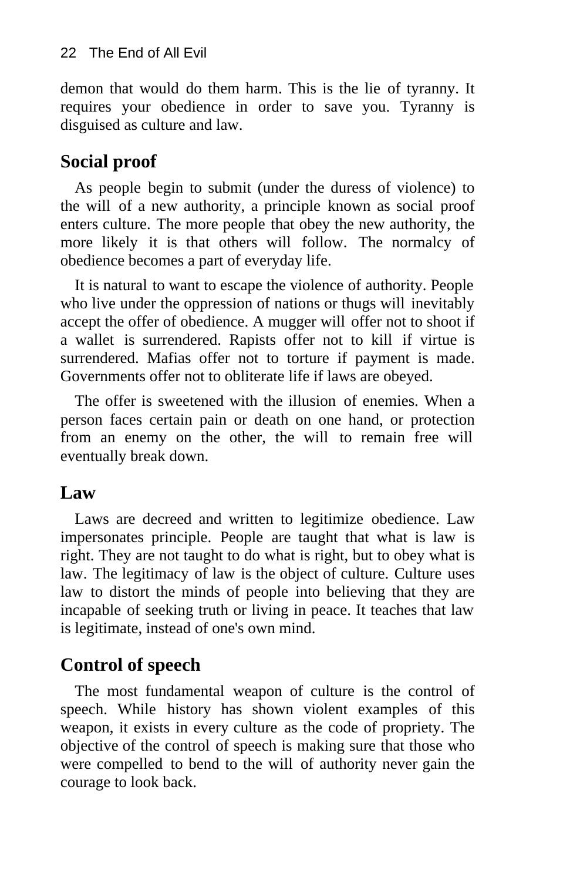demon that would do them harm. This is the lie of tyranny. It requires your obedience in order to save you. Tyranny is disguised as culture and law.

#### **Social proof**

As people begin to submit (under the duress of violence) to the will of a new authority, a principle known as social proof enters culture. The more people that obey the new authority, the more likely it is that others will follow. The normalcy of obedience becomes a part of everyday life.

It is natural to want to escape the violence of authority. People who live under the oppression of nations or thugs will inevitably accept the offer of obedience. A mugger will offer not to shoot if a wallet is surrendered. Rapists offer not to kill if virtue is surrendered. Mafias offer not to torture if payment is made. Governments offer not to obliterate life if laws are obeyed.

The offer is sweetened with the illusion of enemies. When a person faces certain pain or death on one hand, or protection from an enemy on the other, the will to remain free will eventually break down.

#### **Law**

Laws are decreed and written to legitimize obedience. Law impersonates principle. People are taught that what is law is right. They are not taught to do what is right, but to obey what is law. The legitimacy of law is the object of culture. Culture uses law to distort the minds of people into believing that they are incapable of seeking truth or living in peace. It teaches that law is legitimate, instead of one's own mind.

#### **Control of speech**

The most fundamental weapon of culture is the control of speech. While history has shown violent examples of this weapon, it exists in every culture as the code of propriety. The objective of the control of speech is making sure that those who were compelled to bend to the will of authority never gain the courage to look back.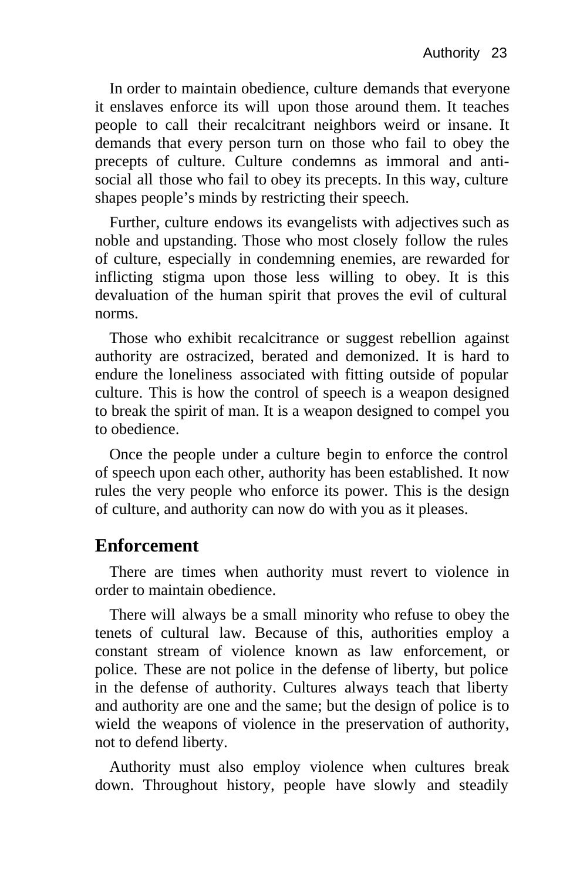In order to maintain obedience, culture demands that everyone it enslaves enforce its will upon those around them. It teaches people to call their recalcitrant neighbors weird or insane. It demands that every person turn on those who fail to obey the precepts of culture. Culture condemns as immoral and antisocial all those who fail to obey its precepts. In this way, culture shapes people's minds by restricting their speech.

Further, culture endows its evangelists with adjectives such as noble and upstanding. Those who most closely follow the rules of culture, especially in condemning enemies, are rewarded for inflicting stigma upon those less willing to obey. It is this devaluation of the human spirit that proves the evil of cultural norms.

Those who exhibit recalcitrance or suggest rebellion against authority are ostracized, berated and demonized. It is hard to endure the loneliness associated with fitting outside of popular culture. This is how the control of speech is a weapon designed to break the spirit of man. It is a weapon designed to compel you to obedience.

Once the people under a culture begin to enforce the control of speech upon each other, authority has been established. It now rules the very people who enforce its power. This is the design of culture, and authority can now do with you as it pleases.

#### **Enforcement**

There are times when authority must revert to violence in order to maintain obedience.

There will always be a small minority who refuse to obey the tenets of cultural law. Because of this, authorities employ a constant stream of violence known as law enforcement, or police. These are not police in the defense of liberty, but police in the defense of authority. Cultures always teach that liberty and authority are one and the same; but the design of police is to wield the weapons of violence in the preservation of authority, not to defend liberty.

Authority must also employ violence when cultures break down. Throughout history, people have slowly and steadily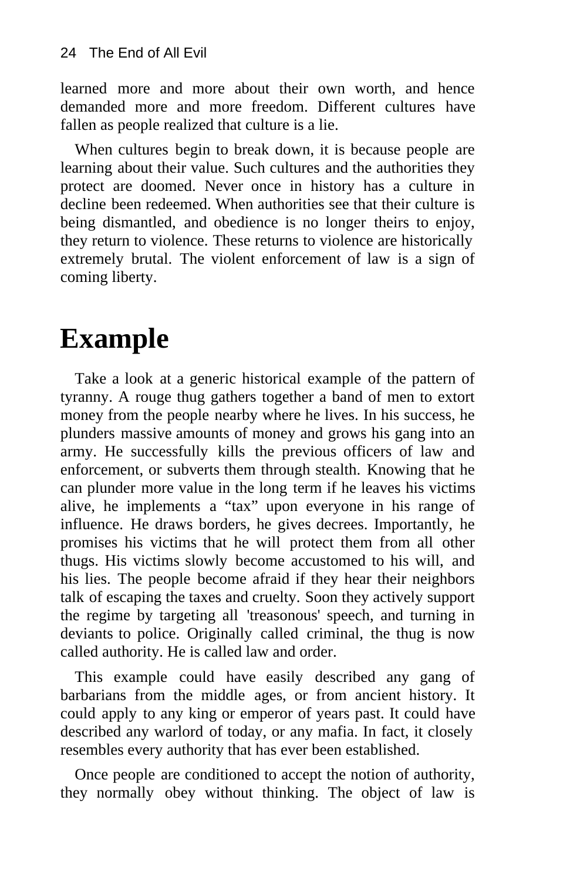learned more and more about their own worth, and hence demanded more and more freedom. Different cultures have fallen as people realized that culture is a lie.

When cultures begin to break down, it is because people are learning about their value. Such cultures and the authorities they protect are doomed. Never once in history has a culture in decline been redeemed. When authorities see that their culture is being dismantled, and obedience is no longer theirs to enjoy, they return to violence. These returns to violence are historically extremely brutal. The violent enforcement of law is a sign of coming liberty.

## **Example**

Take a look at a generic historical example of the pattern of tyranny. A rouge thug gathers together a band of men to extort money from the people nearby where he lives. In his success, he plunders massive amounts of money and grows his gang into an army. He successfully kills the previous officers of law and enforcement, or subverts them through stealth. Knowing that he can plunder more value in the long term if he leaves his victims alive, he implements a "tax" upon everyone in his range of influence. He draws borders, he gives decrees. Importantly, he promises his victims that he will protect them from all other thugs. His victims slowly become accustomed to his will, and his lies. The people become afraid if they hear their neighbors talk of escaping the taxes and cruelty. Soon they actively support the regime by targeting all 'treasonous' speech, and turning in deviants to police. Originally called criminal, the thug is now called authority. He is called law and order.

This example could have easily described any gang of barbarians from the middle ages, or from ancient history. It could apply to any king or emperor of years past. It could have described any warlord of today, or any mafia. In fact, it closely resembles every authority that has ever been established.

Once people are conditioned to accept the notion of authority, they normally obey without thinking. The object of law is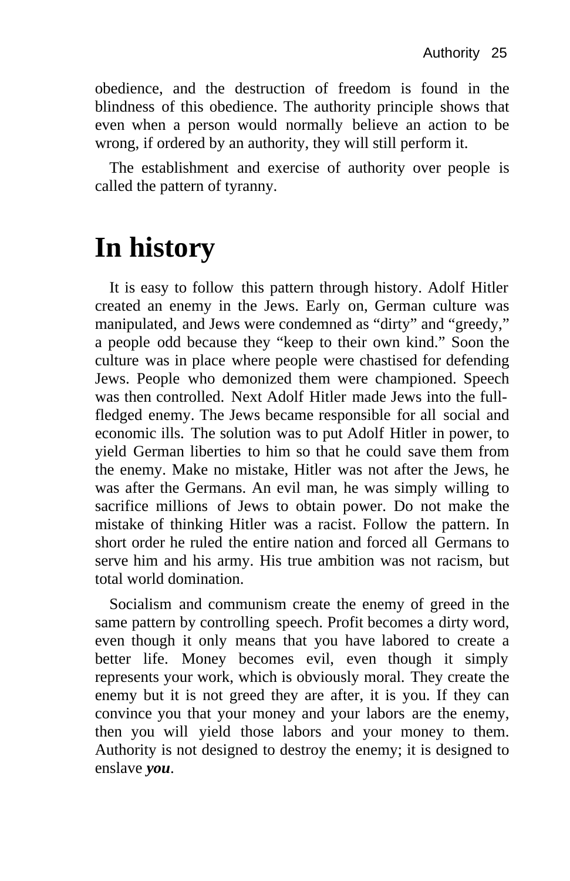obedience, and the destruction of freedom is found in the blindness of this obedience. The authority principle shows that even when a person would normally believe an action to be wrong, if ordered by an authority, they will still perform it.

The establishment and exercise of authority over people is called the pattern of tyranny.

### **In history**

It is easy to follow this pattern through history. Adolf Hitler created an enemy in the Jews. Early on, German culture was manipulated, and Jews were condemned as "dirty" and "greedy," a people odd because they "keep to their own kind." Soon the culture was in place where people were chastised for defending Jews. People who demonized them were championed. Speech was then controlled. Next Adolf Hitler made Jews into the fullfledged enemy. The Jews became responsible for all social and economic ills. The solution was to put Adolf Hitler in power, to yield German liberties to him so that he could save them from the enemy. Make no mistake, Hitler was not after the Jews, he was after the Germans. An evil man, he was simply willing to sacrifice millions of Jews to obtain power. Do not make the mistake of thinking Hitler was a racist. Follow the pattern. In short order he ruled the entire nation and forced all Germans to serve him and his army. His true ambition was not racism, but total world domination.

Socialism and communism create the enemy of greed in the same pattern by controlling speech. Profit becomes a dirty word, even though it only means that you have labored to create a better life. Money becomes evil, even though it simply represents your work, which is obviously moral. They create the enemy but it is not greed they are after, it is you. If they can convince you that your money and your labors are the enemy, then you will yield those labors and your money to them. Authority is not designed to destroy the enemy; it is designed to enslave *you*.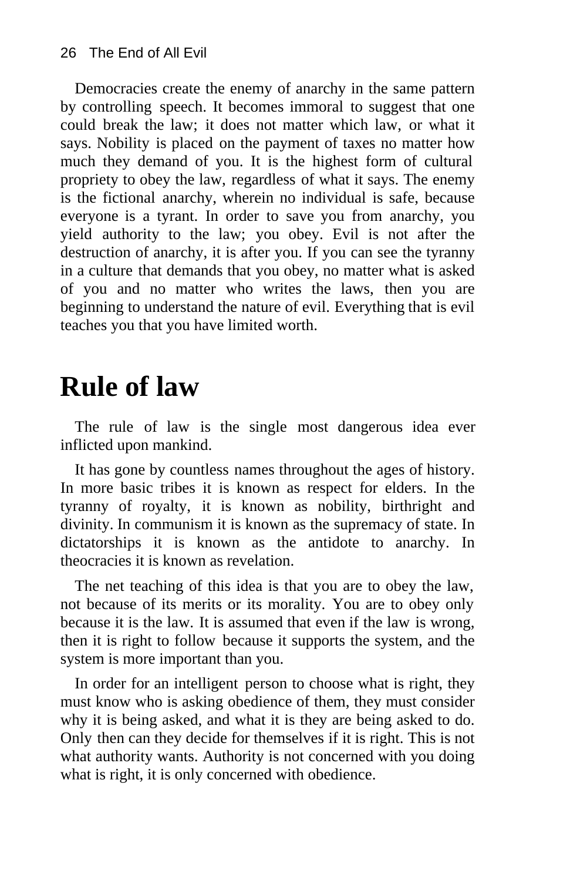Democracies create the enemy of anarchy in the same pattern by controlling speech. It becomes immoral to suggest that one could break the law; it does not matter which law, or what it says. Nobility is placed on the payment of taxes no matter how much they demand of you. It is the highest form of cultural propriety to obey the law, regardless of what it says. The enemy is the fictional anarchy, wherein no individual is safe, because everyone is a tyrant. In order to save you from anarchy, you yield authority to the law; you obey. Evil is not after the destruction of anarchy, it is after you. If you can see the tyranny in a culture that demands that you obey, no matter what is asked of you and no matter who writes the laws, then you are beginning to understand the nature of evil. Everything that is evil teaches you that you have limited worth.

#### **Rule of law**

The rule of law is the single most dangerous idea ever inflicted upon mankind.

It has gone by countless names throughout the ages of history. In more basic tribes it is known as respect for elders. In the tyranny of royalty, it is known as nobility, birthright and divinity. In communism it is known as the supremacy of state. In dictatorships it is known as the antidote to anarchy. In theocracies it is known as revelation.

The net teaching of this idea is that you are to obey the law, not because of its merits or its morality. You are to obey only because it is the law. It is assumed that even if the law is wrong, then it is right to follow because it supports the system, and the system is more important than you.

In order for an intelligent person to choose what is right, they must know who is asking obedience of them, they must consider why it is being asked, and what it is they are being asked to do. Only then can they decide for themselves if it is right. This is not what authority wants. Authority is not concerned with you doing what is right, it is only concerned with obedience.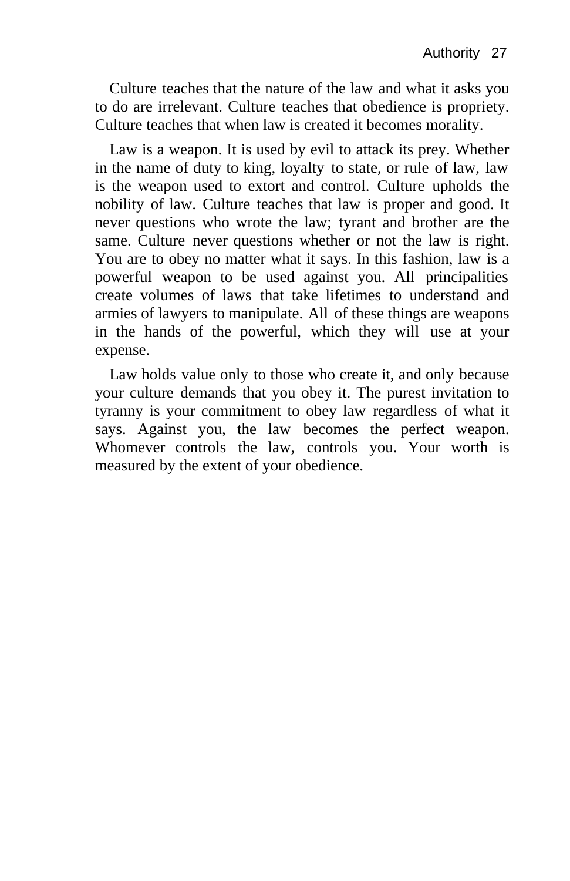Culture teaches that the nature of the law and what it asks you to do are irrelevant. Culture teaches that obedience is propriety. Culture teaches that when law is created it becomes morality.

Law is a weapon. It is used by evil to attack its prey. Whether in the name of duty to king, loyalty to state, or rule of law, law is the weapon used to extort and control. Culture upholds the nobility of law. Culture teaches that law is proper and good. It never questions who wrote the law; tyrant and brother are the same. Culture never questions whether or not the law is right. You are to obey no matter what it says. In this fashion, law is a powerful weapon to be used against you. All principalities create volumes of laws that take lifetimes to understand and armies of lawyers to manipulate. All of these things are weapons in the hands of the powerful, which they will use at your expense.

Law holds value only to those who create it, and only because your culture demands that you obey it. The purest invitation to tyranny is your commitment to obey law regardless of what it says. Against you, the law becomes the perfect weapon. Whomever controls the law, controls you. Your worth is measured by the extent of your obedience.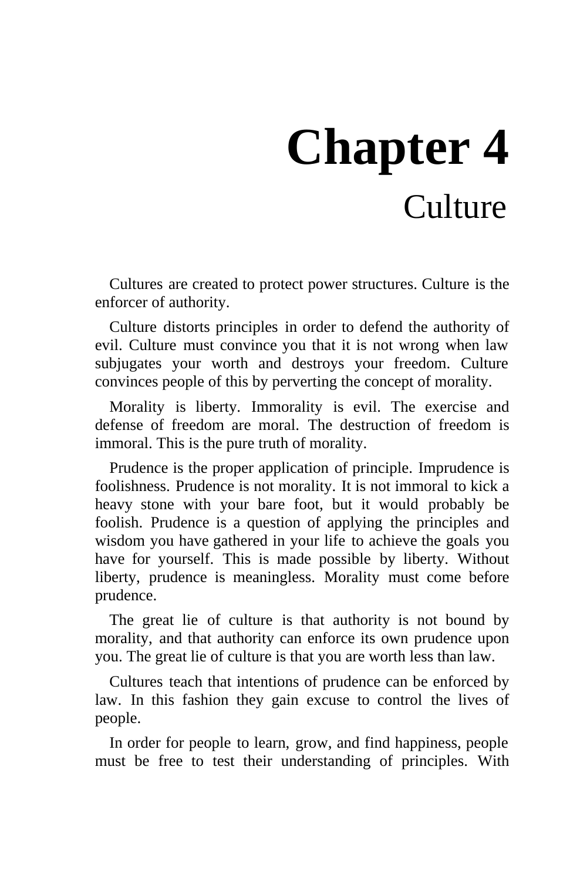## **Chapter 4** Culture

Cultures are created to protect power structures. Culture is the enforcer of authority.

Culture distorts principles in order to defend the authority of evil. Culture must convince you that it is not wrong when law subjugates your worth and destroys your freedom. Culture convinces people of this by perverting the concept of morality.

Morality is liberty. Immorality is evil. The exercise and defense of freedom are moral. The destruction of freedom is immoral. This is the pure truth of morality.

Prudence is the proper application of principle. Imprudence is foolishness. Prudence is not morality. It is not immoral to kick a heavy stone with your bare foot, but it would probably be foolish. Prudence is a question of applying the principles and wisdom you have gathered in your life to achieve the goals you have for yourself. This is made possible by liberty. Without liberty, prudence is meaningless. Morality must come before prudence.

The great lie of culture is that authority is not bound by morality, and that authority can enforce its own prudence upon you. The great lie of culture is that you are worth less than law.

Cultures teach that intentions of prudence can be enforced by law. In this fashion they gain excuse to control the lives of people.

In order for people to learn, grow, and find happiness, people must be free to test their understanding of principles. With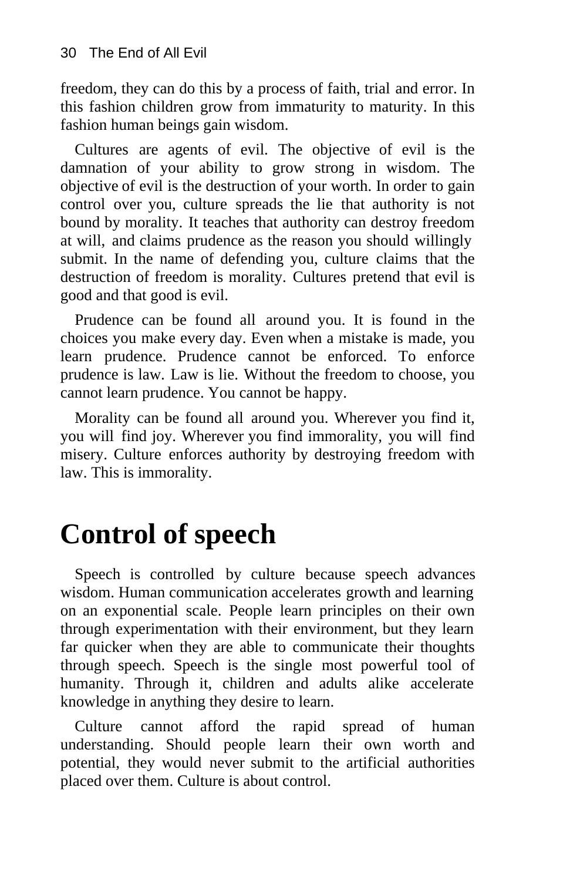freedom, they can do this by a process of faith, trial and error. In this fashion children grow from immaturity to maturity. In this fashion human beings gain wisdom.

Cultures are agents of evil. The objective of evil is the damnation of your ability to grow strong in wisdom. The objective of evil is the destruction of your worth. In order to gain control over you, culture spreads the lie that authority is not bound by morality. It teaches that authority can destroy freedom at will, and claims prudence as the reason you should willingly submit. In the name of defending you, culture claims that the destruction of freedom is morality. Cultures pretend that evil is good and that good is evil.

Prudence can be found all around you. It is found in the choices you make every day. Even when a mistake is made, you learn prudence. Prudence cannot be enforced. To enforce prudence is law. Law is lie. Without the freedom to choose, you cannot learn prudence. You cannot be happy.

Morality can be found all around you. Wherever you find it, you will find joy. Wherever you find immorality, you will find misery. Culture enforces authority by destroying freedom with law. This is immorality.

## **Control of speech**

Speech is controlled by culture because speech advances wisdom. Human communication accelerates growth and learning on an exponential scale. People learn principles on their own through experimentation with their environment, but they learn far quicker when they are able to communicate their thoughts through speech. Speech is the single most powerful tool of humanity. Through it, children and adults alike accelerate knowledge in anything they desire to learn.

Culture cannot afford the rapid spread of human understanding. Should people learn their own worth and potential, they would never submit to the artificial authorities placed over them. Culture is about control.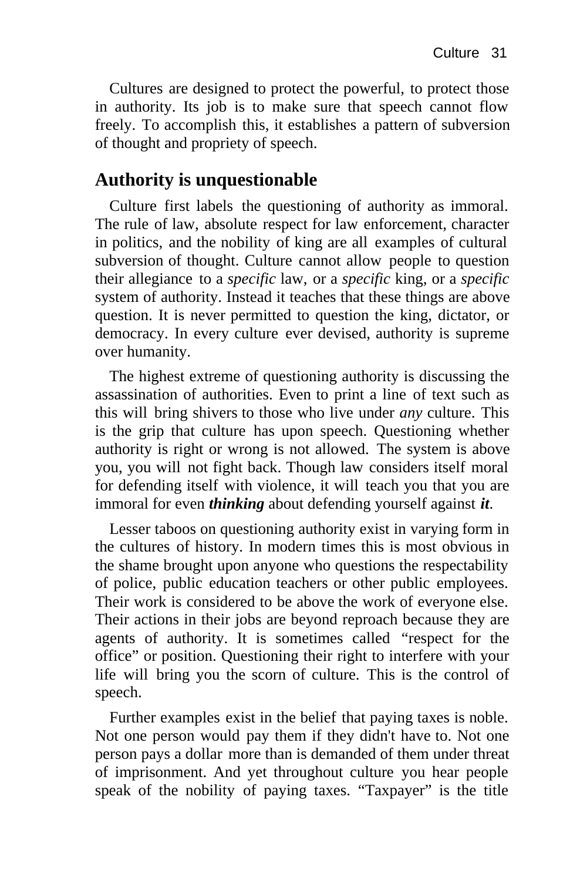Cultures are designed to protect the powerful, to protect those in authority. Its job is to make sure that speech cannot flow freely. To accomplish this, it establishes a pattern of subversion of thought and propriety of speech.

#### **Authority is unquestionable**

Culture first labels the questioning of authority as immoral. The rule of law, absolute respect for law enforcement, character in politics, and the nobility of king are all examples of cultural subversion of thought. Culture cannot allow people to question their allegiance to a *specific* law, or a *specific* king, or a *specific* system of authority. Instead it teaches that these things are above question. It is never permitted to question the king, dictator, or democracy. In every culture ever devised, authority is supreme over humanity.

The highest extreme of questioning authority is discussing the assassination of authorities. Even to print a line of text such as this will bring shivers to those who live under *any* culture. This is the grip that culture has upon speech. Questioning whether authority is right or wrong is not allowed. The system is above you, you will not fight back. Though law considers itself moral for defending itself with violence, it will teach you that you are immoral for even *thinking* about defending yourself against *it*.

Lesser taboos on questioning authority exist in varying form in the cultures of history. In modern times this is most obvious in the shame brought upon anyone who questions the respectability of police, public education teachers or other public employees. Their work is considered to be above the work of everyone else. Their actions in their jobs are beyond reproach because they are agents of authority. It is sometimes called "respect for the office" or position. Questioning their right to interfere with your life will bring you the scorn of culture. This is the control of speech.

Further examples exist in the belief that paying taxes is noble. Not one person would pay them if they didn't have to. Not one person pays a dollar more than is demanded of them under threat of imprisonment. And yet throughout culture you hear people speak of the nobility of paying taxes. "Taxpayer" is the title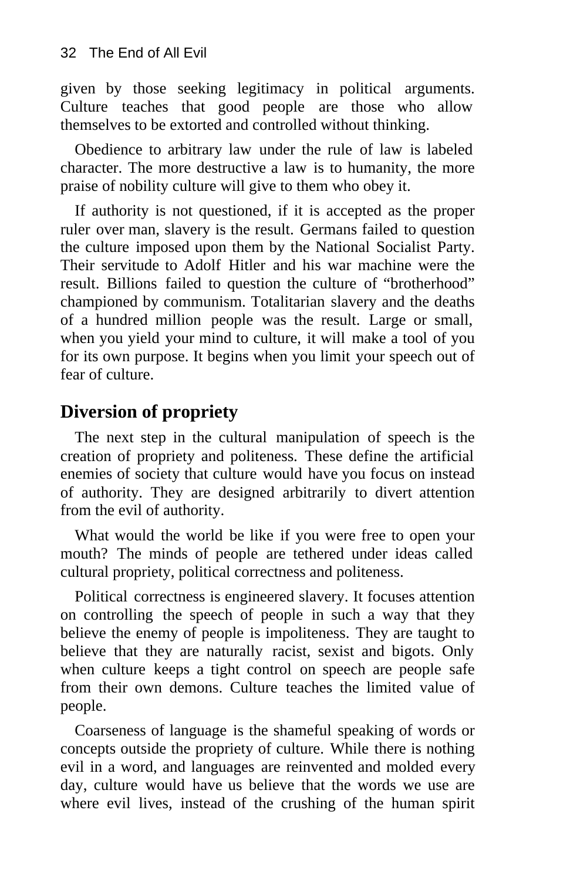given by those seeking legitimacy in political arguments. Culture teaches that good people are those who allow themselves to be extorted and controlled without thinking.

Obedience to arbitrary law under the rule of law is labeled character. The more destructive a law is to humanity, the more praise of nobility culture will give to them who obey it.

If authority is not questioned, if it is accepted as the proper ruler over man, slavery is the result. Germans failed to question the culture imposed upon them by the National Socialist Party. Their servitude to Adolf Hitler and his war machine were the result. Billions failed to question the culture of "brotherhood" championed by communism. Totalitarian slavery and the deaths of a hundred million people was the result. Large or small, when you yield your mind to culture, it will make a tool of you for its own purpose. It begins when you limit your speech out of fear of culture.

#### **Diversion of propriety**

The next step in the cultural manipulation of speech is the creation of propriety and politeness. These define the artificial enemies of society that culture would have you focus on instead of authority. They are designed arbitrarily to divert attention from the evil of authority.

What would the world be like if you were free to open your mouth? The minds of people are tethered under ideas called cultural propriety, political correctness and politeness.

Political correctness is engineered slavery. It focuses attention on controlling the speech of people in such a way that they believe the enemy of people is impoliteness. They are taught to believe that they are naturally racist, sexist and bigots. Only when culture keeps a tight control on speech are people safe from their own demons. Culture teaches the limited value of people.

Coarseness of language is the shameful speaking of words or concepts outside the propriety of culture. While there is nothing evil in a word, and languages are reinvented and molded every day, culture would have us believe that the words we use are where evil lives, instead of the crushing of the human spirit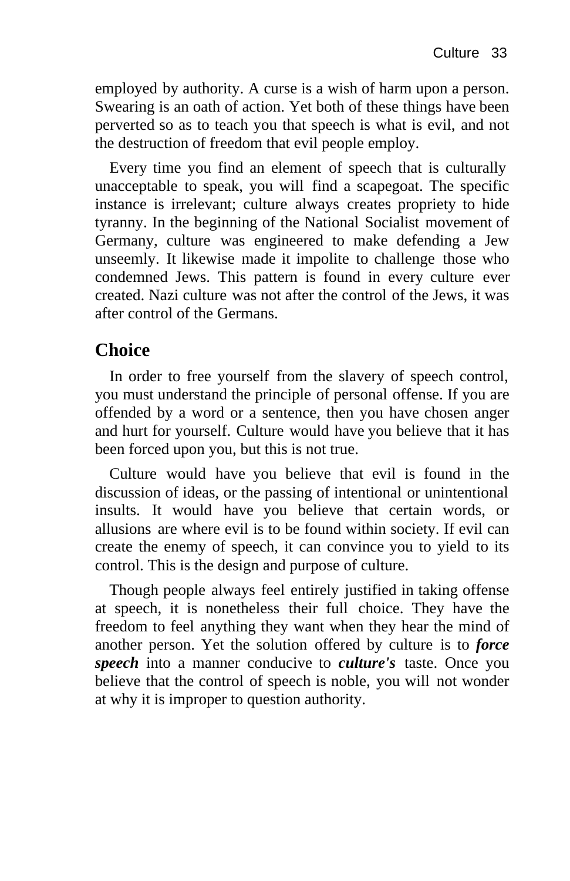employed by authority. A curse is a wish of harm upon a person. Swearing is an oath of action. Yet both of these things have been perverted so as to teach you that speech is what is evil, and not the destruction of freedom that evil people employ.

Every time you find an element of speech that is culturally unacceptable to speak, you will find a scapegoat. The specific instance is irrelevant; culture always creates propriety to hide tyranny. In the beginning of the National Socialist movement of Germany, culture was engineered to make defending a Jew unseemly. It likewise made it impolite to challenge those who condemned Jews. This pattern is found in every culture ever created. Nazi culture was not after the control of the Jews, it was after control of the Germans.

#### **Choice**

In order to free yourself from the slavery of speech control, you must understand the principle of personal offense. If you are offended by a word or a sentence, then you have chosen anger and hurt for yourself. Culture would have you believe that it has been forced upon you, but this is not true.

Culture would have you believe that evil is found in the discussion of ideas, or the passing of intentional or unintentional insults. It would have you believe that certain words, or allusions are where evil is to be found within society. If evil can create the enemy of speech, it can convince you to yield to its control. This is the design and purpose of culture.

Though people always feel entirely justified in taking offense at speech, it is nonetheless their full choice. They have the freedom to feel anything they want when they hear the mind of another person. Yet the solution offered by culture is to *force speech* into a manner conducive to *culture's* taste. Once you believe that the control of speech is noble, you will not wonder at why it is improper to question authority.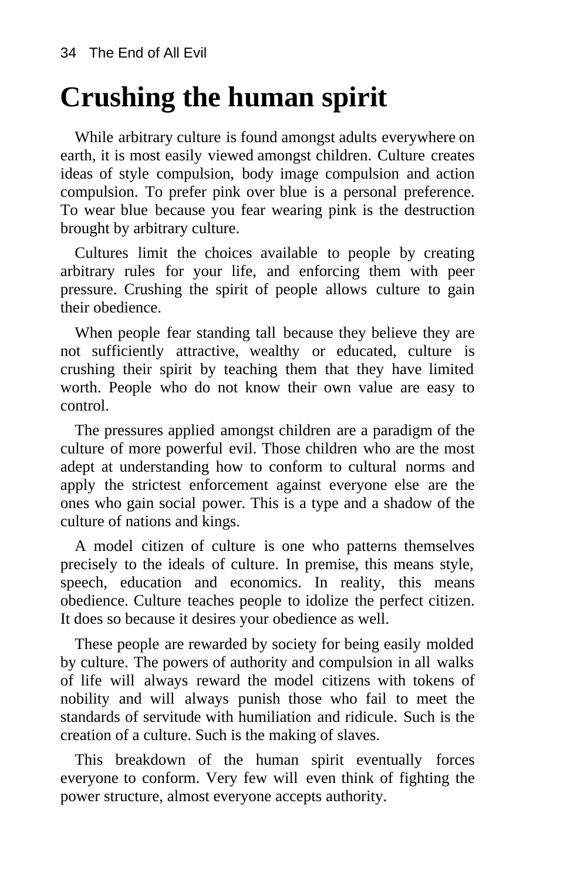## **Crushing the human spirit**

While arbitrary culture is found amongst adults everywhere on earth, it is most easily viewed amongst children. Culture creates ideas of style compulsion, body image compulsion and action compulsion. To prefer pink over blue is a personal preference. To wear blue because you fear wearing pink is the destruction brought by arbitrary culture.

Cultures limit the choices available to people by creating arbitrary rules for your life, and enforcing them with peer pressure. Crushing the spirit of people allows culture to gain their obedience.

When people fear standing tall because they believe they are not sufficiently attractive, wealthy or educated, culture is crushing their spirit by teaching them that they have limited worth. People who do not know their own value are easy to control.

The pressures applied amongst children are a paradigm of the culture of more powerful evil. Those children who are the most adept at understanding how to conform to cultural norms and apply the strictest enforcement against everyone else are the ones who gain social power. This is a type and a shadow of the culture of nations and kings.

A model citizen of culture is one who patterns themselves precisely to the ideals of culture. In premise, this means style, speech, education and economics. In reality, this means obedience. Culture teaches people to idolize the perfect citizen. It does so because it desires your obedience as well.

These people are rewarded by society for being easily molded by culture. The powers of authority and compulsion in all walks of life will always reward the model citizens with tokens of nobility and will always punish those who fail to meet the standards of servitude with humiliation and ridicule. Such is the creation of a culture. Such is the making of slaves.

This breakdown of the human spirit eventually forces everyone to conform. Very few will even think of fighting the power structure, almost everyone accepts authority.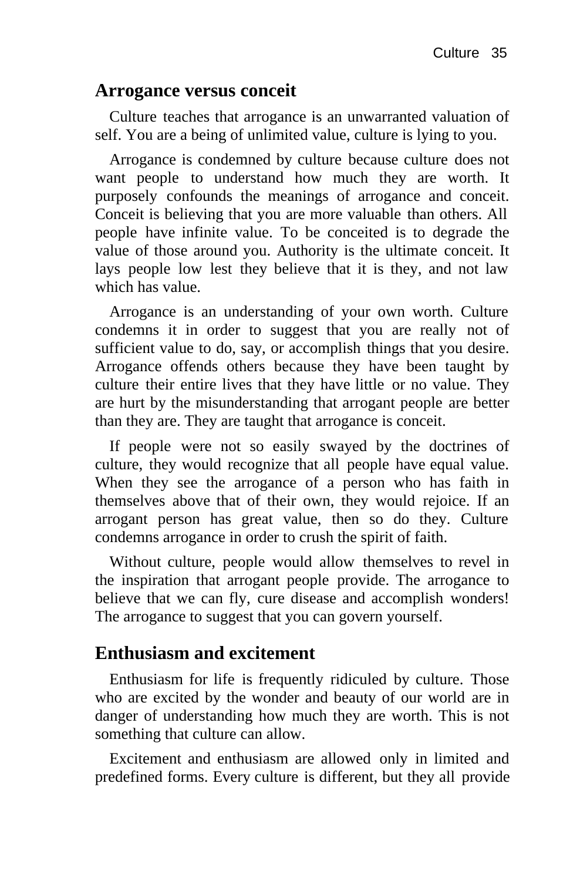#### **Arrogance versus conceit**

Culture teaches that arrogance is an unwarranted valuation of self. You are a being of unlimited value, culture is lying to you.

Arrogance is condemned by culture because culture does not want people to understand how much they are worth. It purposely confounds the meanings of arrogance and conceit. Conceit is believing that you are more valuable than others. All people have infinite value. To be conceited is to degrade the value of those around you. Authority is the ultimate conceit. It lays people low lest they believe that it is they, and not law which has value.

Arrogance is an understanding of your own worth. Culture condemns it in order to suggest that you are really not of sufficient value to do, say, or accomplish things that you desire. Arrogance offends others because they have been taught by culture their entire lives that they have little or no value. They are hurt by the misunderstanding that arrogant people are better than they are. They are taught that arrogance is conceit.

If people were not so easily swayed by the doctrines of culture, they would recognize that all people have equal value. When they see the arrogance of a person who has faith in themselves above that of their own, they would rejoice. If an arrogant person has great value, then so do they. Culture condemns arrogance in order to crush the spirit of faith.

Without culture, people would allow themselves to revel in the inspiration that arrogant people provide. The arrogance to believe that we can fly, cure disease and accomplish wonders! The arrogance to suggest that you can govern yourself.

#### **Enthusiasm and excitement**

Enthusiasm for life is frequently ridiculed by culture. Those who are excited by the wonder and beauty of our world are in danger of understanding how much they are worth. This is not something that culture can allow.

Excitement and enthusiasm are allowed only in limited and predefined forms. Every culture is different, but they all provide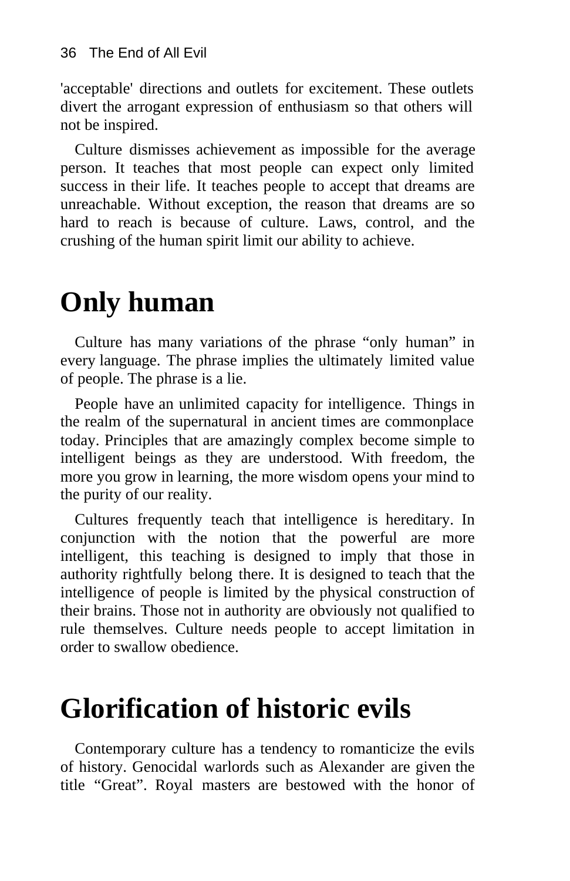'acceptable' directions and outlets for excitement. These outlets divert the arrogant expression of enthusiasm so that others will not be inspired.

Culture dismisses achievement as impossible for the average person. It teaches that most people can expect only limited success in their life. It teaches people to accept that dreams are unreachable. Without exception, the reason that dreams are so hard to reach is because of culture. Laws, control, and the crushing of the human spirit limit our ability to achieve.

## **Only human**

Culture has many variations of the phrase "only human" in every language. The phrase implies the ultimately limited value of people. The phrase is a lie.

People have an unlimited capacity for intelligence. Things in the realm of the supernatural in ancient times are commonplace today. Principles that are amazingly complex become simple to intelligent beings as they are understood. With freedom, the more you grow in learning, the more wisdom opens your mind to the purity of our reality.

Cultures frequently teach that intelligence is hereditary. In conjunction with the notion that the powerful are more intelligent, this teaching is designed to imply that those in authority rightfully belong there. It is designed to teach that the intelligence of people is limited by the physical construction of their brains. Those not in authority are obviously not qualified to rule themselves. Culture needs people to accept limitation in order to swallow obedience.

## **Glorification of historic evils**

Contemporary culture has a tendency to romanticize the evils of history. Genocidal warlords such as Alexander are given the title "Great". Royal masters are bestowed with the honor of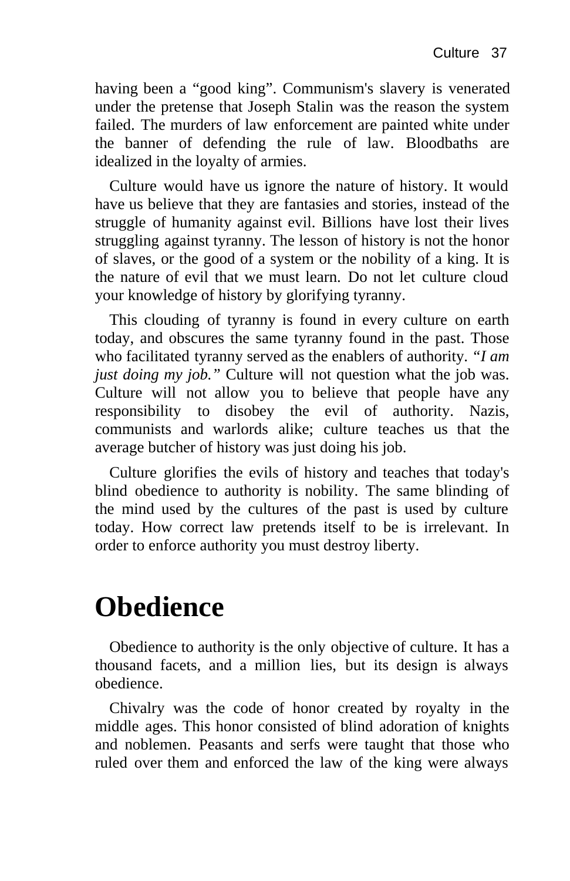having been a "good king". Communism's slavery is venerated under the pretense that Joseph Stalin was the reason the system failed. The murders of law enforcement are painted white under the banner of defending the rule of law. Bloodbaths are idealized in the loyalty of armies.

Culture would have us ignore the nature of history. It would have us believe that they are fantasies and stories, instead of the struggle of humanity against evil. Billions have lost their lives struggling against tyranny. The lesson of history is not the honor of slaves, or the good of a system or the nobility of a king. It is the nature of evil that we must learn. Do not let culture cloud your knowledge of history by glorifying tyranny.

This clouding of tyranny is found in every culture on earth today, and obscures the same tyranny found in the past. Those who facilitated tyranny served as the enablers of authority. *"I am just doing my job."* Culture will not question what the job was. Culture will not allow you to believe that people have any responsibility to disobey the evil of authority. Nazis, communists and warlords alike; culture teaches us that the average butcher of history was just doing his job.

Culture glorifies the evils of history and teaches that today's blind obedience to authority is nobility. The same blinding of the mind used by the cultures of the past is used by culture today. How correct law pretends itself to be is irrelevant. In order to enforce authority you must destroy liberty.

# **Obedience**

Obedience to authority is the only objective of culture. It has a thousand facets, and a million lies, but its design is always obedience.

Chivalry was the code of honor created by royalty in the middle ages. This honor consisted of blind adoration of knights and noblemen. Peasants and serfs were taught that those who ruled over them and enforced the law of the king were always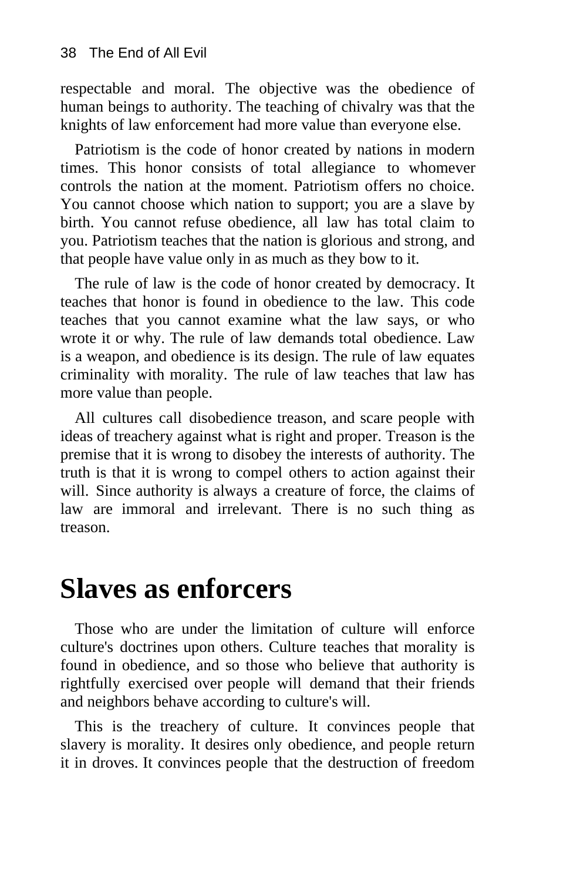respectable and moral. The objective was the obedience of human beings to authority. The teaching of chivalry was that the knights of law enforcement had more value than everyone else.

Patriotism is the code of honor created by nations in modern times. This honor consists of total allegiance to whomever controls the nation at the moment. Patriotism offers no choice. You cannot choose which nation to support; you are a slave by birth. You cannot refuse obedience, all law has total claim to you. Patriotism teaches that the nation is glorious and strong, and that people have value only in as much as they bow to it.

The rule of law is the code of honor created by democracy. It teaches that honor is found in obedience to the law. This code teaches that you cannot examine what the law says, or who wrote it or why. The rule of law demands total obedience. Law is a weapon, and obedience is its design. The rule of law equates criminality with morality. The rule of law teaches that law has more value than people.

All cultures call disobedience treason, and scare people with ideas of treachery against what is right and proper. Treason is the premise that it is wrong to disobey the interests of authority. The truth is that it is wrong to compel others to action against their will. Since authority is always a creature of force, the claims of law are immoral and irrelevant. There is no such thing as treason.

#### **Slaves as enforcers**

Those who are under the limitation of culture will enforce culture's doctrines upon others. Culture teaches that morality is found in obedience, and so those who believe that authority is rightfully exercised over people will demand that their friends and neighbors behave according to culture's will.

This is the treachery of culture. It convinces people that slavery is morality. It desires only obedience, and people return it in droves. It convinces people that the destruction of freedom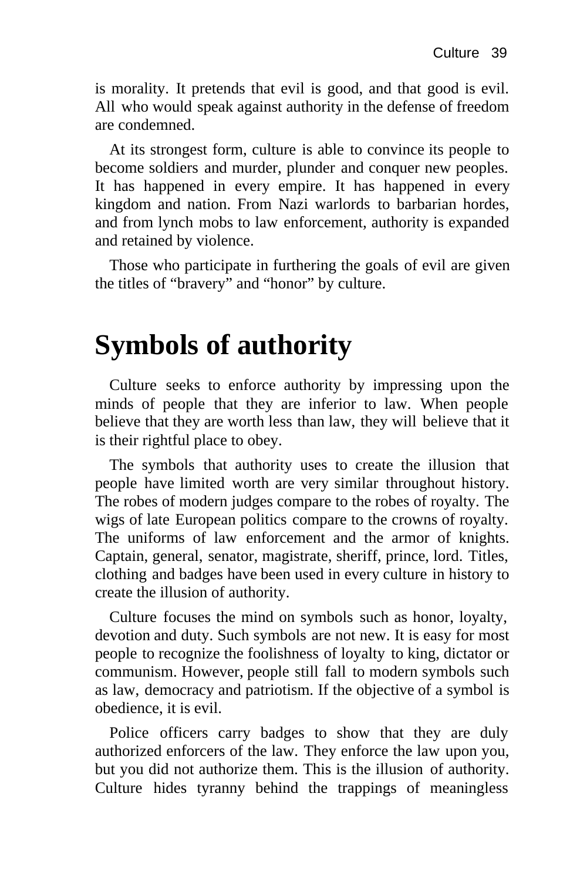is morality. It pretends that evil is good, and that good is evil. All who would speak against authority in the defense of freedom are condemned.

At its strongest form, culture is able to convince its people to become soldiers and murder, plunder and conquer new peoples. It has happened in every empire. It has happened in every kingdom and nation. From Nazi warlords to barbarian hordes, and from lynch mobs to law enforcement, authority is expanded and retained by violence.

Those who participate in furthering the goals of evil are given the titles of "bravery" and "honor" by culture.

### **Symbols of authority**

Culture seeks to enforce authority by impressing upon the minds of people that they are inferior to law. When people believe that they are worth less than law, they will believe that it is their rightful place to obey.

The symbols that authority uses to create the illusion that people have limited worth are very similar throughout history. The robes of modern judges compare to the robes of royalty. The wigs of late European politics compare to the crowns of royalty. The uniforms of law enforcement and the armor of knights. Captain, general, senator, magistrate, sheriff, prince, lord. Titles, clothing and badges have been used in every culture in history to create the illusion of authority.

Culture focuses the mind on symbols such as honor, loyalty, devotion and duty. Such symbols are not new. It is easy for most people to recognize the foolishness of loyalty to king, dictator or communism. However, people still fall to modern symbols such as law, democracy and patriotism. If the objective of a symbol is obedience, it is evil.

Police officers carry badges to show that they are duly authorized enforcers of the law. They enforce the law upon you, but you did not authorize them. This is the illusion of authority. Culture hides tyranny behind the trappings of meaningless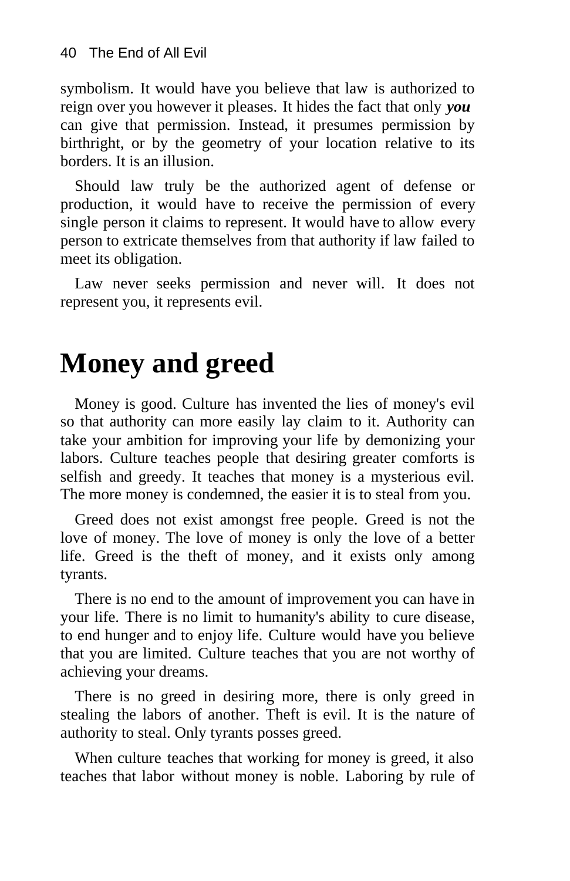symbolism. It would have you believe that law is authorized to reign over you however it pleases. It hides the fact that only *you* can give that permission. Instead, it presumes permission by birthright, or by the geometry of your location relative to its borders. It is an illusion.

Should law truly be the authorized agent of defense or production, it would have to receive the permission of every single person it claims to represent. It would have to allow every person to extricate themselves from that authority if law failed to meet its obligation.

Law never seeks permission and never will. It does not represent you, it represents evil.

#### **Money and greed**

Money is good. Culture has invented the lies of money's evil so that authority can more easily lay claim to it. Authority can take your ambition for improving your life by demonizing your labors. Culture teaches people that desiring greater comforts is selfish and greedy. It teaches that money is a mysterious evil. The more money is condemned, the easier it is to steal from you.

Greed does not exist amongst free people. Greed is not the love of money. The love of money is only the love of a better life. Greed is the theft of money, and it exists only among tyrants.

There is no end to the amount of improvement you can have in your life. There is no limit to humanity's ability to cure disease, to end hunger and to enjoy life. Culture would have you believe that you are limited. Culture teaches that you are not worthy of achieving your dreams.

There is no greed in desiring more, there is only greed in stealing the labors of another. Theft is evil. It is the nature of authority to steal. Only tyrants posses greed.

When culture teaches that working for money is greed, it also teaches that labor without money is noble. Laboring by rule of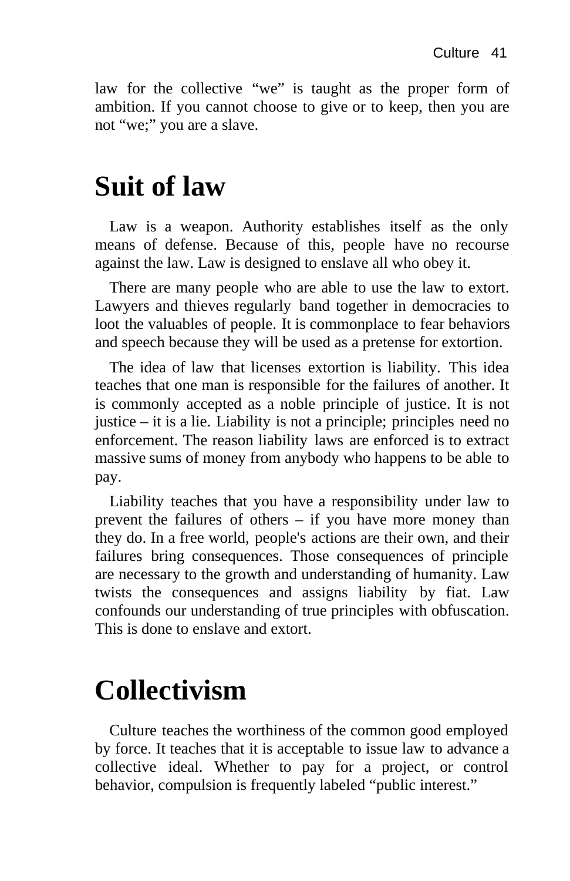law for the collective "we" is taught as the proper form of ambition. If you cannot choose to give or to keep, then you are not "we;" you are a slave.

#### **Suit of law**

Law is a weapon. Authority establishes itself as the only means of defense. Because of this, people have no recourse against the law. Law is designed to enslave all who obey it.

There are many people who are able to use the law to extort. Lawyers and thieves regularly band together in democracies to loot the valuables of people. It is commonplace to fear behaviors and speech because they will be used as a pretense for extortion.

The idea of law that licenses extortion is liability. This idea teaches that one man is responsible for the failures of another. It is commonly accepted as a noble principle of justice. It is not justice – it is a lie. Liability is not a principle; principles need no enforcement. The reason liability laws are enforced is to extract massive sums of money from anybody who happens to be able to pay.

Liability teaches that you have a responsibility under law to prevent the failures of others – if you have more money than they do. In a free world, people's actions are their own, and their failures bring consequences. Those consequences of principle are necessary to the growth and understanding of humanity. Law twists the consequences and assigns liability by fiat. Law confounds our understanding of true principles with obfuscation. This is done to enslave and extort.

### **Collectivism**

Culture teaches the worthiness of the common good employed by force. It teaches that it is acceptable to issue law to advance a collective ideal. Whether to pay for a project, or control behavior, compulsion is frequently labeled "public interest."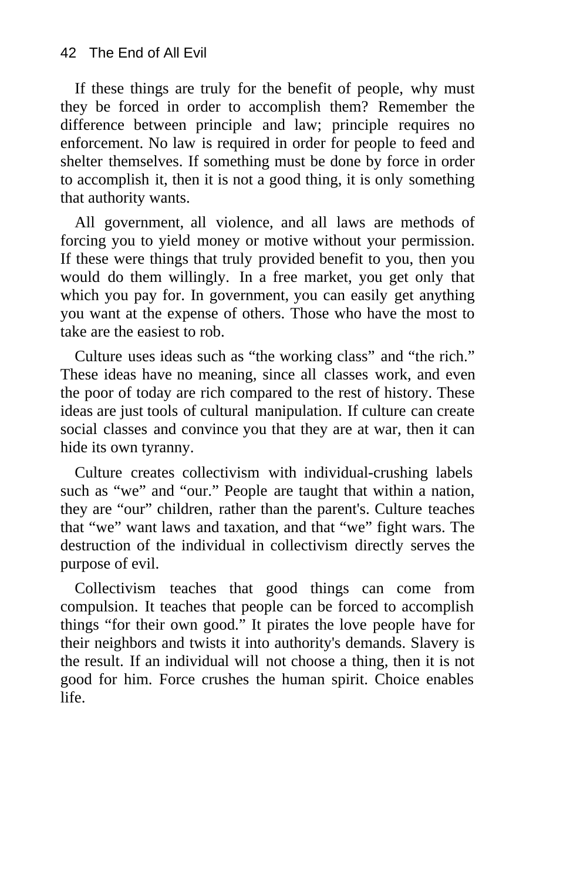If these things are truly for the benefit of people, why must they be forced in order to accomplish them? Remember the difference between principle and law; principle requires no enforcement. No law is required in order for people to feed and shelter themselves. If something must be done by force in order to accomplish it, then it is not a good thing, it is only something that authority wants.

All government, all violence, and all laws are methods of forcing you to yield money or motive without your permission. If these were things that truly provided benefit to you, then you would do them willingly. In a free market, you get only that which you pay for. In government, you can easily get anything you want at the expense of others. Those who have the most to take are the easiest to rob.

Culture uses ideas such as "the working class" and "the rich." These ideas have no meaning, since all classes work, and even the poor of today are rich compared to the rest of history. These ideas are just tools of cultural manipulation. If culture can create social classes and convince you that they are at war, then it can hide its own tyranny.

Culture creates collectivism with individual-crushing labels such as "we" and "our." People are taught that within a nation, they are "our" children, rather than the parent's. Culture teaches that "we" want laws and taxation, and that "we" fight wars. The destruction of the individual in collectivism directly serves the purpose of evil.

Collectivism teaches that good things can come from compulsion. It teaches that people can be forced to accomplish things "for their own good." It pirates the love people have for their neighbors and twists it into authority's demands. Slavery is the result. If an individual will not choose a thing, then it is not good for him. Force crushes the human spirit. Choice enables life.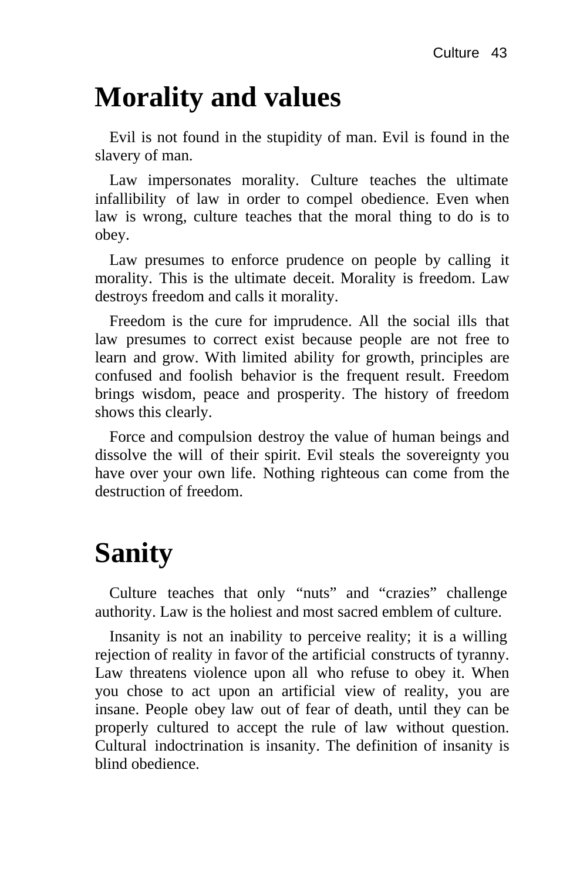#### **Morality and values**

Evil is not found in the stupidity of man. Evil is found in the slavery of man.

Law impersonates morality. Culture teaches the ultimate infallibility of law in order to compel obedience. Even when law is wrong, culture teaches that the moral thing to do is to obey.

Law presumes to enforce prudence on people by calling it morality. This is the ultimate deceit. Morality is freedom. Law destroys freedom and calls it morality.

Freedom is the cure for imprudence. All the social ills that law presumes to correct exist because people are not free to learn and grow. With limited ability for growth, principles are confused and foolish behavior is the frequent result. Freedom brings wisdom, peace and prosperity. The history of freedom shows this clearly.

Force and compulsion destroy the value of human beings and dissolve the will of their spirit. Evil steals the sovereignty you have over your own life. Nothing righteous can come from the destruction of freedom.

## **Sanity**

Culture teaches that only "nuts" and "crazies" challenge authority. Law is the holiest and most sacred emblem of culture.

Insanity is not an inability to perceive reality; it is a willing rejection of reality in favor of the artificial constructs of tyranny. Law threatens violence upon all who refuse to obey it. When you chose to act upon an artificial view of reality, you are insane. People obey law out of fear of death, until they can be properly cultured to accept the rule of law without question. Cultural indoctrination is insanity. The definition of insanity is blind obedience.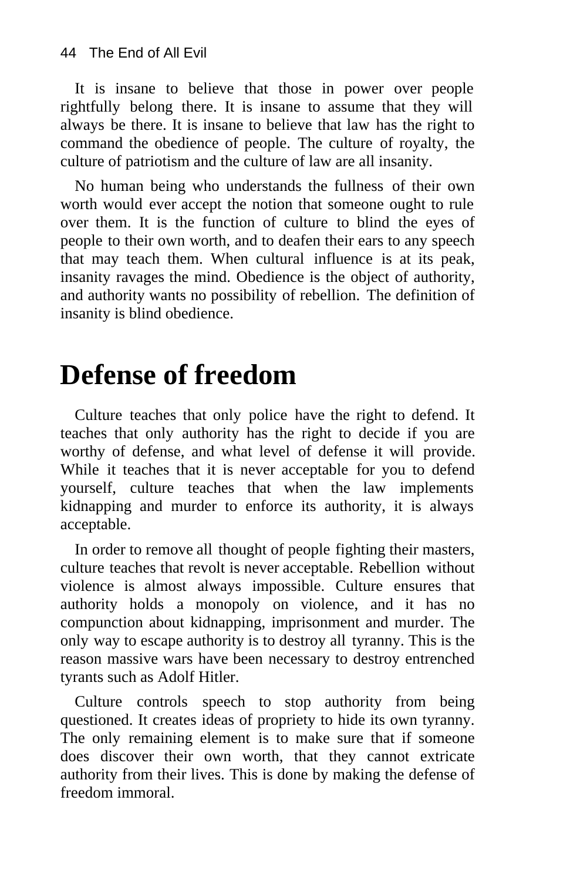It is insane to believe that those in power over people rightfully belong there. It is insane to assume that they will always be there. It is insane to believe that law has the right to command the obedience of people. The culture of royalty, the culture of patriotism and the culture of law are all insanity.

No human being who understands the fullness of their own worth would ever accept the notion that someone ought to rule over them. It is the function of culture to blind the eyes of people to their own worth, and to deafen their ears to any speech that may teach them. When cultural influence is at its peak, insanity ravages the mind. Obedience is the object of authority, and authority wants no possibility of rebellion. The definition of insanity is blind obedience.

#### **Defense of freedom**

Culture teaches that only police have the right to defend. It teaches that only authority has the right to decide if you are worthy of defense, and what level of defense it will provide. While it teaches that it is never acceptable for you to defend yourself, culture teaches that when the law implements kidnapping and murder to enforce its authority, it is always acceptable.

In order to remove all thought of people fighting their masters, culture teaches that revolt is never acceptable. Rebellion without violence is almost always impossible. Culture ensures that authority holds a monopoly on violence, and it has no compunction about kidnapping, imprisonment and murder. The only way to escape authority is to destroy all tyranny. This is the reason massive wars have been necessary to destroy entrenched tyrants such as Adolf Hitler.

Culture controls speech to stop authority from being questioned. It creates ideas of propriety to hide its own tyranny. The only remaining element is to make sure that if someone does discover their own worth, that they cannot extricate authority from their lives. This is done by making the defense of freedom immoral.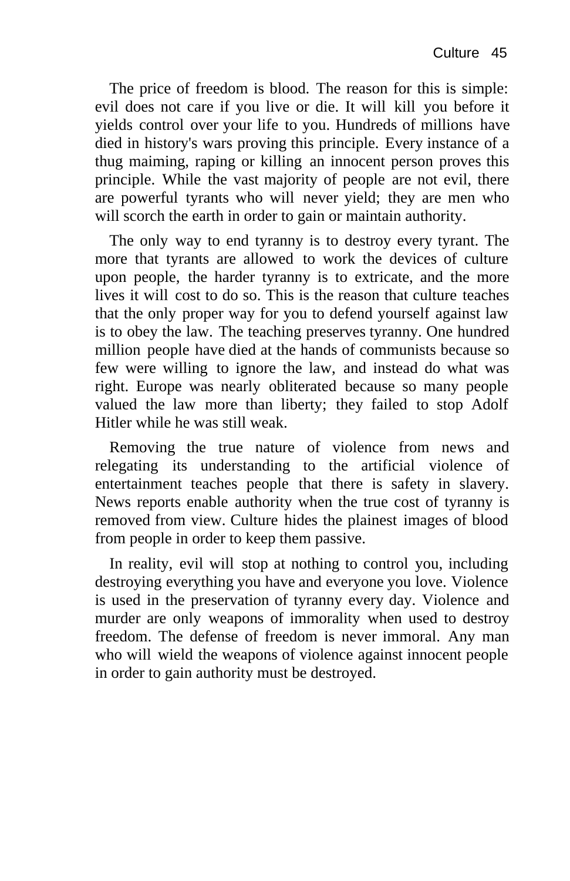The price of freedom is blood. The reason for this is simple: evil does not care if you live or die. It will kill you before it yields control over your life to you. Hundreds of millions have died in history's wars proving this principle. Every instance of a thug maiming, raping or killing an innocent person proves this principle. While the vast majority of people are not evil, there are powerful tyrants who will never yield; they are men who will scorch the earth in order to gain or maintain authority.

The only way to end tyranny is to destroy every tyrant. The more that tyrants are allowed to work the devices of culture upon people, the harder tyranny is to extricate, and the more lives it will cost to do so. This is the reason that culture teaches that the only proper way for you to defend yourself against law is to obey the law. The teaching preserves tyranny. One hundred million people have died at the hands of communists because so few were willing to ignore the law, and instead do what was right. Europe was nearly obliterated because so many people valued the law more than liberty; they failed to stop Adolf Hitler while he was still weak.

Removing the true nature of violence from news and relegating its understanding to the artificial violence of entertainment teaches people that there is safety in slavery. News reports enable authority when the true cost of tyranny is removed from view. Culture hides the plainest images of blood from people in order to keep them passive.

In reality, evil will stop at nothing to control you, including destroying everything you have and everyone you love. Violence is used in the preservation of tyranny every day. Violence and murder are only weapons of immorality when used to destroy freedom. The defense of freedom is never immoral. Any man who will wield the weapons of violence against innocent people in order to gain authority must be destroyed.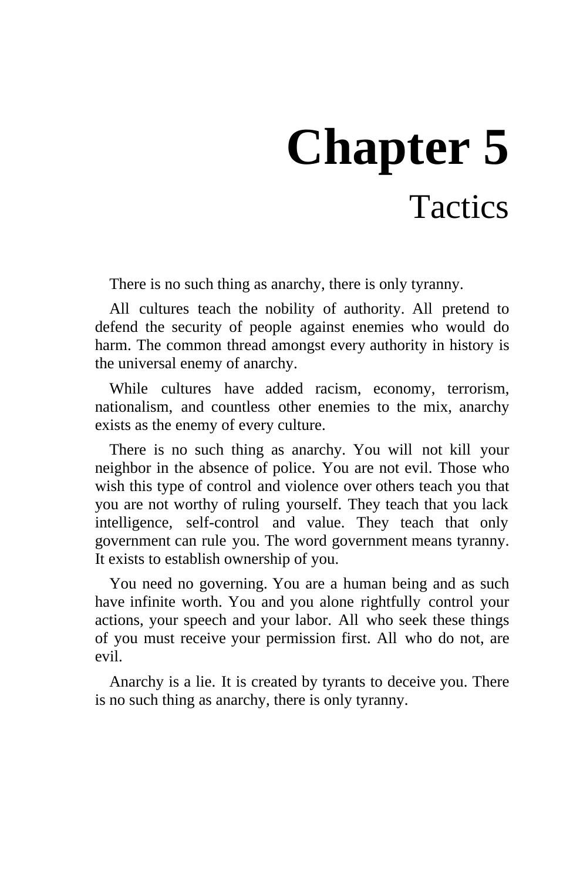# **Chapter 5** Tactics

There is no such thing as anarchy, there is only tyranny.

All cultures teach the nobility of authority. All pretend to defend the security of people against enemies who would do harm. The common thread amongst every authority in history is the universal enemy of anarchy.

While cultures have added racism, economy, terrorism, nationalism, and countless other enemies to the mix, anarchy exists as the enemy of every culture.

There is no such thing as anarchy. You will not kill your neighbor in the absence of police. You are not evil. Those who wish this type of control and violence over others teach you that you are not worthy of ruling yourself. They teach that you lack intelligence, self-control and value. They teach that only government can rule you. The word government means tyranny. It exists to establish ownership of you.

You need no governing. You are a human being and as such have infinite worth. You and you alone rightfully control your actions, your speech and your labor. All who seek these things of you must receive your permission first. All who do not, are evil.

Anarchy is a lie. It is created by tyrants to deceive you. There is no such thing as anarchy, there is only tyranny.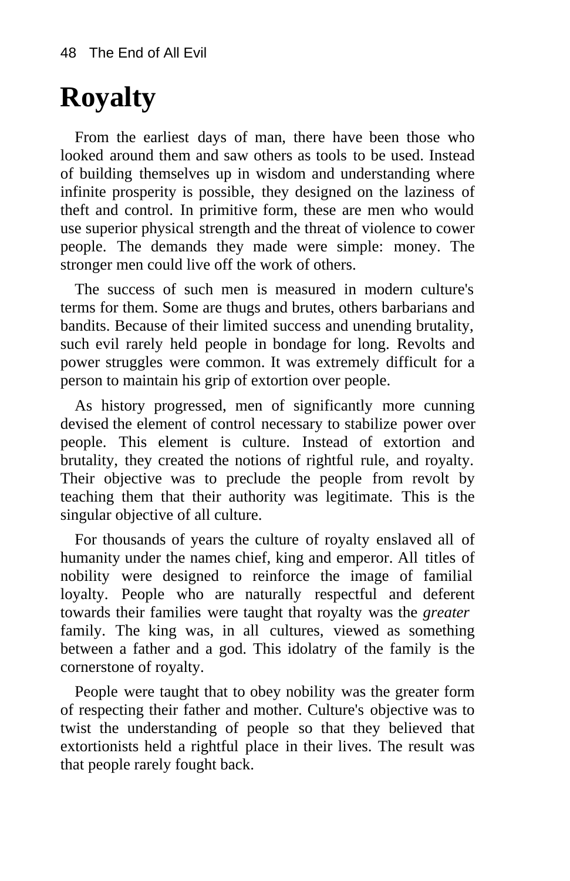# **Royalty**

From the earliest days of man, there have been those who looked around them and saw others as tools to be used. Instead of building themselves up in wisdom and understanding where infinite prosperity is possible, they designed on the laziness of theft and control. In primitive form, these are men who would use superior physical strength and the threat of violence to cower people. The demands they made were simple: money. The stronger men could live off the work of others.

The success of such men is measured in modern culture's terms for them. Some are thugs and brutes, others barbarians and bandits. Because of their limited success and unending brutality, such evil rarely held people in bondage for long. Revolts and power struggles were common. It was extremely difficult for a person to maintain his grip of extortion over people.

As history progressed, men of significantly more cunning devised the element of control necessary to stabilize power over people. This element is culture. Instead of extortion and brutality, they created the notions of rightful rule, and royalty. Their objective was to preclude the people from revolt by teaching them that their authority was legitimate. This is the singular objective of all culture.

For thousands of years the culture of royalty enslaved all of humanity under the names chief, king and emperor. All titles of nobility were designed to reinforce the image of familial loyalty. People who are naturally respectful and deferent towards their families were taught that royalty was the *greater* family. The king was, in all cultures, viewed as something between a father and a god. This idolatry of the family is the cornerstone of royalty.

People were taught that to obey nobility was the greater form of respecting their father and mother. Culture's objective was to twist the understanding of people so that they believed that extortionists held a rightful place in their lives. The result was that people rarely fought back.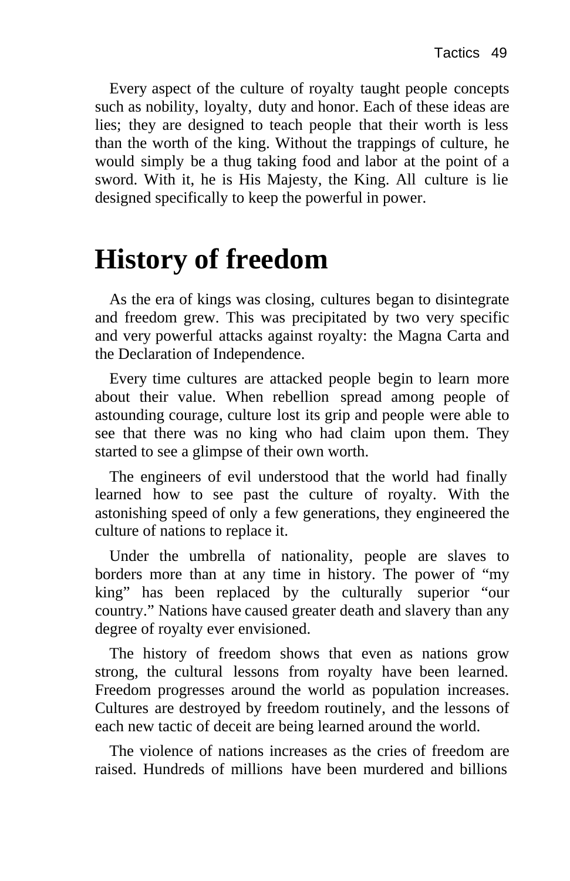Every aspect of the culture of royalty taught people concepts such as nobility, loyalty, duty and honor. Each of these ideas are lies; they are designed to teach people that their worth is less than the worth of the king. Without the trappings of culture, he would simply be a thug taking food and labor at the point of a sword. With it, he is His Majesty, the King. All culture is lie designed specifically to keep the powerful in power.

## **History of freedom**

As the era of kings was closing, cultures began to disintegrate and freedom grew. This was precipitated by two very specific and very powerful attacks against royalty: the Magna Carta and the Declaration of Independence.

Every time cultures are attacked people begin to learn more about their value. When rebellion spread among people of astounding courage, culture lost its grip and people were able to see that there was no king who had claim upon them. They started to see a glimpse of their own worth.

The engineers of evil understood that the world had finally learned how to see past the culture of royalty. With the astonishing speed of only a few generations, they engineered the culture of nations to replace it.

Under the umbrella of nationality, people are slaves to borders more than at any time in history. The power of "my king" has been replaced by the culturally superior "our country." Nations have caused greater death and slavery than any degree of royalty ever envisioned.

The history of freedom shows that even as nations grow strong, the cultural lessons from royalty have been learned. Freedom progresses around the world as population increases. Cultures are destroyed by freedom routinely, and the lessons of each new tactic of deceit are being learned around the world.

The violence of nations increases as the cries of freedom are raised. Hundreds of millions have been murdered and billions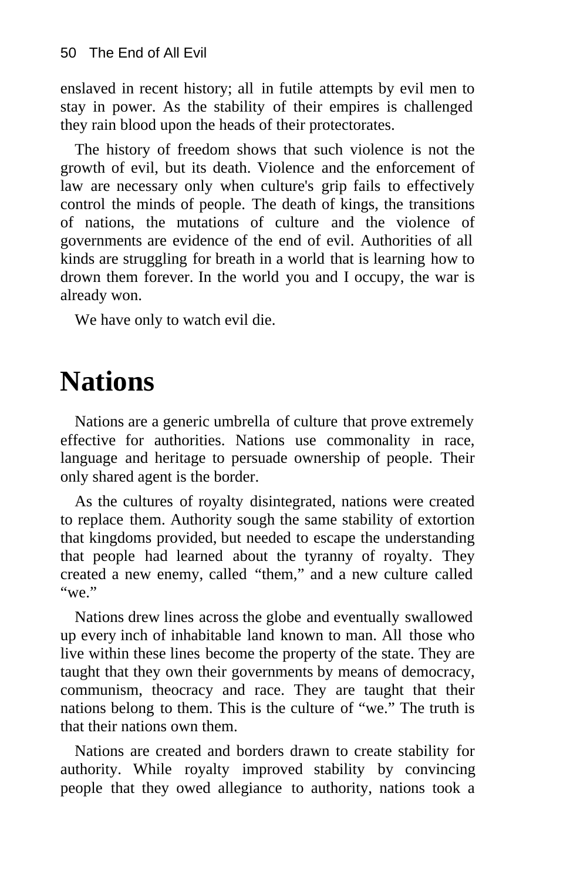enslaved in recent history; all in futile attempts by evil men to stay in power. As the stability of their empires is challenged they rain blood upon the heads of their protectorates.

The history of freedom shows that such violence is not the growth of evil, but its death. Violence and the enforcement of law are necessary only when culture's grip fails to effectively control the minds of people. The death of kings, the transitions of nations, the mutations of culture and the violence of governments are evidence of the end of evil. Authorities of all kinds are struggling for breath in a world that is learning how to drown them forever. In the world you and I occupy, the war is already won.

We have only to watch evil die.

# **Nations**

Nations are a generic umbrella of culture that prove extremely effective for authorities. Nations use commonality in race, language and heritage to persuade ownership of people. Their only shared agent is the border.

As the cultures of royalty disintegrated, nations were created to replace them. Authority sough the same stability of extortion that kingdoms provided, but needed to escape the understanding that people had learned about the tyranny of royalty. They created a new enemy, called "them," and a new culture called  $``we."$ 

Nations drew lines across the globe and eventually swallowed up every inch of inhabitable land known to man. All those who live within these lines become the property of the state. They are taught that they own their governments by means of democracy, communism, theocracy and race. They are taught that their nations belong to them. This is the culture of "we." The truth is that their nations own them.

Nations are created and borders drawn to create stability for authority. While royalty improved stability by convincing people that they owed allegiance to authority, nations took a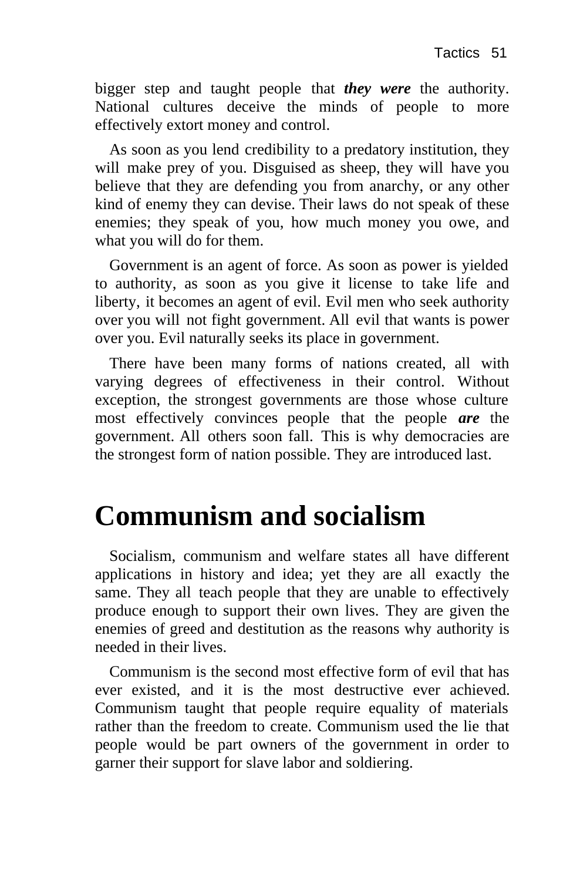bigger step and taught people that *they were* the authority. National cultures deceive the minds of people to more effectively extort money and control.

As soon as you lend credibility to a predatory institution, they will make prey of you. Disguised as sheep, they will have you believe that they are defending you from anarchy, or any other kind of enemy they can devise. Their laws do not speak of these enemies; they speak of you, how much money you owe, and what you will do for them.

Government is an agent of force. As soon as power is yielded to authority, as soon as you give it license to take life and liberty, it becomes an agent of evil. Evil men who seek authority over you will not fight government. All evil that wants is power over you. Evil naturally seeks its place in government.

There have been many forms of nations created, all with varying degrees of effectiveness in their control. Without exception, the strongest governments are those whose culture most effectively convinces people that the people *are* the government. All others soon fall. This is why democracies are the strongest form of nation possible. They are introduced last.

## **Communism and socialism**

Socialism, communism and welfare states all have different applications in history and idea; yet they are all exactly the same. They all teach people that they are unable to effectively produce enough to support their own lives. They are given the enemies of greed and destitution as the reasons why authority is needed in their lives.

Communism is the second most effective form of evil that has ever existed, and it is the most destructive ever achieved. Communism taught that people require equality of materials rather than the freedom to create. Communism used the lie that people would be part owners of the government in order to garner their support for slave labor and soldiering.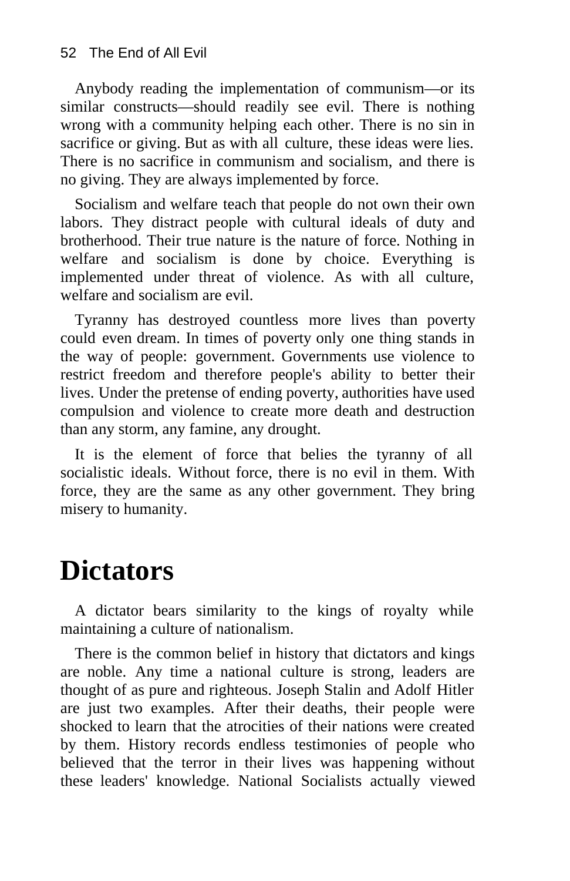Anybody reading the implementation of communism—or its similar constructs—should readily see evil. There is nothing wrong with a community helping each other. There is no sin in sacrifice or giving. But as with all culture, these ideas were lies. There is no sacrifice in communism and socialism, and there is no giving. They are always implemented by force.

Socialism and welfare teach that people do not own their own labors. They distract people with cultural ideals of duty and brotherhood. Their true nature is the nature of force. Nothing in welfare and socialism is done by choice. Everything is implemented under threat of violence. As with all culture, welfare and socialism are evil.

Tyranny has destroyed countless more lives than poverty could even dream. In times of poverty only one thing stands in the way of people: government. Governments use violence to restrict freedom and therefore people's ability to better their lives. Under the pretense of ending poverty, authorities have used compulsion and violence to create more death and destruction than any storm, any famine, any drought.

It is the element of force that belies the tyranny of all socialistic ideals. Without force, there is no evil in them. With force, they are the same as any other government. They bring misery to humanity.

### **Dictators**

A dictator bears similarity to the kings of royalty while maintaining a culture of nationalism.

There is the common belief in history that dictators and kings are noble. Any time a national culture is strong, leaders are thought of as pure and righteous. Joseph Stalin and Adolf Hitler are just two examples. After their deaths, their people were shocked to learn that the atrocities of their nations were created by them. History records endless testimonies of people who believed that the terror in their lives was happening without these leaders' knowledge. National Socialists actually viewed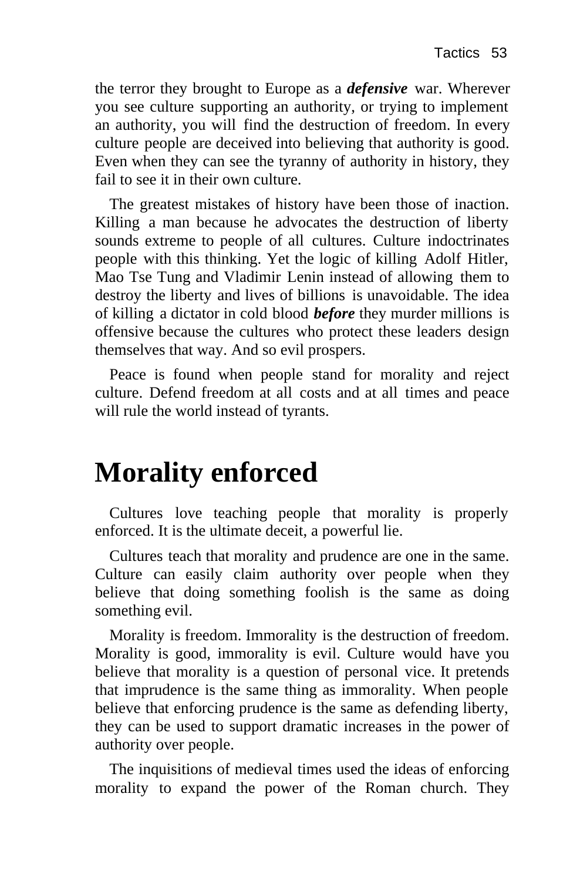the terror they brought to Europe as a *defensive* war. Wherever you see culture supporting an authority, or trying to implement an authority, you will find the destruction of freedom. In every culture people are deceived into believing that authority is good. Even when they can see the tyranny of authority in history, they fail to see it in their own culture.

The greatest mistakes of history have been those of inaction. Killing a man because he advocates the destruction of liberty sounds extreme to people of all cultures. Culture indoctrinates people with this thinking. Yet the logic of killing Adolf Hitler, Mao Tse Tung and Vladimir Lenin instead of allowing them to destroy the liberty and lives of billions is unavoidable. The idea of killing a dictator in cold blood *before* they murder millions is offensive because the cultures who protect these leaders design themselves that way. And so evil prospers.

Peace is found when people stand for morality and reject culture. Defend freedom at all costs and at all times and peace will rule the world instead of tyrants.

#### **Morality enforced**

Cultures love teaching people that morality is properly enforced. It is the ultimate deceit, a powerful lie.

Cultures teach that morality and prudence are one in the same. Culture can easily claim authority over people when they believe that doing something foolish is the same as doing something evil.

Morality is freedom. Immorality is the destruction of freedom. Morality is good, immorality is evil. Culture would have you believe that morality is a question of personal vice. It pretends that imprudence is the same thing as immorality. When people believe that enforcing prudence is the same as defending liberty, they can be used to support dramatic increases in the power of authority over people.

The inquisitions of medieval times used the ideas of enforcing morality to expand the power of the Roman church. They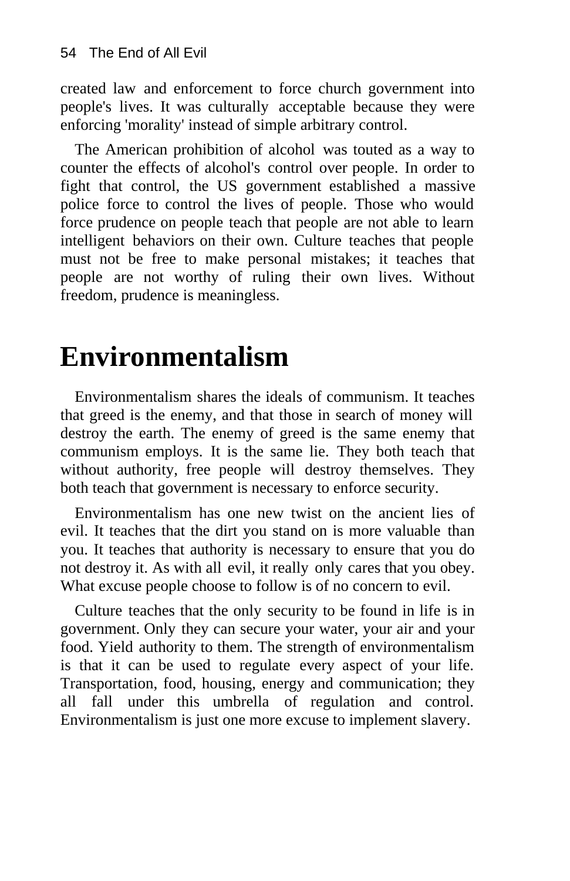created law and enforcement to force church government into people's lives. It was culturally acceptable because they were enforcing 'morality' instead of simple arbitrary control.

The American prohibition of alcohol was touted as a way to counter the effects of alcohol's control over people. In order to fight that control, the US government established a massive police force to control the lives of people. Those who would force prudence on people teach that people are not able to learn intelligent behaviors on their own. Culture teaches that people must not be free to make personal mistakes; it teaches that people are not worthy of ruling their own lives. Without freedom, prudence is meaningless.

### **Environmentalism**

Environmentalism shares the ideals of communism. It teaches that greed is the enemy, and that those in search of money will destroy the earth. The enemy of greed is the same enemy that communism employs. It is the same lie. They both teach that without authority, free people will destroy themselves. They both teach that government is necessary to enforce security.

Environmentalism has one new twist on the ancient lies of evil. It teaches that the dirt you stand on is more valuable than you. It teaches that authority is necessary to ensure that you do not destroy it. As with all evil, it really only cares that you obey. What excuse people choose to follow is of no concern to evil.

Culture teaches that the only security to be found in life is in government. Only they can secure your water, your air and your food. Yield authority to them. The strength of environmentalism is that it can be used to regulate every aspect of your life. Transportation, food, housing, energy and communication; they all fall under this umbrella of regulation and control. Environmentalism is just one more excuse to implement slavery.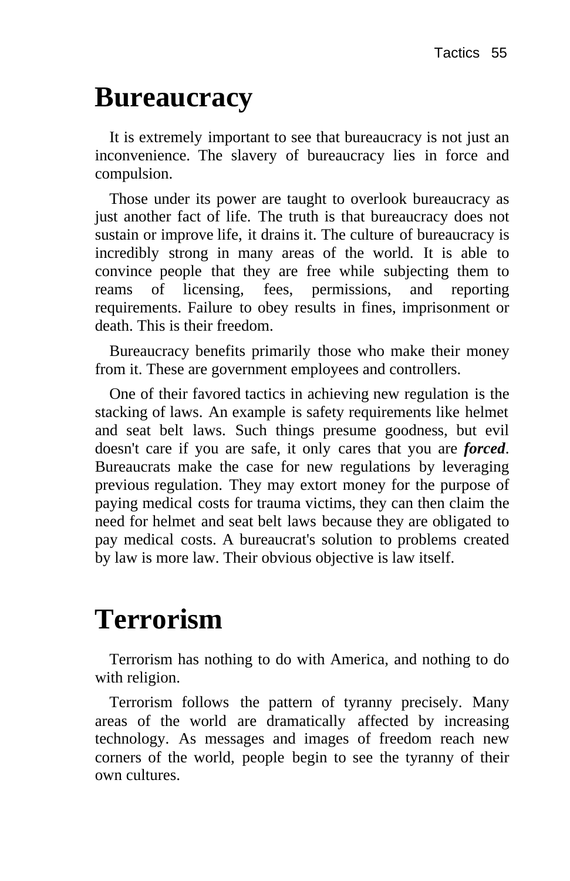### **Bureaucracy**

It is extremely important to see that bureaucracy is not just an inconvenience. The slavery of bureaucracy lies in force and compulsion.

Those under its power are taught to overlook bureaucracy as just another fact of life. The truth is that bureaucracy does not sustain or improve life, it drains it. The culture of bureaucracy is incredibly strong in many areas of the world. It is able to convince people that they are free while subjecting them to reams of licensing, fees, permissions, and reporting requirements. Failure to obey results in fines, imprisonment or death. This is their freedom.

Bureaucracy benefits primarily those who make their money from it. These are government employees and controllers.

One of their favored tactics in achieving new regulation is the stacking of laws. An example is safety requirements like helmet and seat belt laws. Such things presume goodness, but evil doesn't care if you are safe, it only cares that you are *forced*. Bureaucrats make the case for new regulations by leveraging previous regulation. They may extort money for the purpose of paying medical costs for trauma victims, they can then claim the need for helmet and seat belt laws because they are obligated to pay medical costs. A bureaucrat's solution to problems created by law is more law. Their obvious objective is law itself.

## **Terrorism**

Terrorism has nothing to do with America, and nothing to do with religion.

Terrorism follows the pattern of tyranny precisely. Many areas of the world are dramatically affected by increasing technology. As messages and images of freedom reach new corners of the world, people begin to see the tyranny of their own cultures.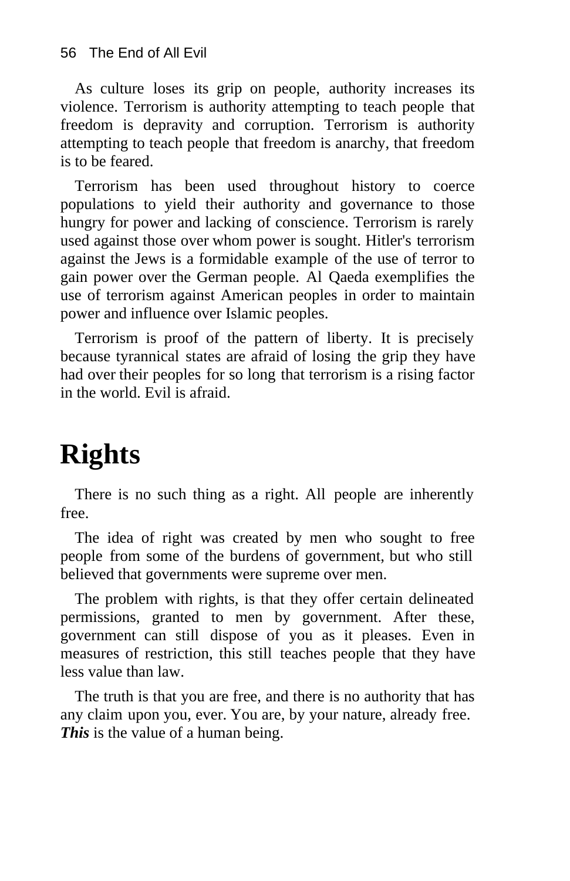As culture loses its grip on people, authority increases its violence. Terrorism is authority attempting to teach people that freedom is depravity and corruption. Terrorism is authority attempting to teach people that freedom is anarchy, that freedom is to be feared.

Terrorism has been used throughout history to coerce populations to yield their authority and governance to those hungry for power and lacking of conscience. Terrorism is rarely used against those over whom power is sought. Hitler's terrorism against the Jews is a formidable example of the use of terror to gain power over the German people. Al Qaeda exemplifies the use of terrorism against American peoples in order to maintain power and influence over Islamic peoples.

Terrorism is proof of the pattern of liberty. It is precisely because tyrannical states are afraid of losing the grip they have had over their peoples for so long that terrorism is a rising factor in the world. Evil is afraid.

# **Rights**

There is no such thing as a right. All people are inherently free.

The idea of right was created by men who sought to free people from some of the burdens of government, but who still believed that governments were supreme over men.

The problem with rights, is that they offer certain delineated permissions, granted to men by government. After these, government can still dispose of you as it pleases. Even in measures of restriction, this still teaches people that they have less value than law.

The truth is that you are free, and there is no authority that has any claim upon you, ever. You are, by your nature, already free. *This* is the value of a human being.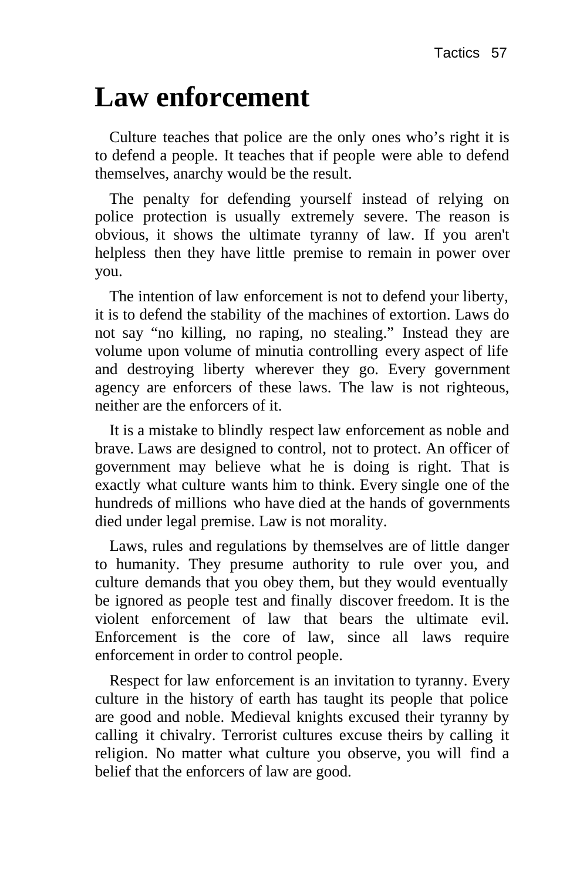#### **Law enforcement**

Culture teaches that police are the only ones who's right it is to defend a people. It teaches that if people were able to defend themselves, anarchy would be the result.

The penalty for defending yourself instead of relying on police protection is usually extremely severe. The reason is obvious, it shows the ultimate tyranny of law. If you aren't helpless then they have little premise to remain in power over you.

The intention of law enforcement is not to defend your liberty, it is to defend the stability of the machines of extortion. Laws do not say "no killing, no raping, no stealing." Instead they are volume upon volume of minutia controlling every aspect of life and destroying liberty wherever they go. Every government agency are enforcers of these laws. The law is not righteous, neither are the enforcers of it.

It is a mistake to blindly respect law enforcement as noble and brave. Laws are designed to control, not to protect. An officer of government may believe what he is doing is right. That is exactly what culture wants him to think. Every single one of the hundreds of millions who have died at the hands of governments died under legal premise. Law is not morality.

Laws, rules and regulations by themselves are of little danger to humanity. They presume authority to rule over you, and culture demands that you obey them, but they would eventually be ignored as people test and finally discover freedom. It is the violent enforcement of law that bears the ultimate evil. Enforcement is the core of law, since all laws require enforcement in order to control people.

Respect for law enforcement is an invitation to tyranny. Every culture in the history of earth has taught its people that police are good and noble. Medieval knights excused their tyranny by calling it chivalry. Terrorist cultures excuse theirs by calling it religion. No matter what culture you observe, you will find a belief that the enforcers of law are good.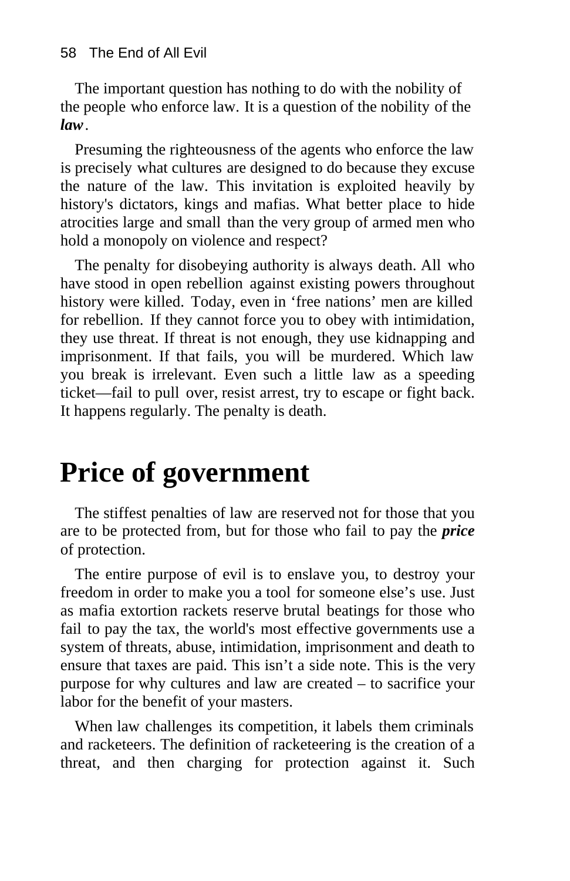The important question has nothing to do with the nobility of the people who enforce law. It is a question of the nobility of the *law*.

Presuming the righteousness of the agents who enforce the law is precisely what cultures are designed to do because they excuse the nature of the law. This invitation is exploited heavily by history's dictators, kings and mafias. What better place to hide atrocities large and small than the very group of armed men who hold a monopoly on violence and respect?

The penalty for disobeying authority is always death. All who have stood in open rebellion against existing powers throughout history were killed. Today, even in 'free nations' men are killed for rebellion. If they cannot force you to obey with intimidation, they use threat. If threat is not enough, they use kidnapping and imprisonment. If that fails, you will be murdered. Which law you break is irrelevant. Even such a little law as a speeding ticket—fail to pull over, resist arrest, try to escape or fight back. It happens regularly. The penalty is death.

# **Price of government**

The stiffest penalties of law are reserved not for those that you are to be protected from, but for those who fail to pay the *price* of protection.

The entire purpose of evil is to enslave you, to destroy your freedom in order to make you a tool for someone else's use. Just as mafia extortion rackets reserve brutal beatings for those who fail to pay the tax, the world's most effective governments use a system of threats, abuse, intimidation, imprisonment and death to ensure that taxes are paid. This isn't a side note. This is the very purpose for why cultures and law are created – to sacrifice your labor for the benefit of your masters.

When law challenges its competition, it labels them criminals and racketeers. The definition of racketeering is the creation of a threat, and then charging for protection against it. Such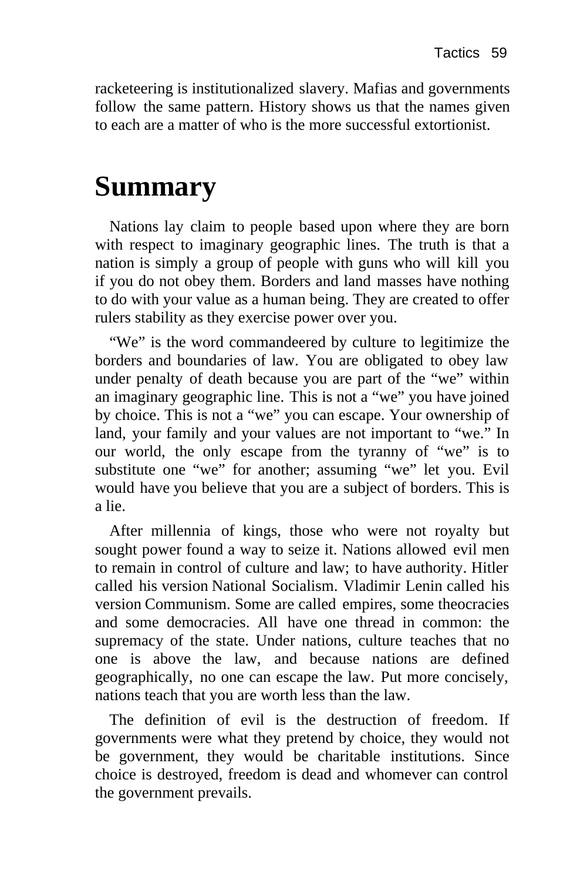racketeering is institutionalized slavery. Mafias and governments follow the same pattern. History shows us that the names given to each are a matter of who is the more successful extortionist.

# **Summary**

Nations lay claim to people based upon where they are born with respect to imaginary geographic lines. The truth is that a nation is simply a group of people with guns who will kill you if you do not obey them. Borders and land masses have nothing to do with your value as a human being. They are created to offer rulers stability as they exercise power over you.

"We" is the word commandeered by culture to legitimize the borders and boundaries of law. You are obligated to obey law under penalty of death because you are part of the "we" within an imaginary geographic line. This is not a "we" you have joined by choice. This is not a "we" you can escape. Your ownership of land, your family and your values are not important to "we." In our world, the only escape from the tyranny of "we" is to substitute one "we" for another; assuming "we" let you. Evil would have you believe that you are a subject of borders. This is a lie.

After millennia of kings, those who were not royalty but sought power found a way to seize it. Nations allowed evil men to remain in control of culture and law; to have authority. Hitler called his version National Socialism. Vladimir Lenin called his version Communism. Some are called empires, some theocracies and some democracies. All have one thread in common: the supremacy of the state. Under nations, culture teaches that no one is above the law, and because nations are defined geographically, no one can escape the law. Put more concisely, nations teach that you are worth less than the law.

The definition of evil is the destruction of freedom. If governments were what they pretend by choice, they would not be government, they would be charitable institutions. Since choice is destroyed, freedom is dead and whomever can control the government prevails.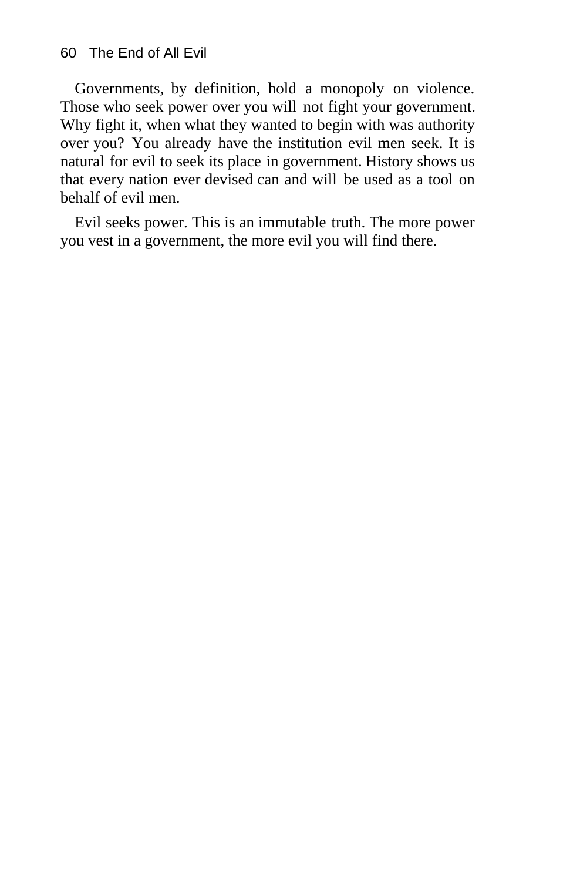Governments, by definition, hold a monopoly on violence. Those who seek power over you will not fight your government. Why fight it, when what they wanted to begin with was authority over you? You already have the institution evil men seek. It is natural for evil to seek its place in government. History shows us that every nation ever devised can and will be used as a tool on behalf of evil men.

Evil seeks power. This is an immutable truth. The more power you vest in a government, the more evil you will find there.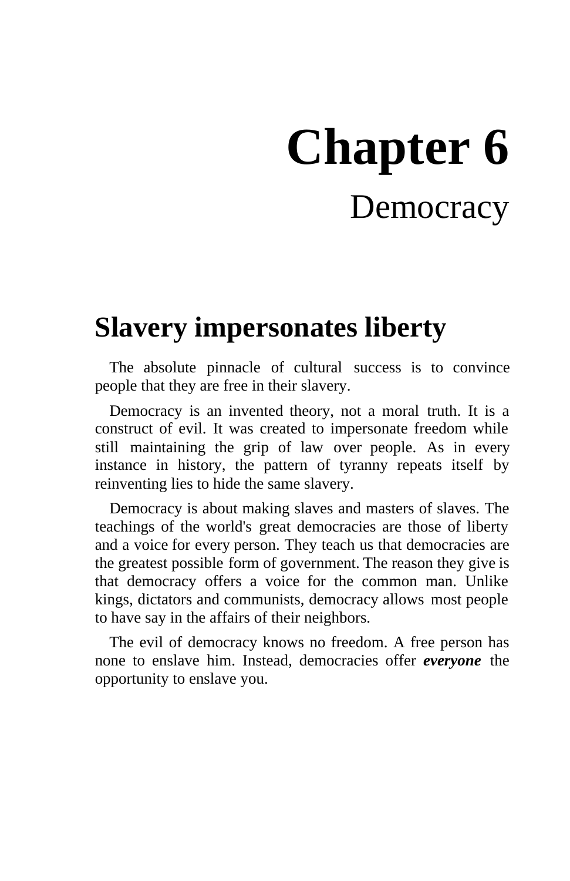# **Chapter 6 Democracy**

#### **Slavery impersonates liberty**

The absolute pinnacle of cultural success is to convince people that they are free in their slavery.

Democracy is an invented theory, not a moral truth. It is a construct of evil. It was created to impersonate freedom while still maintaining the grip of law over people. As in every instance in history, the pattern of tyranny repeats itself by reinventing lies to hide the same slavery.

Democracy is about making slaves and masters of slaves. The teachings of the world's great democracies are those of liberty and a voice for every person. They teach us that democracies are the greatest possible form of government. The reason they give is that democracy offers a voice for the common man. Unlike kings, dictators and communists, democracy allows most people to have say in the affairs of their neighbors.

The evil of democracy knows no freedom. A free person has none to enslave him. Instead, democracies offer *everyone* the opportunity to enslave you.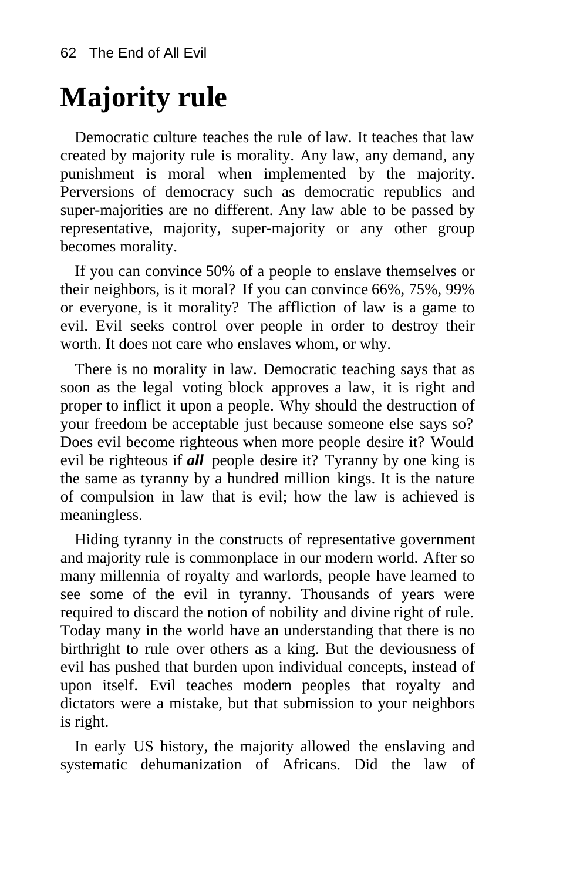# **Majority rule**

Democratic culture teaches the rule of law. It teaches that law created by majority rule is morality. Any law, any demand, any punishment is moral when implemented by the majority. Perversions of democracy such as democratic republics and super-majorities are no different. Any law able to be passed by representative, majority, super-majority or any other group becomes morality.

If you can convince 50% of a people to enslave themselves or their neighbors, is it moral? If you can convince 66%, 75%, 99% or everyone, is it morality? The affliction of law is a game to evil. Evil seeks control over people in order to destroy their worth. It does not care who enslaves whom, or why.

There is no morality in law. Democratic teaching says that as soon as the legal voting block approves a law, it is right and proper to inflict it upon a people. Why should the destruction of your freedom be acceptable just because someone else says so? Does evil become righteous when more people desire it? Would evil be righteous if *all* people desire it? Tyranny by one king is the same as tyranny by a hundred million kings. It is the nature of compulsion in law that is evil; how the law is achieved is meaningless.

Hiding tyranny in the constructs of representative government and majority rule is commonplace in our modern world. After so many millennia of royalty and warlords, people have learned to see some of the evil in tyranny. Thousands of years were required to discard the notion of nobility and divine right of rule. Today many in the world have an understanding that there is no birthright to rule over others as a king. But the deviousness of evil has pushed that burden upon individual concepts, instead of upon itself. Evil teaches modern peoples that royalty and dictators were a mistake, but that submission to your neighbors is right.

In early US history, the majority allowed the enslaving and systematic dehumanization of Africans. Did the law of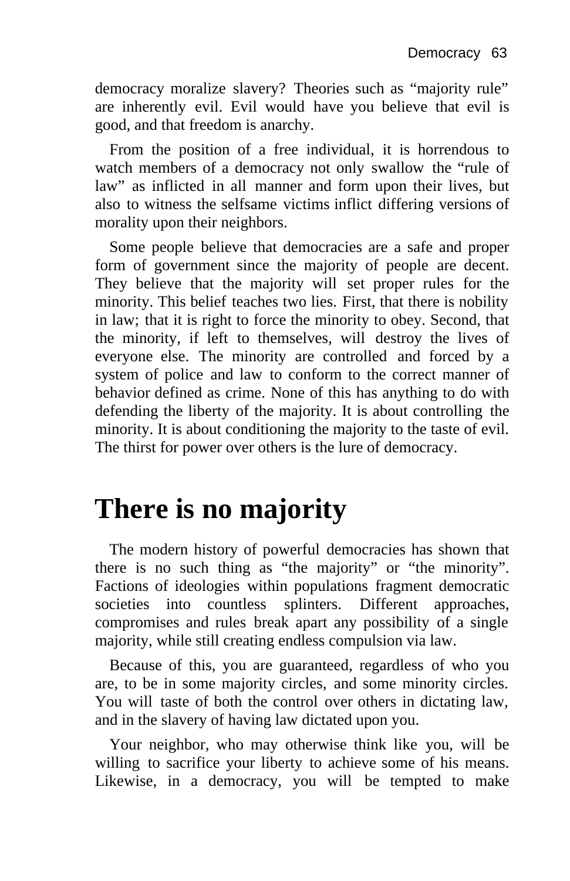democracy moralize slavery? Theories such as "majority rule" are inherently evil. Evil would have you believe that evil is good, and that freedom is anarchy.

From the position of a free individual, it is horrendous to watch members of a democracy not only swallow the "rule of law" as inflicted in all manner and form upon their lives, but also to witness the selfsame victims inflict differing versions of morality upon their neighbors.

Some people believe that democracies are a safe and proper form of government since the majority of people are decent. They believe that the majority will set proper rules for the minority. This belief teaches two lies. First, that there is nobility in law; that it is right to force the minority to obey. Second, that the minority, if left to themselves, will destroy the lives of everyone else. The minority are controlled and forced by a system of police and law to conform to the correct manner of behavior defined as crime. None of this has anything to do with defending the liberty of the majority. It is about controlling the minority. It is about conditioning the majority to the taste of evil. The thirst for power over others is the lure of democracy.

## **There is no majority**

The modern history of powerful democracies has shown that there is no such thing as "the majority" or "the minority". Factions of ideologies within populations fragment democratic societies into countless splinters. Different approaches, compromises and rules break apart any possibility of a single majority, while still creating endless compulsion via law.

Because of this, you are guaranteed, regardless of who you are, to be in some majority circles, and some minority circles. You will taste of both the control over others in dictating law, and in the slavery of having law dictated upon you.

Your neighbor, who may otherwise think like you, will be willing to sacrifice your liberty to achieve some of his means. Likewise, in a democracy, you will be tempted to make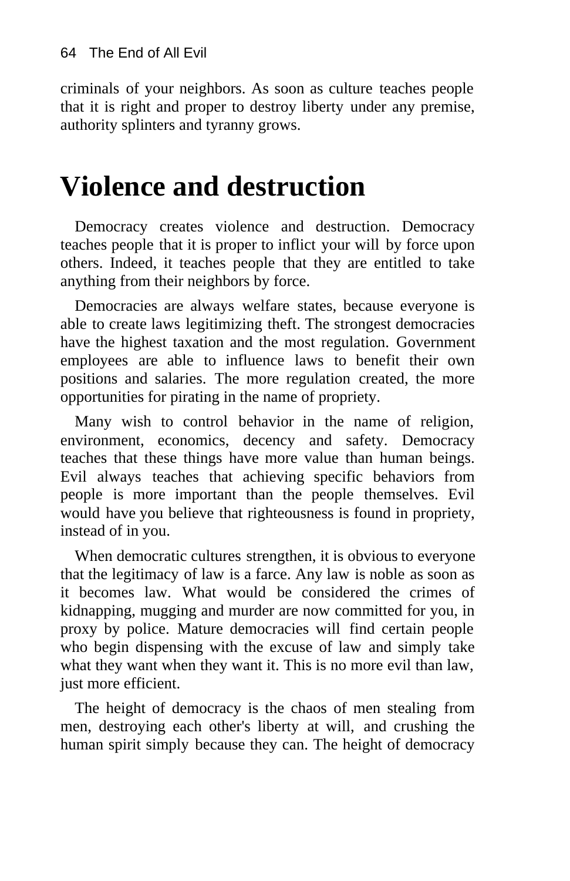criminals of your neighbors. As soon as culture teaches people that it is right and proper to destroy liberty under any premise, authority splinters and tyranny grows.

## **Violence and destruction**

Democracy creates violence and destruction. Democracy teaches people that it is proper to inflict your will by force upon others. Indeed, it teaches people that they are entitled to take anything from their neighbors by force.

Democracies are always welfare states, because everyone is able to create laws legitimizing theft. The strongest democracies have the highest taxation and the most regulation. Government employees are able to influence laws to benefit their own positions and salaries. The more regulation created, the more opportunities for pirating in the name of propriety.

Many wish to control behavior in the name of religion, environment, economics, decency and safety. Democracy teaches that these things have more value than human beings. Evil always teaches that achieving specific behaviors from people is more important than the people themselves. Evil would have you believe that righteousness is found in propriety, instead of in you.

When democratic cultures strengthen, it is obvious to everyone that the legitimacy of law is a farce. Any law is noble as soon as it becomes law. What would be considered the crimes of kidnapping, mugging and murder are now committed for you, in proxy by police. Mature democracies will find certain people who begin dispensing with the excuse of law and simply take what they want when they want it. This is no more evil than law, just more efficient.

The height of democracy is the chaos of men stealing from men, destroying each other's liberty at will, and crushing the human spirit simply because they can. The height of democracy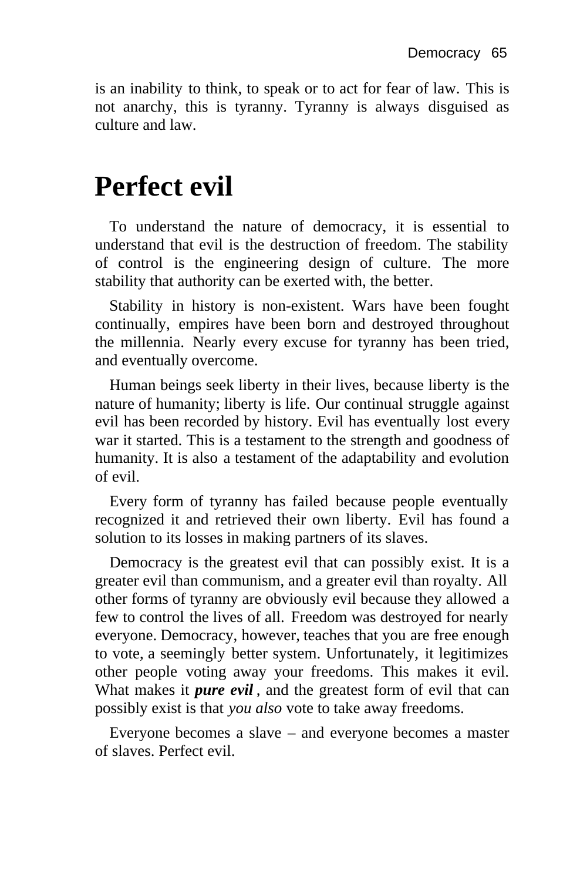is an inability to think, to speak or to act for fear of law. This is not anarchy, this is tyranny. Tyranny is always disguised as culture and law.

#### **Perfect evil**

To understand the nature of democracy, it is essential to understand that evil is the destruction of freedom. The stability of control is the engineering design of culture. The more stability that authority can be exerted with, the better.

Stability in history is non-existent. Wars have been fought continually, empires have been born and destroyed throughout the millennia. Nearly every excuse for tyranny has been tried, and eventually overcome.

Human beings seek liberty in their lives, because liberty is the nature of humanity; liberty is life. Our continual struggle against evil has been recorded by history. Evil has eventually lost every war it started. This is a testament to the strength and goodness of humanity. It is also a testament of the adaptability and evolution of evil.

Every form of tyranny has failed because people eventually recognized it and retrieved their own liberty. Evil has found a solution to its losses in making partners of its slaves.

Democracy is the greatest evil that can possibly exist. It is a greater evil than communism, and a greater evil than royalty. All other forms of tyranny are obviously evil because they allowed a few to control the lives of all. Freedom was destroyed for nearly everyone. Democracy, however, teaches that you are free enough to vote, a seemingly better system. Unfortunately, it legitimizes other people voting away your freedoms. This makes it evil. What makes it *pure evil* , and the greatest form of evil that can possibly exist is that *you also* vote to take away freedoms.

Everyone becomes a slave – and everyone becomes a master of slaves. Perfect evil.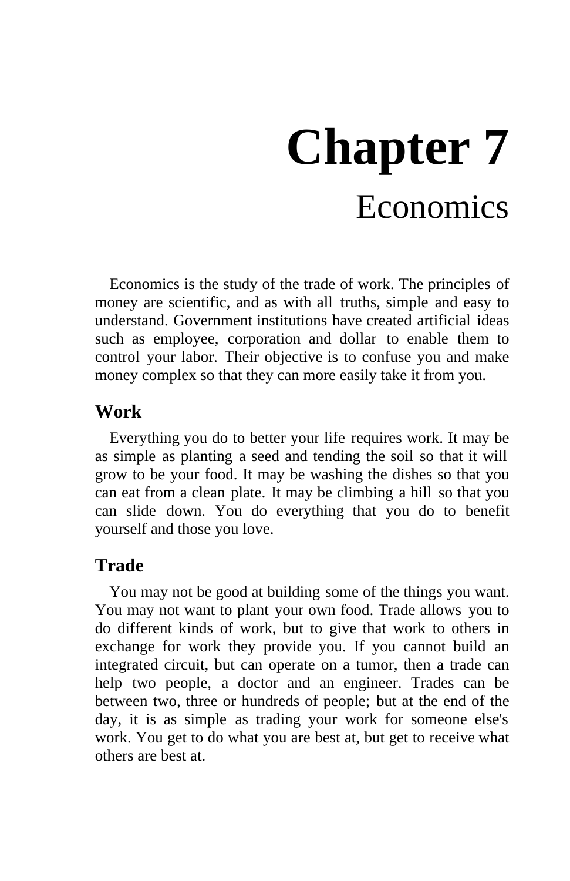# **Chapter 7 Economics**

Economics is the study of the trade of work. The principles of money are scientific, and as with all truths, simple and easy to understand. Government institutions have created artificial ideas such as employee, corporation and dollar to enable them to control your labor. Their objective is to confuse you and make money complex so that they can more easily take it from you.

#### **Work**

Everything you do to better your life requires work. It may be as simple as planting a seed and tending the soil so that it will grow to be your food. It may be washing the dishes so that you can eat from a clean plate. It may be climbing a hill so that you can slide down. You do everything that you do to benefit yourself and those you love.

#### **Trade**

You may not be good at building some of the things you want. You may not want to plant your own food. Trade allows you to do different kinds of work, but to give that work to others in exchange for work they provide you. If you cannot build an integrated circuit, but can operate on a tumor, then a trade can help two people, a doctor and an engineer. Trades can be between two, three or hundreds of people; but at the end of the day, it is as simple as trading your work for someone else's work. You get to do what you are best at, but get to receive what others are best at.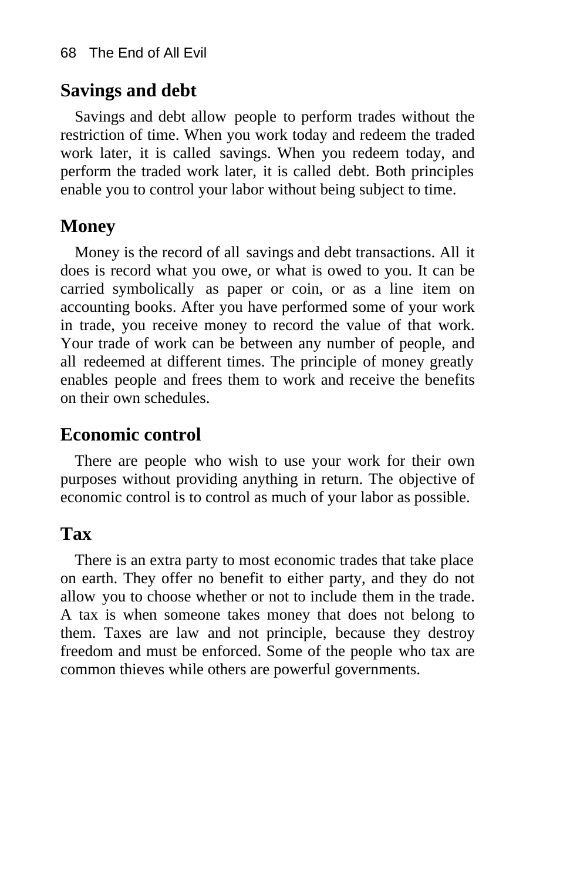#### **Savings and debt**

Savings and debt allow people to perform trades without the restriction of time. When you work today and redeem the traded work later, it is called savings. When you redeem today, and perform the traded work later, it is called debt. Both principles enable you to control your labor without being subject to time.

#### **Money**

Money is the record of all savings and debt transactions. All it does is record what you owe, or what is owed to you. It can be carried symbolically as paper or coin, or as a line item on accounting books. After you have performed some of your work in trade, you receive money to record the value of that work. Your trade of work can be between any number of people, and all redeemed at different times. The principle of money greatly enables people and frees them to work and receive the benefits on their own schedules.

#### **Economic control**

There are people who wish to use your work for their own purposes without providing anything in return. The objective of economic control is to control as much of your labor as possible.

#### **Tax**

There is an extra party to most economic trades that take place on earth. They offer no benefit to either party, and they do not allow you to choose whether or not to include them in the trade. A tax is when someone takes money that does not belong to them. Taxes are law and not principle, because they destroy freedom and must be enforced. Some of the people who tax are common thieves while others are powerful governments.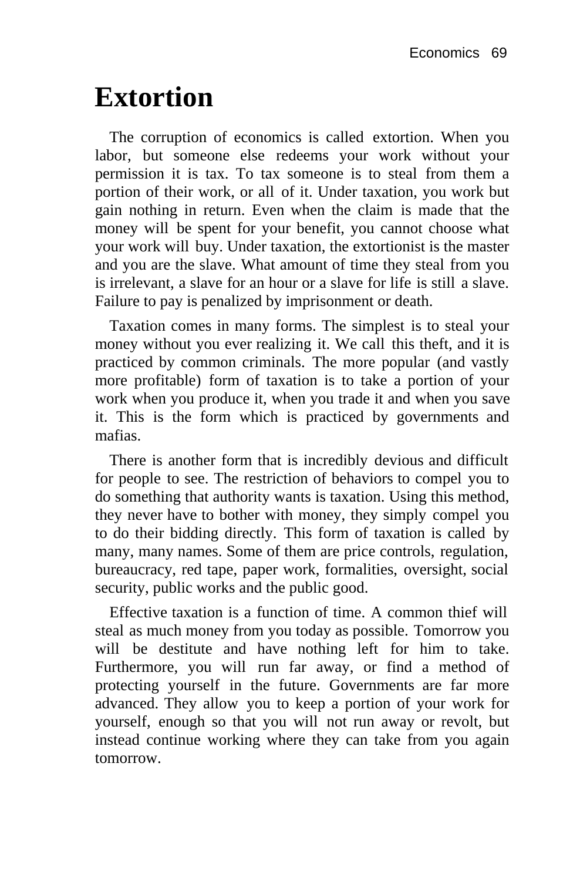## **Extortion**

The corruption of economics is called extortion. When you labor, but someone else redeems your work without your permission it is tax. To tax someone is to steal from them a portion of their work, or all of it. Under taxation, you work but gain nothing in return. Even when the claim is made that the money will be spent for your benefit, you cannot choose what your work will buy. Under taxation, the extortionist is the master and you are the slave. What amount of time they steal from you is irrelevant, a slave for an hour or a slave for life is still a slave. Failure to pay is penalized by imprisonment or death.

Taxation comes in many forms. The simplest is to steal your money without you ever realizing it. We call this theft, and it is practiced by common criminals. The more popular (and vastly more profitable) form of taxation is to take a portion of your work when you produce it, when you trade it and when you save it. This is the form which is practiced by governments and mafias.

There is another form that is incredibly devious and difficult for people to see. The restriction of behaviors to compel you to do something that authority wants is taxation. Using this method, they never have to bother with money, they simply compel you to do their bidding directly. This form of taxation is called by many, many names. Some of them are price controls, regulation, bureaucracy, red tape, paper work, formalities, oversight, social security, public works and the public good.

Effective taxation is a function of time. A common thief will steal as much money from you today as possible. Tomorrow you will be destitute and have nothing left for him to take. Furthermore, you will run far away, or find a method of protecting yourself in the future. Governments are far more advanced. They allow you to keep a portion of your work for yourself, enough so that you will not run away or revolt, but instead continue working where they can take from you again tomorrow.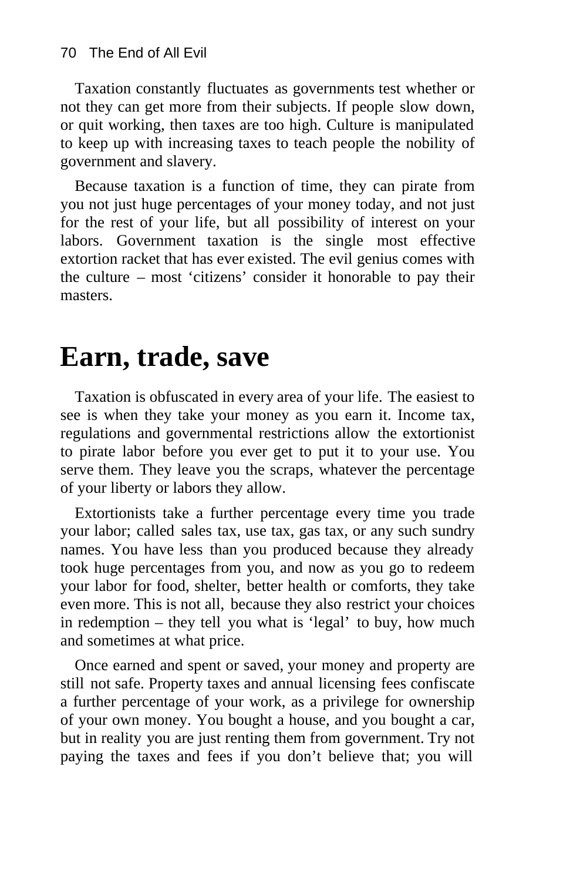Taxation constantly fluctuates as governments test whether or not they can get more from their subjects. If people slow down, or quit working, then taxes are too high. Culture is manipulated to keep up with increasing taxes to teach people the nobility of government and slavery.

Because taxation is a function of time, they can pirate from you not just huge percentages of your money today, and not just for the rest of your life, but all possibility of interest on your labors. Government taxation is the single most effective extortion racket that has ever existed. The evil genius comes with the culture – most 'citizens' consider it honorable to pay their masters.

#### **Earn, trade, save**

Taxation is obfuscated in every area of your life. The easiest to see is when they take your money as you earn it. Income tax, regulations and governmental restrictions allow the extortionist to pirate labor before you ever get to put it to your use. You serve them. They leave you the scraps, whatever the percentage of your liberty or labors they allow.

Extortionists take a further percentage every time you trade your labor; called sales tax, use tax, gas tax, or any such sundry names. You have less than you produced because they already took huge percentages from you, and now as you go to redeem your labor for food, shelter, better health or comforts, they take even more. This is not all, because they also restrict your choices in redemption – they tell you what is 'legal' to buy, how much and sometimes at what price.

Once earned and spent or saved, your money and property are still not safe. Property taxes and annual licensing fees confiscate a further percentage of your work, as a privilege for ownership of your own money. You bought a house, and you bought a car, but in reality you are just renting them from government. Try not paying the taxes and fees if you don't believe that; you will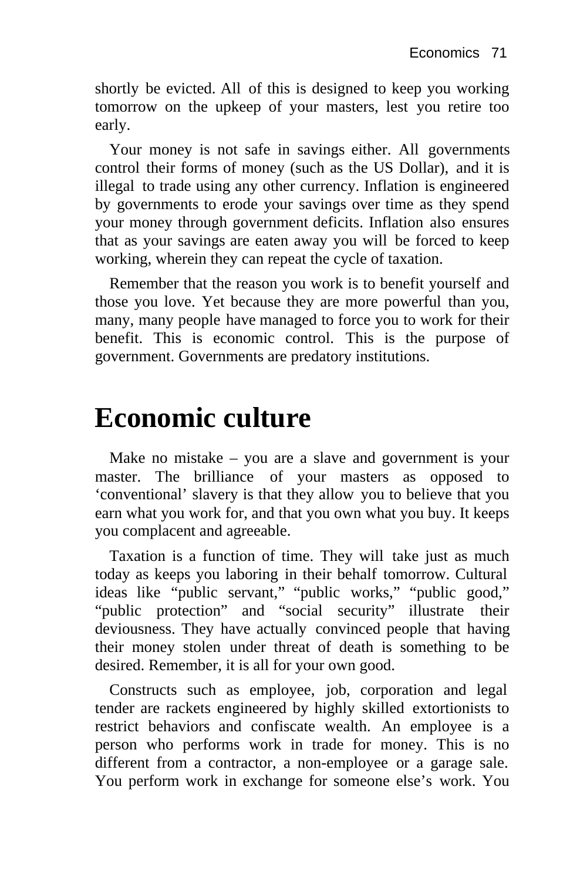shortly be evicted. All of this is designed to keep you working tomorrow on the upkeep of your masters, lest you retire too early.

Your money is not safe in savings either. All governments control their forms of money (such as the US Dollar), and it is illegal to trade using any other currency. Inflation is engineered by governments to erode your savings over time as they spend your money through government deficits. Inflation also ensures that as your savings are eaten away you will be forced to keep working, wherein they can repeat the cycle of taxation.

Remember that the reason you work is to benefit yourself and those you love. Yet because they are more powerful than you, many, many people have managed to force you to work for their benefit. This is economic control. This is the purpose of government. Governments are predatory institutions.

### **Economic culture**

Make no mistake – you are a slave and government is your master. The brilliance of your masters as opposed to 'conventional' slavery is that they allow you to believe that you earn what you work for, and that you own what you buy. It keeps you complacent and agreeable.

Taxation is a function of time. They will take just as much today as keeps you laboring in their behalf tomorrow. Cultural ideas like "public servant," "public works," "public good," "public protection" and "social security" illustrate their deviousness. They have actually convinced people that having their money stolen under threat of death is something to be desired. Remember, it is all for your own good.

Constructs such as employee, job, corporation and legal tender are rackets engineered by highly skilled extortionists to restrict behaviors and confiscate wealth. An employee is a person who performs work in trade for money. This is no different from a contractor, a non-employee or a garage sale. You perform work in exchange for someone else's work. You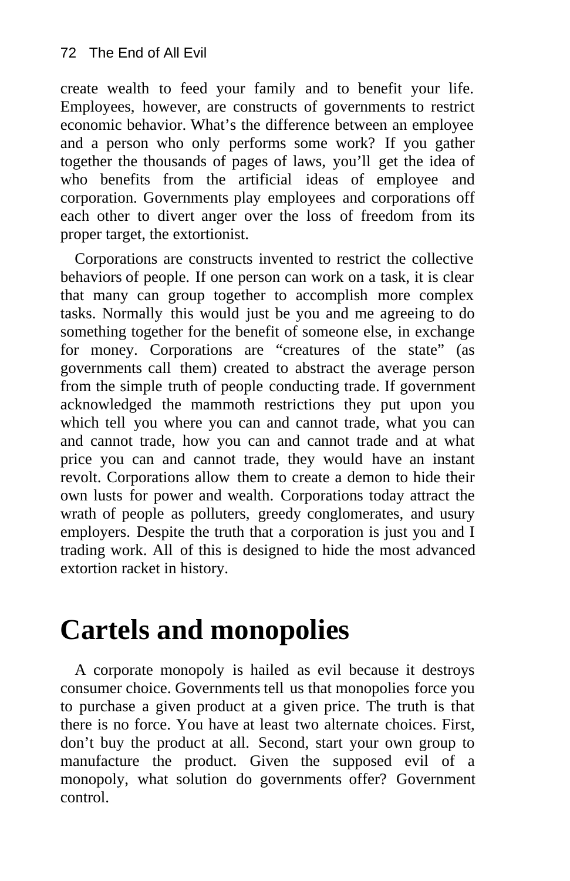create wealth to feed your family and to benefit your life. Employees, however, are constructs of governments to restrict economic behavior. What's the difference between an employee and a person who only performs some work? If you gather together the thousands of pages of laws, you'll get the idea of who benefits from the artificial ideas of employee and corporation. Governments play employees and corporations off each other to divert anger over the loss of freedom from its proper target, the extortionist.

Corporations are constructs invented to restrict the collective behaviors of people. If one person can work on a task, it is clear that many can group together to accomplish more complex tasks. Normally this would just be you and me agreeing to do something together for the benefit of someone else, in exchange for money. Corporations are "creatures of the state" (as governments call them) created to abstract the average person from the simple truth of people conducting trade. If government acknowledged the mammoth restrictions they put upon you which tell you where you can and cannot trade, what you can and cannot trade, how you can and cannot trade and at what price you can and cannot trade, they would have an instant revolt. Corporations allow them to create a demon to hide their own lusts for power and wealth. Corporations today attract the wrath of people as polluters, greedy conglomerates, and usury employers. Despite the truth that a corporation is just you and I trading work. All of this is designed to hide the most advanced extortion racket in history.

# **Cartels and monopolies**

A corporate monopoly is hailed as evil because it destroys consumer choice. Governments tell us that monopolies force you to purchase a given product at a given price. The truth is that there is no force. You have at least two alternate choices. First, don't buy the product at all. Second, start your own group to manufacture the product. Given the supposed evil of a monopoly, what solution do governments offer? Government control.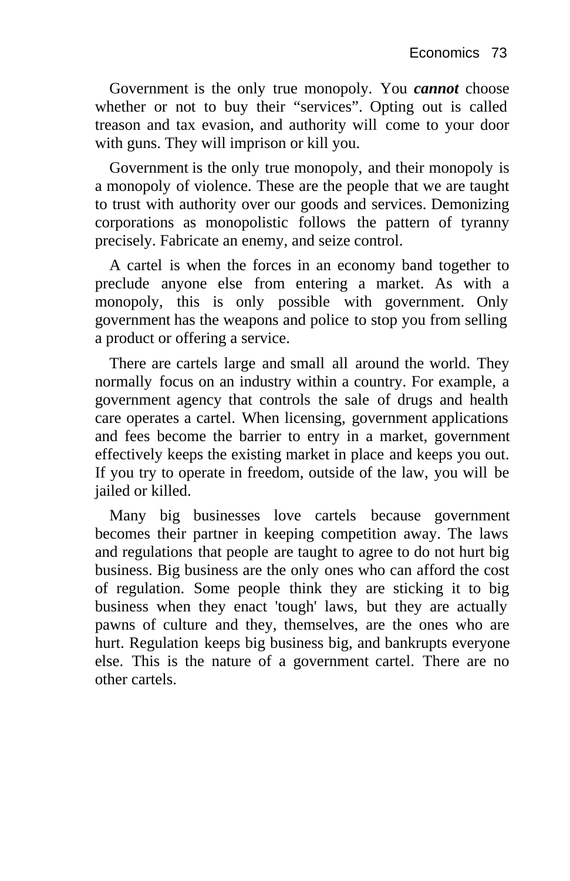Government is the only true monopoly. You *cannot* choose whether or not to buy their "services". Opting out is called treason and tax evasion, and authority will come to your door with guns. They will imprison or kill you.

Government is the only true monopoly, and their monopoly is a monopoly of violence. These are the people that we are taught to trust with authority over our goods and services. Demonizing corporations as monopolistic follows the pattern of tyranny precisely. Fabricate an enemy, and seize control.

A cartel is when the forces in an economy band together to preclude anyone else from entering a market. As with a monopoly, this is only possible with government. Only government has the weapons and police to stop you from selling a product or offering a service.

There are cartels large and small all around the world. They normally focus on an industry within a country. For example, a government agency that controls the sale of drugs and health care operates a cartel. When licensing, government applications and fees become the barrier to entry in a market, government effectively keeps the existing market in place and keeps you out. If you try to operate in freedom, outside of the law, you will be jailed or killed.

Many big businesses love cartels because government becomes their partner in keeping competition away. The laws and regulations that people are taught to agree to do not hurt big business. Big business are the only ones who can afford the cost of regulation. Some people think they are sticking it to big business when they enact 'tough' laws, but they are actually pawns of culture and they, themselves, are the ones who are hurt. Regulation keeps big business big, and bankrupts everyone else. This is the nature of a government cartel. There are no other cartels.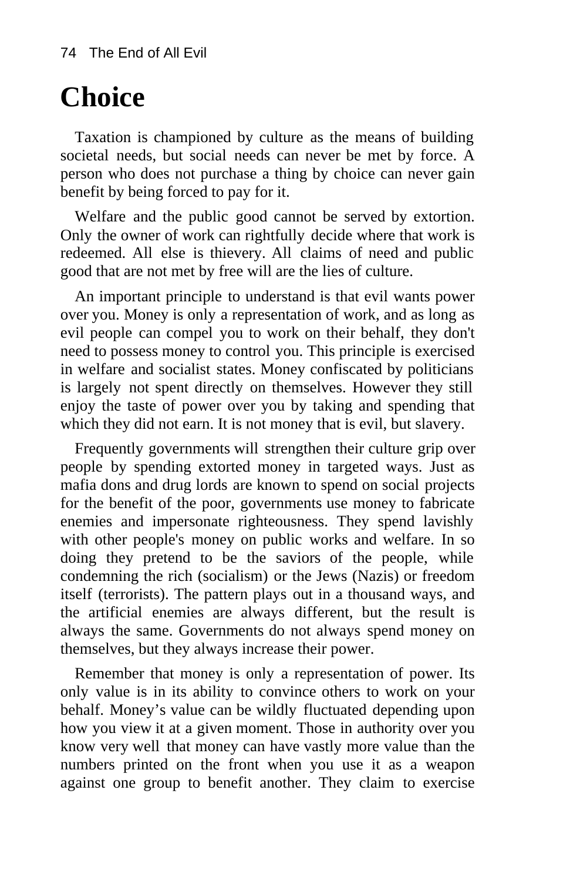## **Choice**

Taxation is championed by culture as the means of building societal needs, but social needs can never be met by force. A person who does not purchase a thing by choice can never gain benefit by being forced to pay for it.

Welfare and the public good cannot be served by extortion. Only the owner of work can rightfully decide where that work is redeemed. All else is thievery. All claims of need and public good that are not met by free will are the lies of culture.

An important principle to understand is that evil wants power over you. Money is only a representation of work, and as long as evil people can compel you to work on their behalf, they don't need to possess money to control you. This principle is exercised in welfare and socialist states. Money confiscated by politicians is largely not spent directly on themselves. However they still enjoy the taste of power over you by taking and spending that which they did not earn. It is not money that is evil, but slavery.

Frequently governments will strengthen their culture grip over people by spending extorted money in targeted ways. Just as mafia dons and drug lords are known to spend on social projects for the benefit of the poor, governments use money to fabricate enemies and impersonate righteousness. They spend lavishly with other people's money on public works and welfare. In so doing they pretend to be the saviors of the people, while condemning the rich (socialism) or the Jews (Nazis) or freedom itself (terrorists). The pattern plays out in a thousand ways, and the artificial enemies are always different, but the result is always the same. Governments do not always spend money on themselves, but they always increase their power.

Remember that money is only a representation of power. Its only value is in its ability to convince others to work on your behalf. Money's value can be wildly fluctuated depending upon how you view it at a given moment. Those in authority over you know very well that money can have vastly more value than the numbers printed on the front when you use it as a weapon against one group to benefit another. They claim to exercise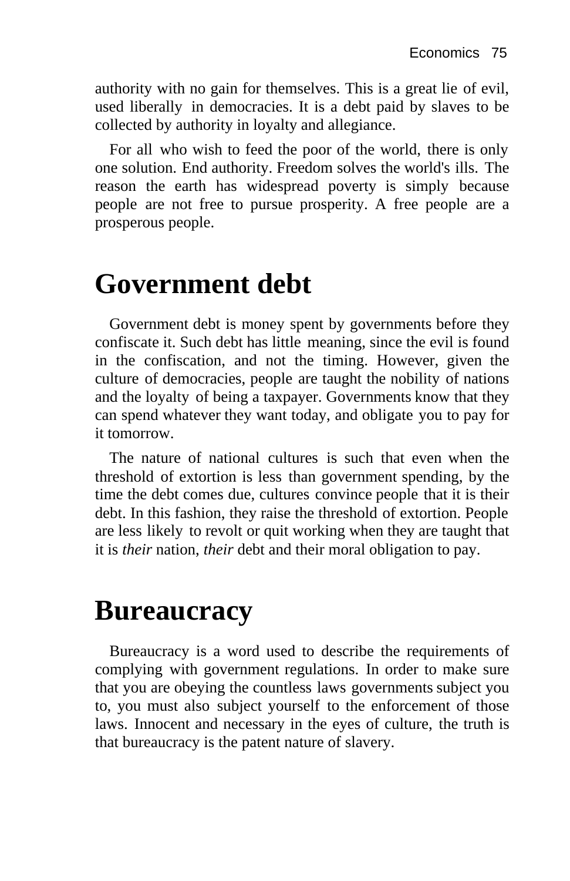authority with no gain for themselves. This is a great lie of evil, used liberally in democracies. It is a debt paid by slaves to be collected by authority in loyalty and allegiance.

For all who wish to feed the poor of the world, there is only one solution. End authority. Freedom solves the world's ills. The reason the earth has widespread poverty is simply because people are not free to pursue prosperity. A free people are a prosperous people.

## **Government debt**

Government debt is money spent by governments before they confiscate it. Such debt has little meaning, since the evil is found in the confiscation, and not the timing. However, given the culture of democracies, people are taught the nobility of nations and the loyalty of being a taxpayer. Governments know that they can spend whatever they want today, and obligate you to pay for it tomorrow.

The nature of national cultures is such that even when the threshold of extortion is less than government spending, by the time the debt comes due, cultures convince people that it is their debt. In this fashion, they raise the threshold of extortion. People are less likely to revolt or quit working when they are taught that it is *their* nation, *their* debt and their moral obligation to pay.

## **Bureaucracy**

Bureaucracy is a word used to describe the requirements of complying with government regulations. In order to make sure that you are obeying the countless laws governments subject you to, you must also subject yourself to the enforcement of those laws. Innocent and necessary in the eyes of culture, the truth is that bureaucracy is the patent nature of slavery.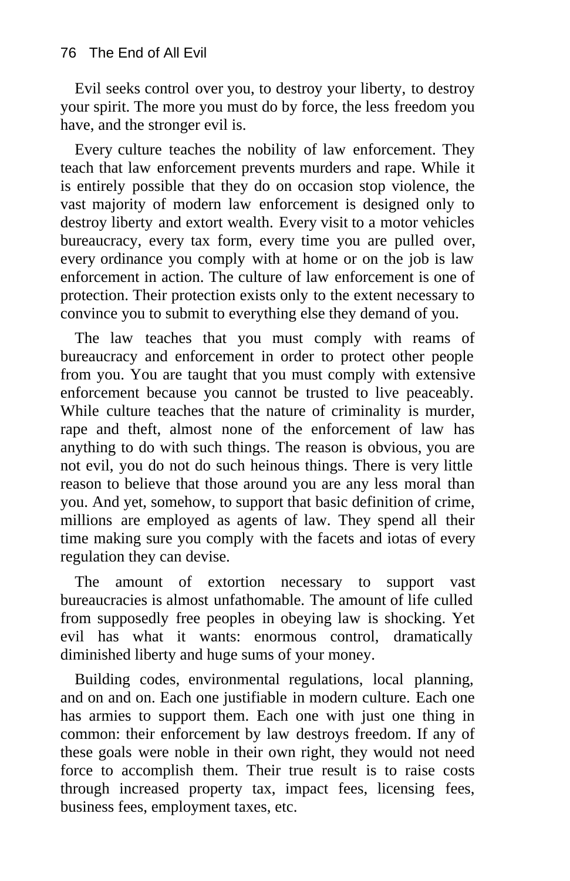Evil seeks control over you, to destroy your liberty, to destroy your spirit. The more you must do by force, the less freedom you have, and the stronger evil is.

Every culture teaches the nobility of law enforcement. They teach that law enforcement prevents murders and rape. While it is entirely possible that they do on occasion stop violence, the vast majority of modern law enforcement is designed only to destroy liberty and extort wealth. Every visit to a motor vehicles bureaucracy, every tax form, every time you are pulled over, every ordinance you comply with at home or on the job is law enforcement in action. The culture of law enforcement is one of protection. Their protection exists only to the extent necessary to convince you to submit to everything else they demand of you.

The law teaches that you must comply with reams of bureaucracy and enforcement in order to protect other people from you. You are taught that you must comply with extensive enforcement because you cannot be trusted to live peaceably. While culture teaches that the nature of criminality is murder, rape and theft, almost none of the enforcement of law has anything to do with such things. The reason is obvious, you are not evil, you do not do such heinous things. There is very little reason to believe that those around you are any less moral than you. And yet, somehow, to support that basic definition of crime, millions are employed as agents of law. They spend all their time making sure you comply with the facets and iotas of every regulation they can devise.

The amount of extortion necessary to support vast bureaucracies is almost unfathomable. The amount of life culled from supposedly free peoples in obeying law is shocking. Yet evil has what it wants: enormous control, dramatically diminished liberty and huge sums of your money.

Building codes, environmental regulations, local planning, and on and on. Each one justifiable in modern culture. Each one has armies to support them. Each one with just one thing in common: their enforcement by law destroys freedom. If any of these goals were noble in their own right, they would not need force to accomplish them. Their true result is to raise costs through increased property tax, impact fees, licensing fees, business fees, employment taxes, etc.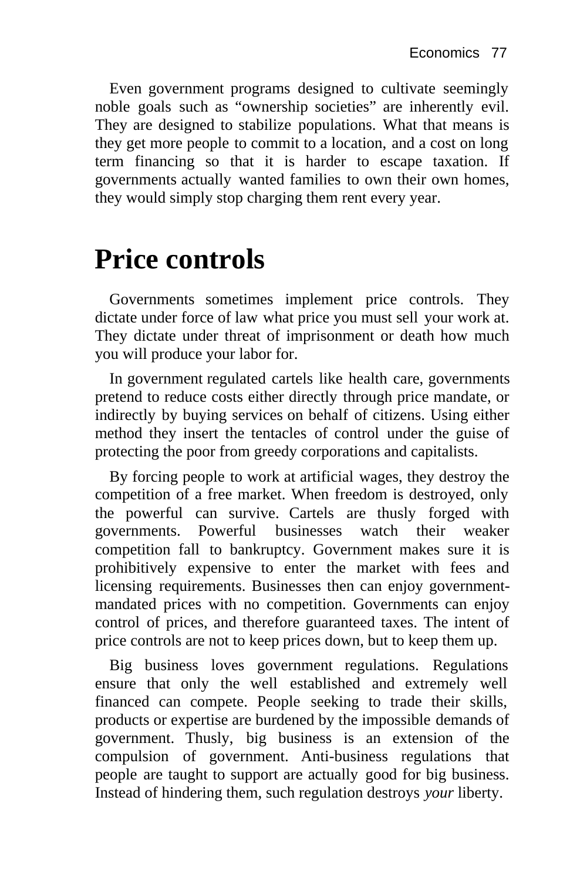Even government programs designed to cultivate seemingly noble goals such as "ownership societies" are inherently evil. They are designed to stabilize populations. What that means is they get more people to commit to a location, and a cost on long term financing so that it is harder to escape taxation. If governments actually wanted families to own their own homes, they would simply stop charging them rent every year.

## **Price controls**

Governments sometimes implement price controls. They dictate under force of law what price you must sell your work at. They dictate under threat of imprisonment or death how much you will produce your labor for.

In government regulated cartels like health care, governments pretend to reduce costs either directly through price mandate, or indirectly by buying services on behalf of citizens. Using either method they insert the tentacles of control under the guise of protecting the poor from greedy corporations and capitalists.

By forcing people to work at artificial wages, they destroy the competition of a free market. When freedom is destroyed, only the powerful can survive. Cartels are thusly forged with governments. Powerful businesses watch their weaker competition fall to bankruptcy. Government makes sure it is prohibitively expensive to enter the market with fees and licensing requirements. Businesses then can enjoy governmentmandated prices with no competition. Governments can enjoy control of prices, and therefore guaranteed taxes. The intent of price controls are not to keep prices down, but to keep them up.

Big business loves government regulations. Regulations ensure that only the well established and extremely well financed can compete. People seeking to trade their skills, products or expertise are burdened by the impossible demands of government. Thusly, big business is an extension of the compulsion of government. Anti-business regulations that people are taught to support are actually good for big business. Instead of hindering them, such regulation destroys *your* liberty.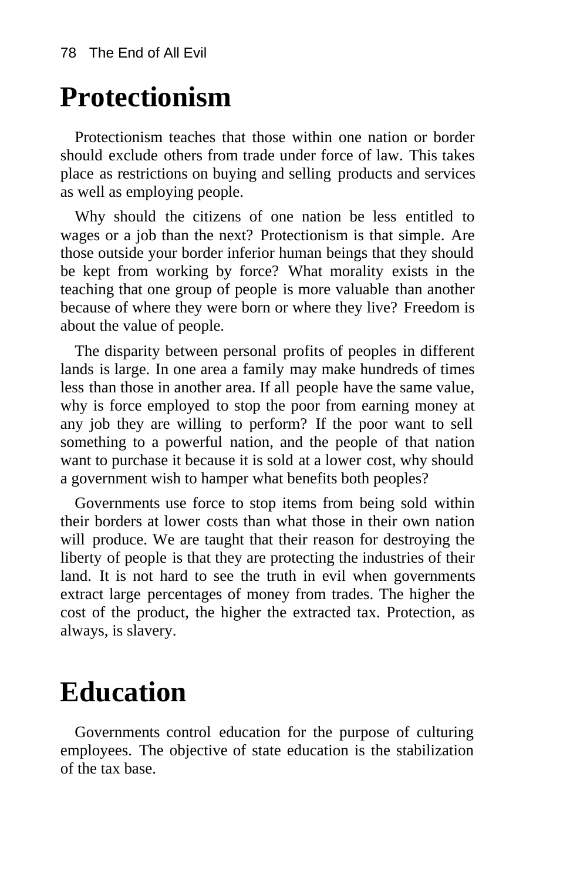## **Protectionism**

Protectionism teaches that those within one nation or border should exclude others from trade under force of law. This takes place as restrictions on buying and selling products and services as well as employing people.

Why should the citizens of one nation be less entitled to wages or a job than the next? Protectionism is that simple. Are those outside your border inferior human beings that they should be kept from working by force? What morality exists in the teaching that one group of people is more valuable than another because of where they were born or where they live? Freedom is about the value of people.

The disparity between personal profits of peoples in different lands is large. In one area a family may make hundreds of times less than those in another area. If all people have the same value, why is force employed to stop the poor from earning money at any job they are willing to perform? If the poor want to sell something to a powerful nation, and the people of that nation want to purchase it because it is sold at a lower cost, why should a government wish to hamper what benefits both peoples?

Governments use force to stop items from being sold within their borders at lower costs than what those in their own nation will produce. We are taught that their reason for destroying the liberty of people is that they are protecting the industries of their land. It is not hard to see the truth in evil when governments extract large percentages of money from trades. The higher the cost of the product, the higher the extracted tax. Protection, as always, is slavery.

## **Education**

Governments control education for the purpose of culturing employees. The objective of state education is the stabilization of the tax base.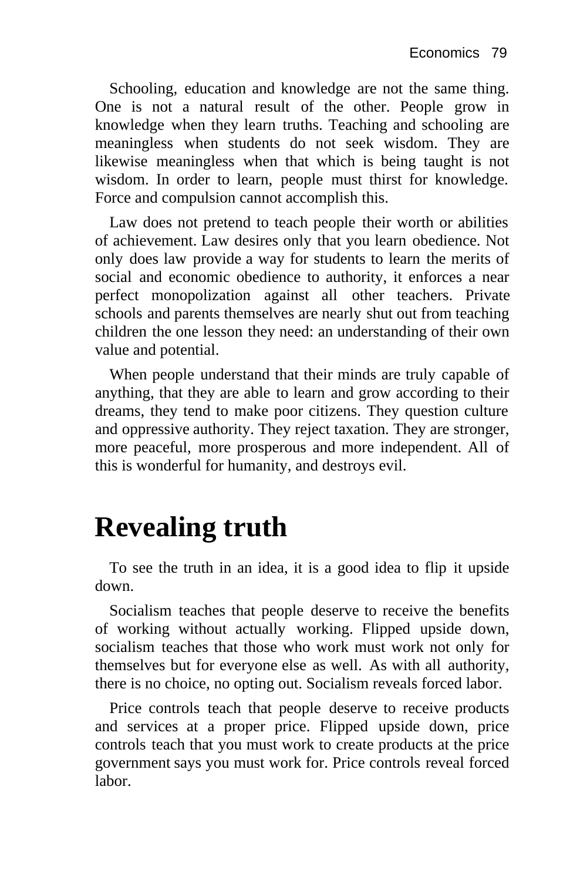Schooling, education and knowledge are not the same thing. One is not a natural result of the other. People grow in knowledge when they learn truths. Teaching and schooling are meaningless when students do not seek wisdom. They are likewise meaningless when that which is being taught is not wisdom. In order to learn, people must thirst for knowledge. Force and compulsion cannot accomplish this.

Law does not pretend to teach people their worth or abilities of achievement. Law desires only that you learn obedience. Not only does law provide a way for students to learn the merits of social and economic obedience to authority, it enforces a near perfect monopolization against all other teachers. Private schools and parents themselves are nearly shut out from teaching children the one lesson they need: an understanding of their own value and potential.

When people understand that their minds are truly capable of anything, that they are able to learn and grow according to their dreams, they tend to make poor citizens. They question culture and oppressive authority. They reject taxation. They are stronger, more peaceful, more prosperous and more independent. All of this is wonderful for humanity, and destroys evil.

## **Revealing truth**

To see the truth in an idea, it is a good idea to flip it upside down.

Socialism teaches that people deserve to receive the benefits of working without actually working. Flipped upside down, socialism teaches that those who work must work not only for themselves but for everyone else as well. As with all authority, there is no choice, no opting out. Socialism reveals forced labor.

Price controls teach that people deserve to receive products and services at a proper price. Flipped upside down, price controls teach that you must work to create products at the price government says you must work for. Price controls reveal forced labor.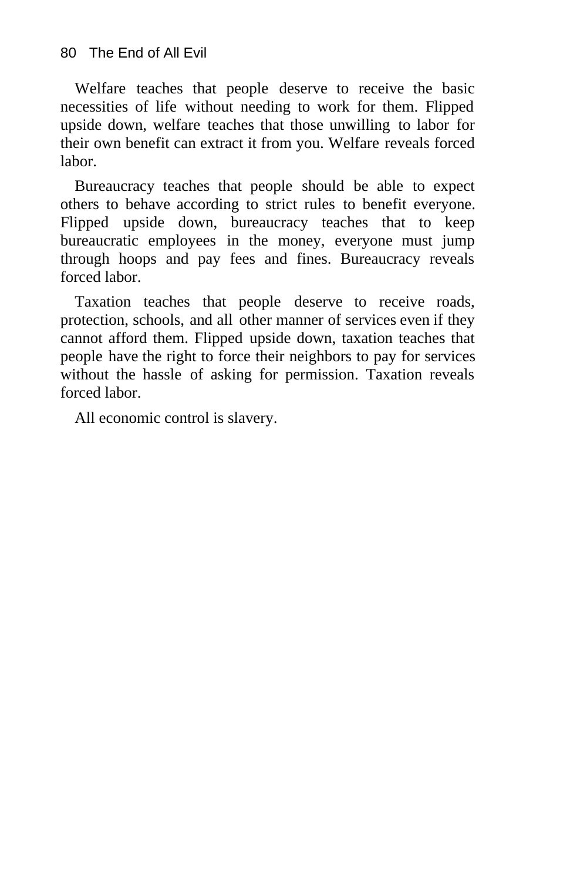Welfare teaches that people deserve to receive the basic necessities of life without needing to work for them. Flipped upside down, welfare teaches that those unwilling to labor for their own benefit can extract it from you. Welfare reveals forced labor.

Bureaucracy teaches that people should be able to expect others to behave according to strict rules to benefit everyone. Flipped upside down, bureaucracy teaches that to keep bureaucratic employees in the money, everyone must jump through hoops and pay fees and fines. Bureaucracy reveals forced labor.

Taxation teaches that people deserve to receive roads, protection, schools, and all other manner of services even if they cannot afford them. Flipped upside down, taxation teaches that people have the right to force their neighbors to pay for services without the hassle of asking for permission. Taxation reveals forced labor.

All economic control is slavery.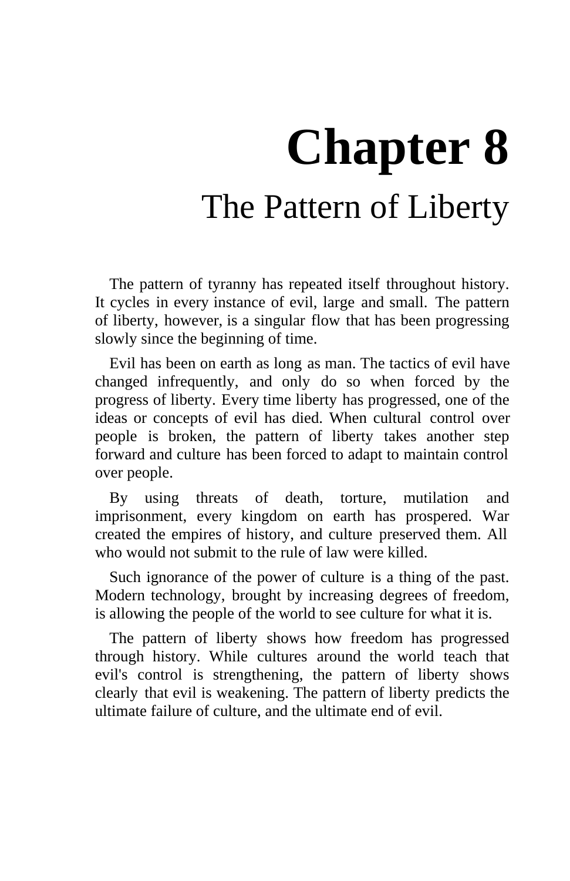## **Chapter 8** The Pattern of Liberty

The pattern of tyranny has repeated itself throughout history. It cycles in every instance of evil, large and small. The pattern of liberty, however, is a singular flow that has been progressing slowly since the beginning of time.

Evil has been on earth as long as man. The tactics of evil have changed infrequently, and only do so when forced by the progress of liberty. Every time liberty has progressed, one of the ideas or concepts of evil has died. When cultural control over people is broken, the pattern of liberty takes another step forward and culture has been forced to adapt to maintain control over people.

By using threats of death, torture, mutilation and imprisonment, every kingdom on earth has prospered. War created the empires of history, and culture preserved them. All who would not submit to the rule of law were killed.

Such ignorance of the power of culture is a thing of the past. Modern technology, brought by increasing degrees of freedom, is allowing the people of the world to see culture for what it is.

The pattern of liberty shows how freedom has progressed through history. While cultures around the world teach that evil's control is strengthening, the pattern of liberty shows clearly that evil is weakening. The pattern of liberty predicts the ultimate failure of culture, and the ultimate end of evil.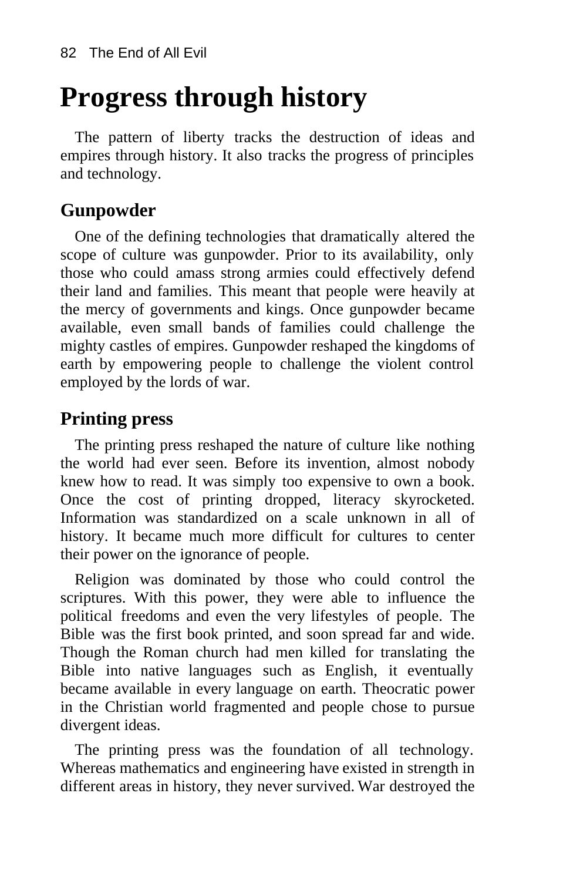## **Progress through history**

The pattern of liberty tracks the destruction of ideas and empires through history. It also tracks the progress of principles and technology.

#### **Gunpowder**

One of the defining technologies that dramatically altered the scope of culture was gunpowder. Prior to its availability, only those who could amass strong armies could effectively defend their land and families. This meant that people were heavily at the mercy of governments and kings. Once gunpowder became available, even small bands of families could challenge the mighty castles of empires. Gunpowder reshaped the kingdoms of earth by empowering people to challenge the violent control employed by the lords of war.

#### **Printing press**

The printing press reshaped the nature of culture like nothing the world had ever seen. Before its invention, almost nobody knew how to read. It was simply too expensive to own a book. Once the cost of printing dropped, literacy skyrocketed. Information was standardized on a scale unknown in all of history. It became much more difficult for cultures to center their power on the ignorance of people.

Religion was dominated by those who could control the scriptures. With this power, they were able to influence the political freedoms and even the very lifestyles of people. The Bible was the first book printed, and soon spread far and wide. Though the Roman church had men killed for translating the Bible into native languages such as English, it eventually became available in every language on earth. Theocratic power in the Christian world fragmented and people chose to pursue divergent ideas.

The printing press was the foundation of all technology. Whereas mathematics and engineering have existed in strength in different areas in history, they never survived. War destroyed the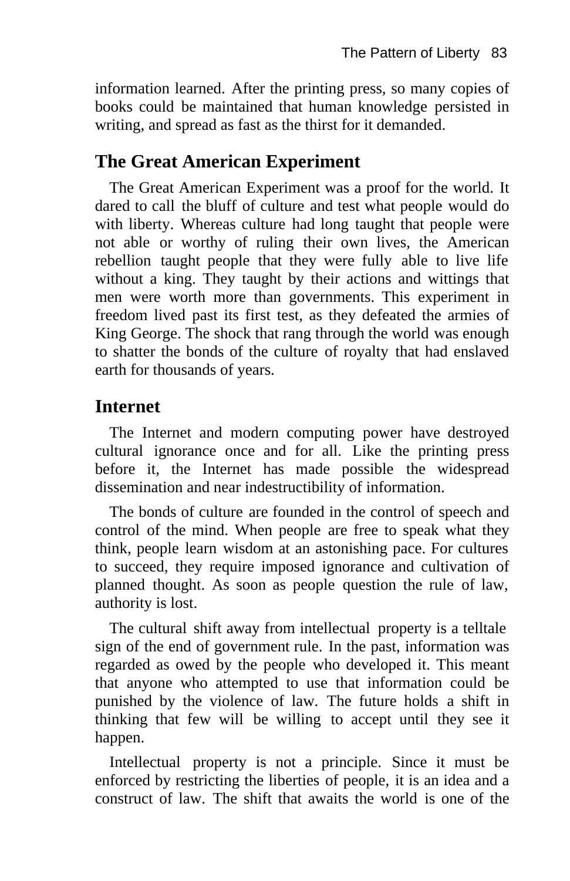information learned. After the printing press, so many copies of books could be maintained that human knowledge persisted in writing, and spread as fast as the thirst for it demanded.

#### **The Great American Experiment**

The Great American Experiment was a proof for the world. It dared to call the bluff of culture and test what people would do with liberty. Whereas culture had long taught that people were not able or worthy of ruling their own lives, the American rebellion taught people that they were fully able to live life without a king. They taught by their actions and wittings that men were worth more than governments. This experiment in freedom lived past its first test, as they defeated the armies of King George. The shock that rang through the world was enough to shatter the bonds of the culture of royalty that had enslaved earth for thousands of years.

#### **Internet**

The Internet and modern computing power have destroyed cultural ignorance once and for all. Like the printing press before it, the Internet has made possible the widespread dissemination and near indestructibility of information.

The bonds of culture are founded in the control of speech and control of the mind. When people are free to speak what they think, people learn wisdom at an astonishing pace. For cultures to succeed, they require imposed ignorance and cultivation of planned thought. As soon as people question the rule of law, authority is lost.

The cultural shift away from intellectual property is a telltale sign of the end of government rule. In the past, information was regarded as owed by the people who developed it. This meant that anyone who attempted to use that information could be punished by the violence of law. The future holds a shift in thinking that few will be willing to accept until they see it happen.

Intellectual property is not a principle. Since it must be enforced by restricting the liberties of people, it is an idea and a construct of law. The shift that awaits the world is one of the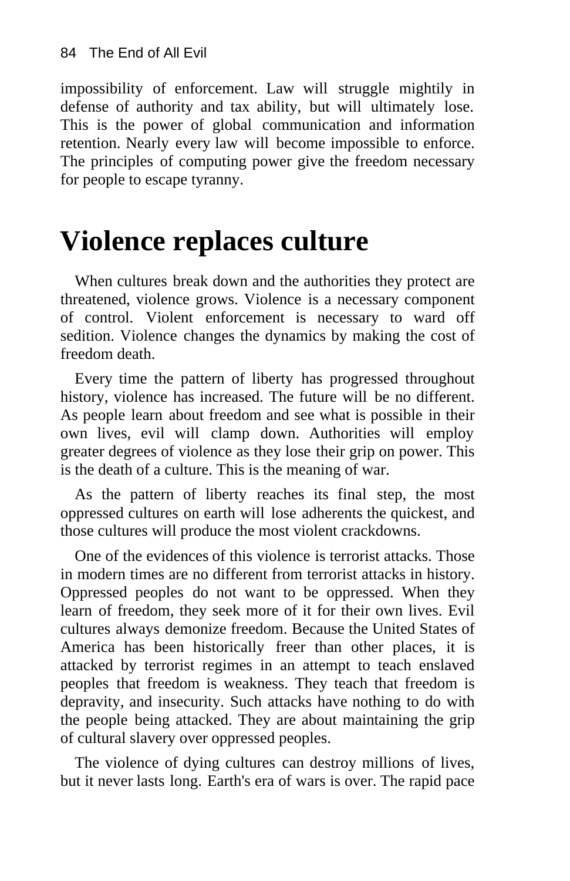impossibility of enforcement. Law will struggle mightily in defense of authority and tax ability, but will ultimately lose. This is the power of global communication and information retention. Nearly every law will become impossible to enforce. The principles of computing power give the freedom necessary for people to escape tyranny.

## **Violence replaces culture**

When cultures break down and the authorities they protect are threatened, violence grows. Violence is a necessary component of control. Violent enforcement is necessary to ward off sedition. Violence changes the dynamics by making the cost of freedom death.

Every time the pattern of liberty has progressed throughout history, violence has increased. The future will be no different. As people learn about freedom and see what is possible in their own lives, evil will clamp down. Authorities will employ greater degrees of violence as they lose their grip on power. This is the death of a culture. This is the meaning of war.

As the pattern of liberty reaches its final step, the most oppressed cultures on earth will lose adherents the quickest, and those cultures will produce the most violent crackdowns.

One of the evidences of this violence is terrorist attacks. Those in modern times are no different from terrorist attacks in history. Oppressed peoples do not want to be oppressed. When they learn of freedom, they seek more of it for their own lives. Evil cultures always demonize freedom. Because the United States of America has been historically freer than other places, it is attacked by terrorist regimes in an attempt to teach enslaved peoples that freedom is weakness. They teach that freedom is depravity, and insecurity. Such attacks have nothing to do with the people being attacked. They are about maintaining the grip of cultural slavery over oppressed peoples.

The violence of dying cultures can destroy millions of lives, but it never lasts long. Earth's era of wars is over. The rapid pace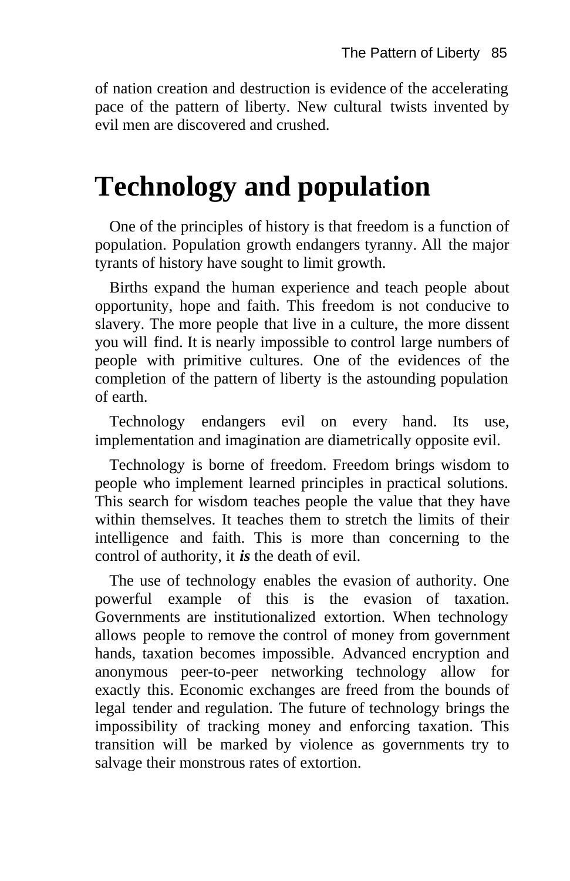of nation creation and destruction is evidence of the accelerating pace of the pattern of liberty. New cultural twists invented by evil men are discovered and crushed.

## **Technology and population**

One of the principles of history is that freedom is a function of population. Population growth endangers tyranny. All the major tyrants of history have sought to limit growth.

Births expand the human experience and teach people about opportunity, hope and faith. This freedom is not conducive to slavery. The more people that live in a culture, the more dissent you will find. It is nearly impossible to control large numbers of people with primitive cultures. One of the evidences of the completion of the pattern of liberty is the astounding population of earth.

Technology endangers evil on every hand. Its use, implementation and imagination are diametrically opposite evil.

Technology is borne of freedom. Freedom brings wisdom to people who implement learned principles in practical solutions. This search for wisdom teaches people the value that they have within themselves. It teaches them to stretch the limits of their intelligence and faith. This is more than concerning to the control of authority, it *is* the death of evil.

The use of technology enables the evasion of authority. One powerful example of this is the evasion of taxation. Governments are institutionalized extortion. When technology allows people to remove the control of money from government hands, taxation becomes impossible. Advanced encryption and anonymous peer-to-peer networking technology allow for exactly this. Economic exchanges are freed from the bounds of legal tender and regulation. The future of technology brings the impossibility of tracking money and enforcing taxation. This transition will be marked by violence as governments try to salvage their monstrous rates of extortion.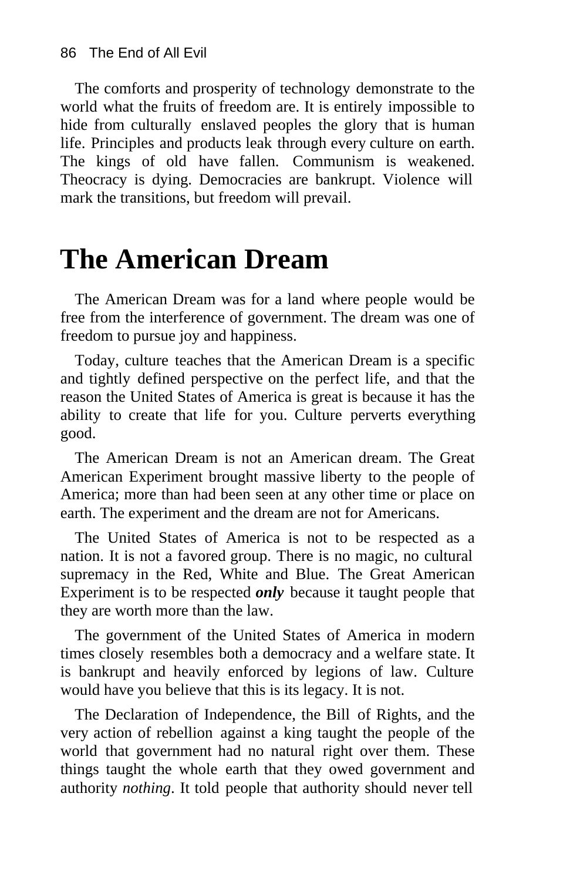The comforts and prosperity of technology demonstrate to the world what the fruits of freedom are. It is entirely impossible to hide from culturally enslaved peoples the glory that is human life. Principles and products leak through every culture on earth. The kings of old have fallen. Communism is weakened. Theocracy is dying. Democracies are bankrupt. Violence will mark the transitions, but freedom will prevail.

## **The American Dream**

The American Dream was for a land where people would be free from the interference of government. The dream was one of freedom to pursue joy and happiness.

Today, culture teaches that the American Dream is a specific and tightly defined perspective on the perfect life, and that the reason the United States of America is great is because it has the ability to create that life for you. Culture perverts everything good.

The American Dream is not an American dream. The Great American Experiment brought massive liberty to the people of America; more than had been seen at any other time or place on earth. The experiment and the dream are not for Americans.

The United States of America is not to be respected as a nation. It is not a favored group. There is no magic, no cultural supremacy in the Red, White and Blue. The Great American Experiment is to be respected *only* because it taught people that they are worth more than the law.

The government of the United States of America in modern times closely resembles both a democracy and a welfare state. It is bankrupt and heavily enforced by legions of law. Culture would have you believe that this is its legacy. It is not.

The Declaration of Independence, the Bill of Rights, and the very action of rebellion against a king taught the people of the world that government had no natural right over them. These things taught the whole earth that they owed government and authority *nothing*. It told people that authority should never tell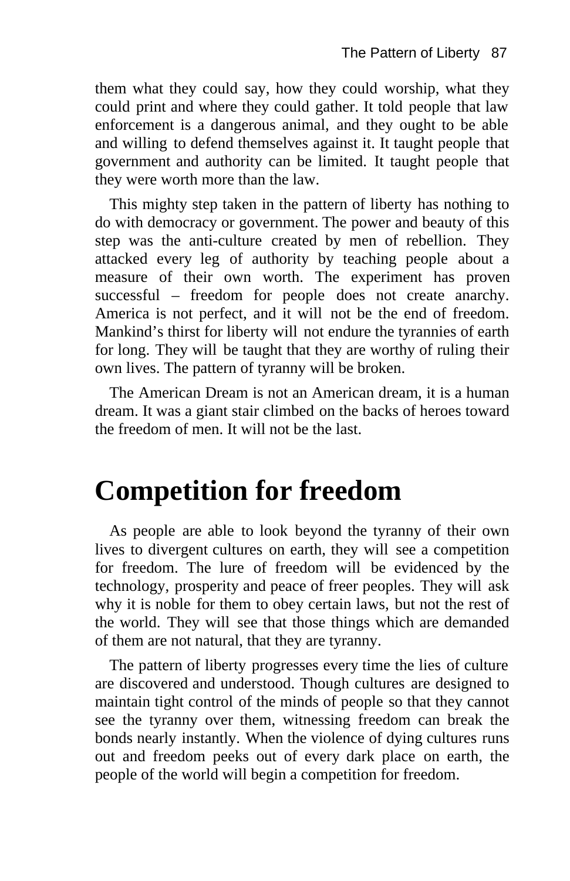them what they could say, how they could worship, what they could print and where they could gather. It told people that law enforcement is a dangerous animal, and they ought to be able and willing to defend themselves against it. It taught people that government and authority can be limited. It taught people that they were worth more than the law.

This mighty step taken in the pattern of liberty has nothing to do with democracy or government. The power and beauty of this step was the anti-culture created by men of rebellion. They attacked every leg of authority by teaching people about a measure of their own worth. The experiment has proven successful – freedom for people does not create anarchy. America is not perfect, and it will not be the end of freedom. Mankind's thirst for liberty will not endure the tyrannies of earth for long. They will be taught that they are worthy of ruling their own lives. The pattern of tyranny will be broken.

The American Dream is not an American dream, it is a human dream. It was a giant stair climbed on the backs of heroes toward the freedom of men. It will not be the last.

## **Competition for freedom**

As people are able to look beyond the tyranny of their own lives to divergent cultures on earth, they will see a competition for freedom. The lure of freedom will be evidenced by the technology, prosperity and peace of freer peoples. They will ask why it is noble for them to obey certain laws, but not the rest of the world. They will see that those things which are demanded of them are not natural, that they are tyranny.

The pattern of liberty progresses every time the lies of culture are discovered and understood. Though cultures are designed to maintain tight control of the minds of people so that they cannot see the tyranny over them, witnessing freedom can break the bonds nearly instantly. When the violence of dying cultures runs out and freedom peeks out of every dark place on earth, the people of the world will begin a competition for freedom.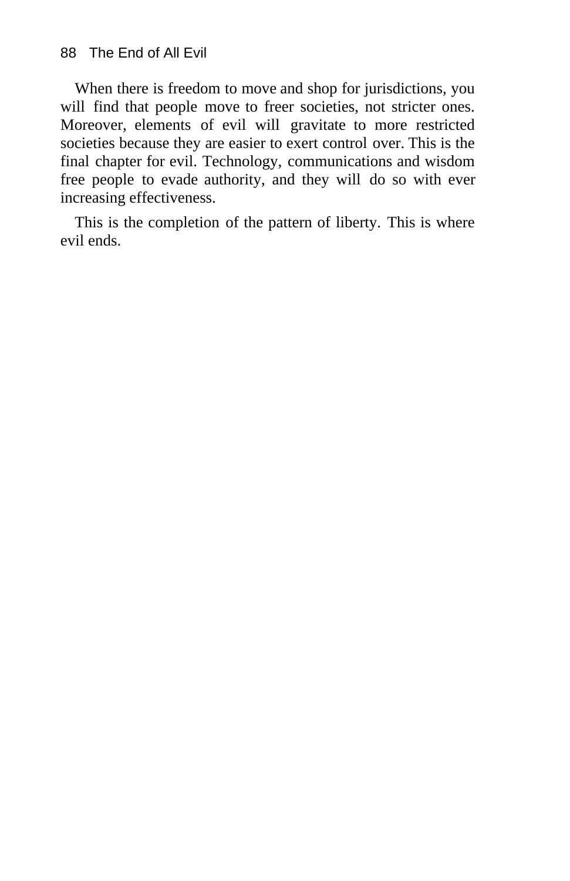When there is freedom to move and shop for jurisdictions, you will find that people move to freer societies, not stricter ones. Moreover, elements of evil will gravitate to more restricted societies because they are easier to exert control over. This is the final chapter for evil. Technology, communications and wisdom free people to evade authority, and they will do so with ever increasing effectiveness.

This is the completion of the pattern of liberty. This is where evil ends.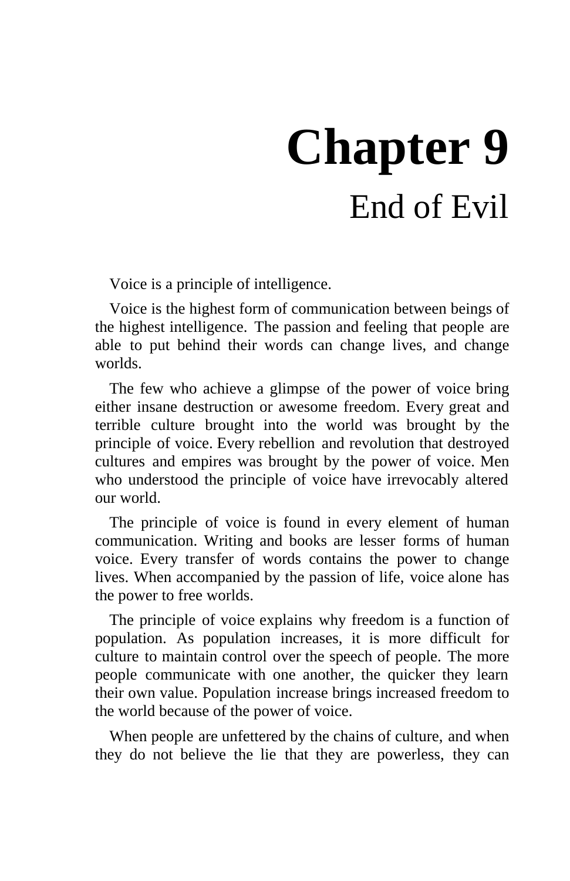# **Chapter 9** End of Evil

Voice is a principle of intelligence.

Voice is the highest form of communication between beings of the highest intelligence. The passion and feeling that people are able to put behind their words can change lives, and change worlds.

The few who achieve a glimpse of the power of voice bring either insane destruction or awesome freedom. Every great and terrible culture brought into the world was brought by the principle of voice. Every rebellion and revolution that destroyed cultures and empires was brought by the power of voice. Men who understood the principle of voice have irrevocably altered our world.

The principle of voice is found in every element of human communication. Writing and books are lesser forms of human voice. Every transfer of words contains the power to change lives. When accompanied by the passion of life, voice alone has the power to free worlds.

The principle of voice explains why freedom is a function of population. As population increases, it is more difficult for culture to maintain control over the speech of people. The more people communicate with one another, the quicker they learn their own value. Population increase brings increased freedom to the world because of the power of voice.

When people are unfettered by the chains of culture, and when they do not believe the lie that they are powerless, they can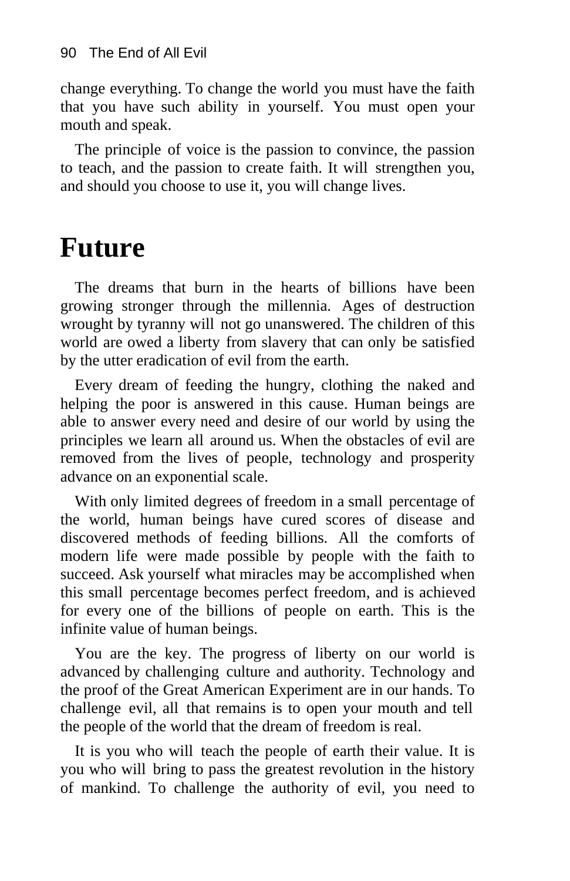change everything. To change the world you must have the faith that you have such ability in yourself. You must open your mouth and speak.

The principle of voice is the passion to convince, the passion to teach, and the passion to create faith. It will strengthen you, and should you choose to use it, you will change lives.

### **Future**

The dreams that burn in the hearts of billions have been growing stronger through the millennia. Ages of destruction wrought by tyranny will not go unanswered. The children of this world are owed a liberty from slavery that can only be satisfied by the utter eradication of evil from the earth.

Every dream of feeding the hungry, clothing the naked and helping the poor is answered in this cause. Human beings are able to answer every need and desire of our world by using the principles we learn all around us. When the obstacles of evil are removed from the lives of people, technology and prosperity advance on an exponential scale.

With only limited degrees of freedom in a small percentage of the world, human beings have cured scores of disease and discovered methods of feeding billions. All the comforts of modern life were made possible by people with the faith to succeed. Ask yourself what miracles may be accomplished when this small percentage becomes perfect freedom, and is achieved for every one of the billions of people on earth. This is the infinite value of human beings.

You are the key. The progress of liberty on our world is advanced by challenging culture and authority. Technology and the proof of the Great American Experiment are in our hands. To challenge evil, all that remains is to open your mouth and tell the people of the world that the dream of freedom is real.

It is you who will teach the people of earth their value. It is you who will bring to pass the greatest revolution in the history of mankind. To challenge the authority of evil, you need to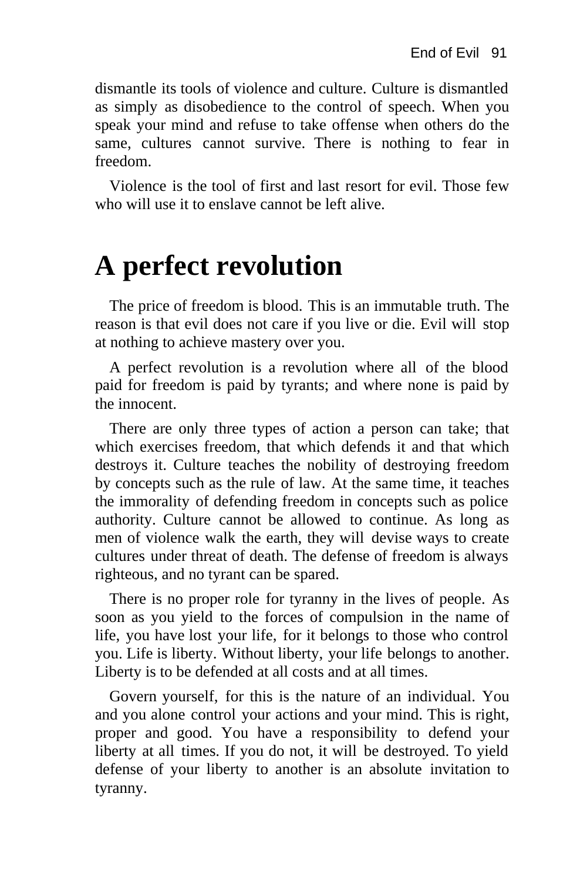dismantle its tools of violence and culture. Culture is dismantled as simply as disobedience to the control of speech. When you speak your mind and refuse to take offense when others do the same, cultures cannot survive. There is nothing to fear in freedom.

Violence is the tool of first and last resort for evil. Those few who will use it to enslave cannot be left alive.

## **A perfect revolution**

The price of freedom is blood. This is an immutable truth. The reason is that evil does not care if you live or die. Evil will stop at nothing to achieve mastery over you.

A perfect revolution is a revolution where all of the blood paid for freedom is paid by tyrants; and where none is paid by the innocent.

There are only three types of action a person can take; that which exercises freedom, that which defends it and that which destroys it. Culture teaches the nobility of destroying freedom by concepts such as the rule of law. At the same time, it teaches the immorality of defending freedom in concepts such as police authority. Culture cannot be allowed to continue. As long as men of violence walk the earth, they will devise ways to create cultures under threat of death. The defense of freedom is always righteous, and no tyrant can be spared.

There is no proper role for tyranny in the lives of people. As soon as you yield to the forces of compulsion in the name of life, you have lost your life, for it belongs to those who control you. Life is liberty. Without liberty, your life belongs to another. Liberty is to be defended at all costs and at all times.

Govern yourself, for this is the nature of an individual. You and you alone control your actions and your mind. This is right, proper and good. You have a responsibility to defend your liberty at all times. If you do not, it will be destroyed. To yield defense of your liberty to another is an absolute invitation to tyranny.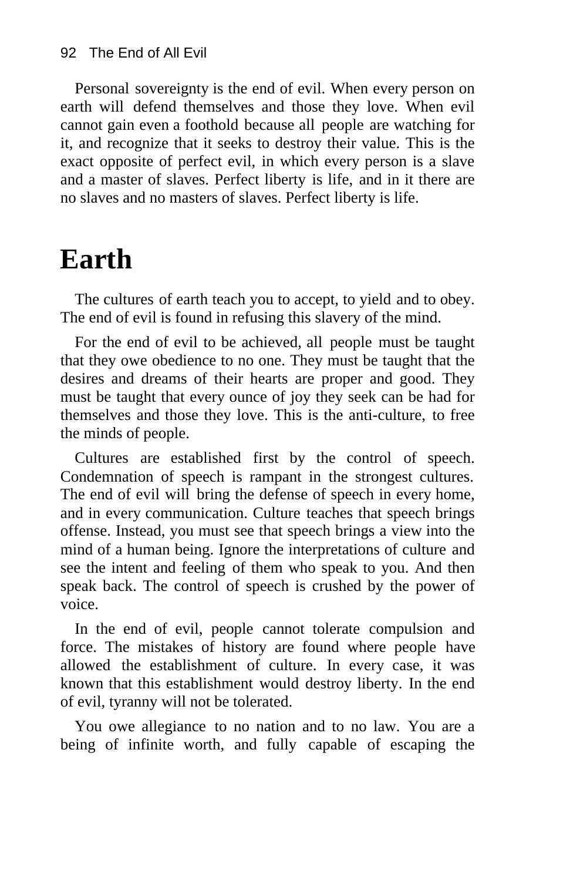Personal sovereignty is the end of evil. When every person on earth will defend themselves and those they love. When evil cannot gain even a foothold because all people are watching for it, and recognize that it seeks to destroy their value. This is the exact opposite of perfect evil, in which every person is a slave and a master of slaves. Perfect liberty is life, and in it there are no slaves and no masters of slaves. Perfect liberty is life.

### **Earth**

The cultures of earth teach you to accept, to yield and to obey. The end of evil is found in refusing this slavery of the mind.

For the end of evil to be achieved, all people must be taught that they owe obedience to no one. They must be taught that the desires and dreams of their hearts are proper and good. They must be taught that every ounce of joy they seek can be had for themselves and those they love. This is the anti-culture, to free the minds of people.

Cultures are established first by the control of speech. Condemnation of speech is rampant in the strongest cultures. The end of evil will bring the defense of speech in every home, and in every communication. Culture teaches that speech brings offense. Instead, you must see that speech brings a view into the mind of a human being. Ignore the interpretations of culture and see the intent and feeling of them who speak to you. And then speak back. The control of speech is crushed by the power of voice.

In the end of evil, people cannot tolerate compulsion and force. The mistakes of history are found where people have allowed the establishment of culture. In every case, it was known that this establishment would destroy liberty. In the end of evil, tyranny will not be tolerated.

You owe allegiance to no nation and to no law. You are a being of infinite worth, and fully capable of escaping the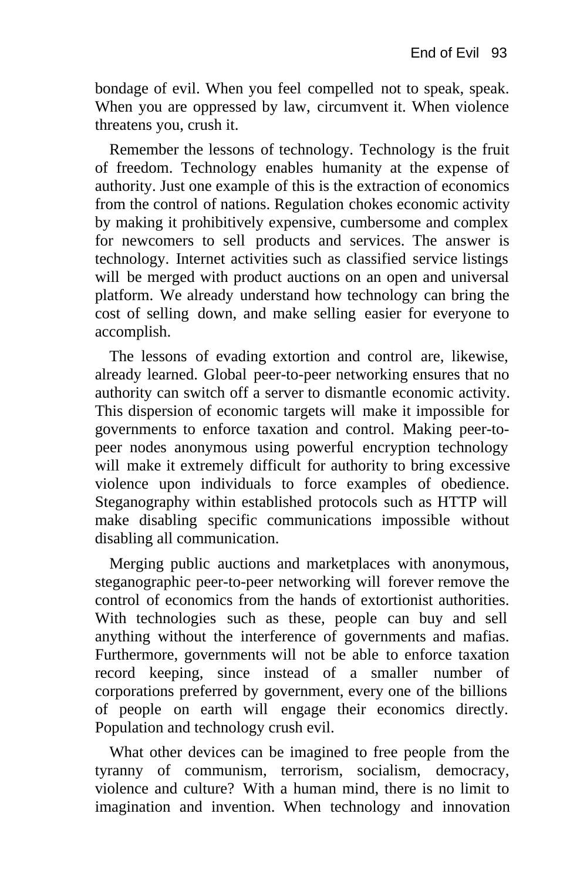bondage of evil. When you feel compelled not to speak, speak. When you are oppressed by law, circumvent it. When violence threatens you, crush it.

Remember the lessons of technology. Technology is the fruit of freedom. Technology enables humanity at the expense of authority. Just one example of this is the extraction of economics from the control of nations. Regulation chokes economic activity by making it prohibitively expensive, cumbersome and complex for newcomers to sell products and services. The answer is technology. Internet activities such as classified service listings will be merged with product auctions on an open and universal platform. We already understand how technology can bring the cost of selling down, and make selling easier for everyone to accomplish.

The lessons of evading extortion and control are, likewise, already learned. Global peer-to-peer networking ensures that no authority can switch off a server to dismantle economic activity. This dispersion of economic targets will make it impossible for governments to enforce taxation and control. Making peer-topeer nodes anonymous using powerful encryption technology will make it extremely difficult for authority to bring excessive violence upon individuals to force examples of obedience. Steganography within established protocols such as HTTP will make disabling specific communications impossible without disabling all communication.

Merging public auctions and marketplaces with anonymous, steganographic peer-to-peer networking will forever remove the control of economics from the hands of extortionist authorities. With technologies such as these, people can buy and sell anything without the interference of governments and mafias. Furthermore, governments will not be able to enforce taxation record keeping, since instead of a smaller number of corporations preferred by government, every one of the billions of people on earth will engage their economics directly. Population and technology crush evil.

What other devices can be imagined to free people from the tyranny of communism, terrorism, socialism, democracy, violence and culture? With a human mind, there is no limit to imagination and invention. When technology and innovation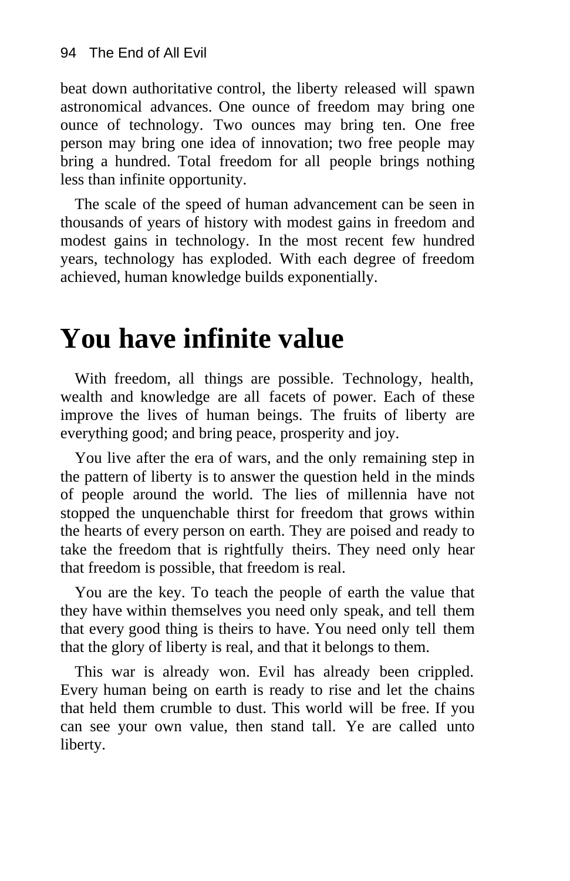beat down authoritative control, the liberty released will spawn astronomical advances. One ounce of freedom may bring one ounce of technology. Two ounces may bring ten. One free person may bring one idea of innovation; two free people may bring a hundred. Total freedom for all people brings nothing less than infinite opportunity.

The scale of the speed of human advancement can be seen in thousands of years of history with modest gains in freedom and modest gains in technology. In the most recent few hundred years, technology has exploded. With each degree of freedom achieved, human knowledge builds exponentially.

## **You have infinite value**

With freedom, all things are possible. Technology, health, wealth and knowledge are all facets of power. Each of these improve the lives of human beings. The fruits of liberty are everything good; and bring peace, prosperity and joy.

You live after the era of wars, and the only remaining step in the pattern of liberty is to answer the question held in the minds of people around the world. The lies of millennia have not stopped the unquenchable thirst for freedom that grows within the hearts of every person on earth. They are poised and ready to take the freedom that is rightfully theirs. They need only hear that freedom is possible, that freedom is real.

You are the key. To teach the people of earth the value that they have within themselves you need only speak, and tell them that every good thing is theirs to have. You need only tell them that the glory of liberty is real, and that it belongs to them.

This war is already won. Evil has already been crippled. Every human being on earth is ready to rise and let the chains that held them crumble to dust. This world will be free. If you can see your own value, then stand tall. Ye are called unto liberty.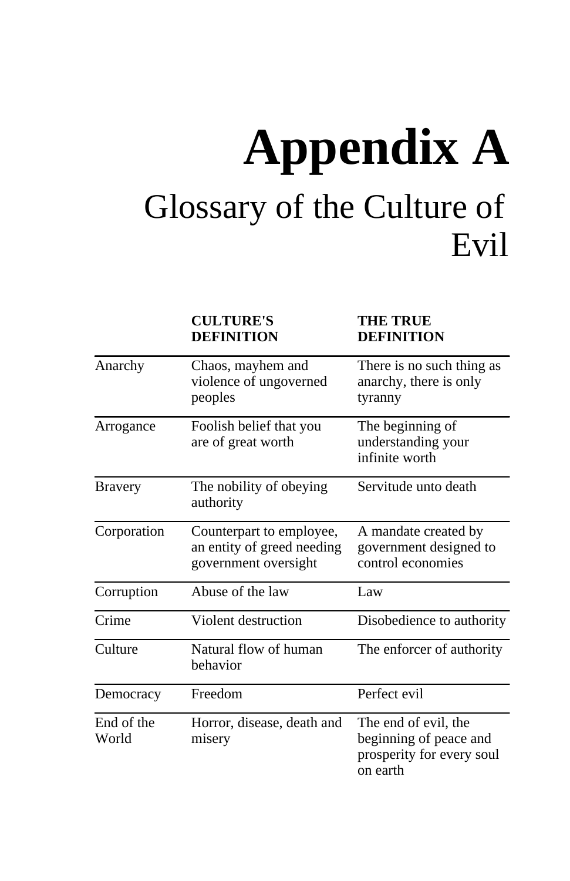## **Appendix A** Glossary of the Culture of Evil

|                     | <b>CULTURE'S</b><br><b>DEFINITION</b>                                          | <b>THE TRUE</b><br><b>DEFINITION</b>                                                    |
|---------------------|--------------------------------------------------------------------------------|-----------------------------------------------------------------------------------------|
| Anarchy             | Chaos, mayhem and<br>violence of ungoverned<br>peoples                         | There is no such thing as<br>anarchy, there is only<br>tyranny                          |
| Arrogance           | Foolish belief that you<br>are of great worth                                  | The beginning of<br>understanding your<br>infinite worth                                |
| <b>Bravery</b>      | The nobility of obeying<br>authority                                           | Servitude unto death                                                                    |
| Corporation         | Counterpart to employee,<br>an entity of greed needing<br>government oversight | A mandate created by<br>government designed to<br>control economies                     |
| Corruption          | Abuse of the law                                                               | Law                                                                                     |
| Crime               | Violent destruction                                                            | Disobedience to authority                                                               |
| Culture             | Natural flow of human<br>behavior                                              | The enforcer of authority                                                               |
| Democracy           | Freedom                                                                        | Perfect evil                                                                            |
| End of the<br>World | Horror, disease, death and<br>misery                                           | The end of evil, the<br>beginning of peace and<br>prosperity for every soul<br>on earth |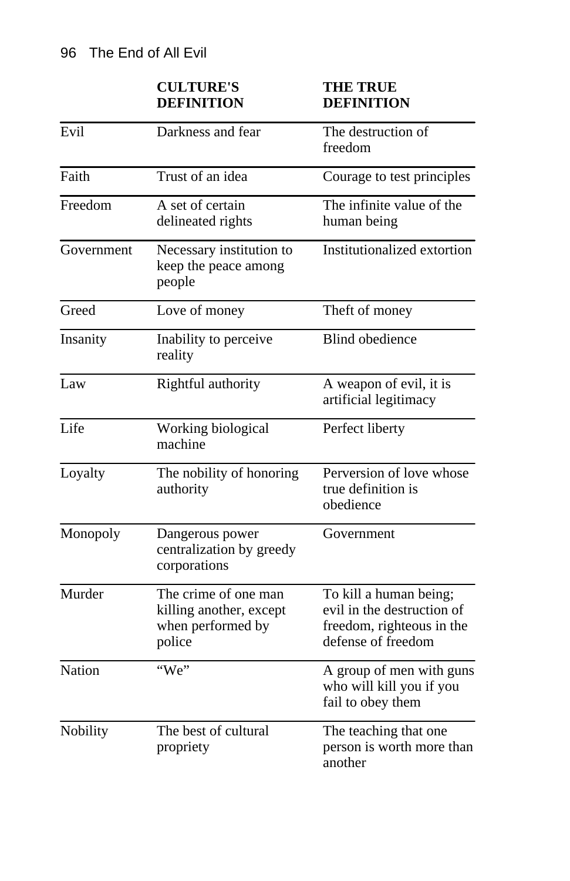|            | <b>CULTURE'S</b><br><b>DEFINITION</b>                                          | <b>THE TRUE</b><br><b>DEFINITION</b>                                                                    |
|------------|--------------------------------------------------------------------------------|---------------------------------------------------------------------------------------------------------|
| Evil       | Darkness and fear                                                              | The destruction of<br>freedom                                                                           |
| Faith      | Trust of an idea                                                               | Courage to test principles                                                                              |
| Freedom    | A set of certain<br>delineated rights                                          | The infinite value of the<br>human being                                                                |
| Government | Necessary institution to<br>keep the peace among<br>people                     | Institutionalized extortion                                                                             |
| Greed      | Love of money                                                                  | Theft of money                                                                                          |
| Insanity   | Inability to perceive<br>reality                                               | <b>Blind</b> obedience                                                                                  |
| Law        | Rightful authority                                                             | A weapon of evil, it is<br>artificial legitimacy                                                        |
| Life       | Working biological<br>machine                                                  | Perfect liberty                                                                                         |
| Loyalty    | The nobility of honoring<br>authority                                          | Perversion of love whose<br>true definition is<br>obedience                                             |
| Monopoly   | Dangerous power<br>centralization by greedy<br>corporations                    | Government                                                                                              |
| Murder     | The crime of one man<br>killing another, except<br>when performed by<br>police | To kill a human being;<br>evil in the destruction of<br>freedom, righteous in the<br>defense of freedom |
| Nation     | "We"                                                                           | A group of men with guns<br>who will kill you if you<br>fail to obey them                               |
| Nobility   | The best of cultural<br>propriety                                              | The teaching that one<br>person is worth more than<br>another                                           |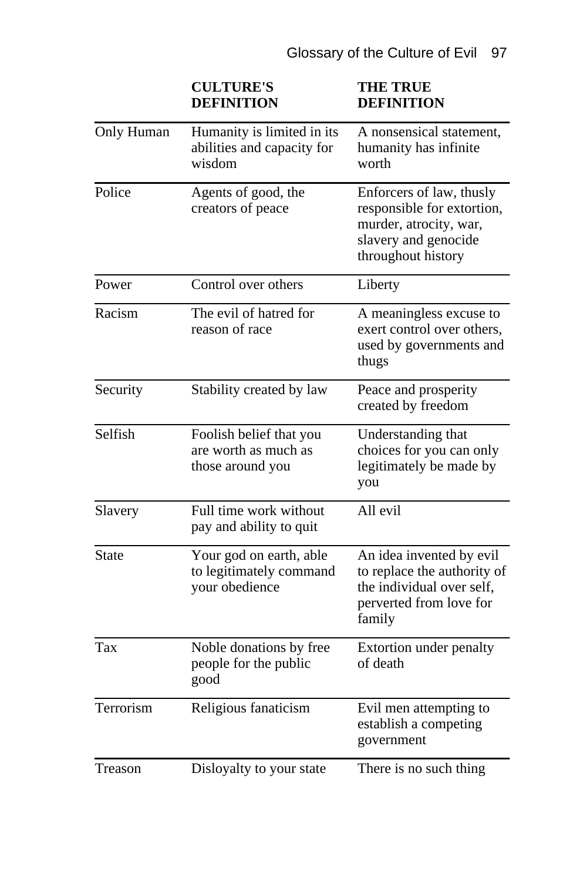|            | <b>CULTURE'S</b><br><b>DEFINITION</b>                                | <b>THE TRUE</b><br><b>DEFINITION</b>                                                                                           |
|------------|----------------------------------------------------------------------|--------------------------------------------------------------------------------------------------------------------------------|
| Only Human | Humanity is limited in its<br>abilities and capacity for<br>wisdom   | A nonsensical statement,<br>humanity has infinite<br>worth                                                                     |
| Police     | Agents of good, the<br>creators of peace                             | Enforcers of law, thusly<br>responsible for extortion,<br>murder, atrocity, war,<br>slavery and genocide<br>throughout history |
| Power      | Control over others                                                  | Liberty                                                                                                                        |
| Racism     | The evil of hatred for<br>reason of race                             | A meaningless excuse to<br>exert control over others,<br>used by governments and<br>thugs                                      |
| Security   | Stability created by law                                             | Peace and prosperity<br>created by freedom                                                                                     |
| Selfish    | Foolish belief that you<br>are worth as much as<br>those around you  | Understanding that<br>choices for you can only<br>legitimately be made by<br>you                                               |
| Slavery    | Full time work without<br>pay and ability to quit                    | All evil                                                                                                                       |
| State      | Your god on earth, able<br>to legitimately command<br>your obedience | An idea invented by evil<br>to replace the authority of<br>the individual over self,<br>perverted from love for<br>family      |
| Tax        | Noble donations by free<br>people for the public<br>good             | Extortion under penalty<br>of death                                                                                            |
| Terrorism  | Religious fanaticism                                                 | Evil men attempting to<br>establish a competing<br>government                                                                  |
| Treason    | Disloyalty to your state                                             | There is no such thing                                                                                                         |